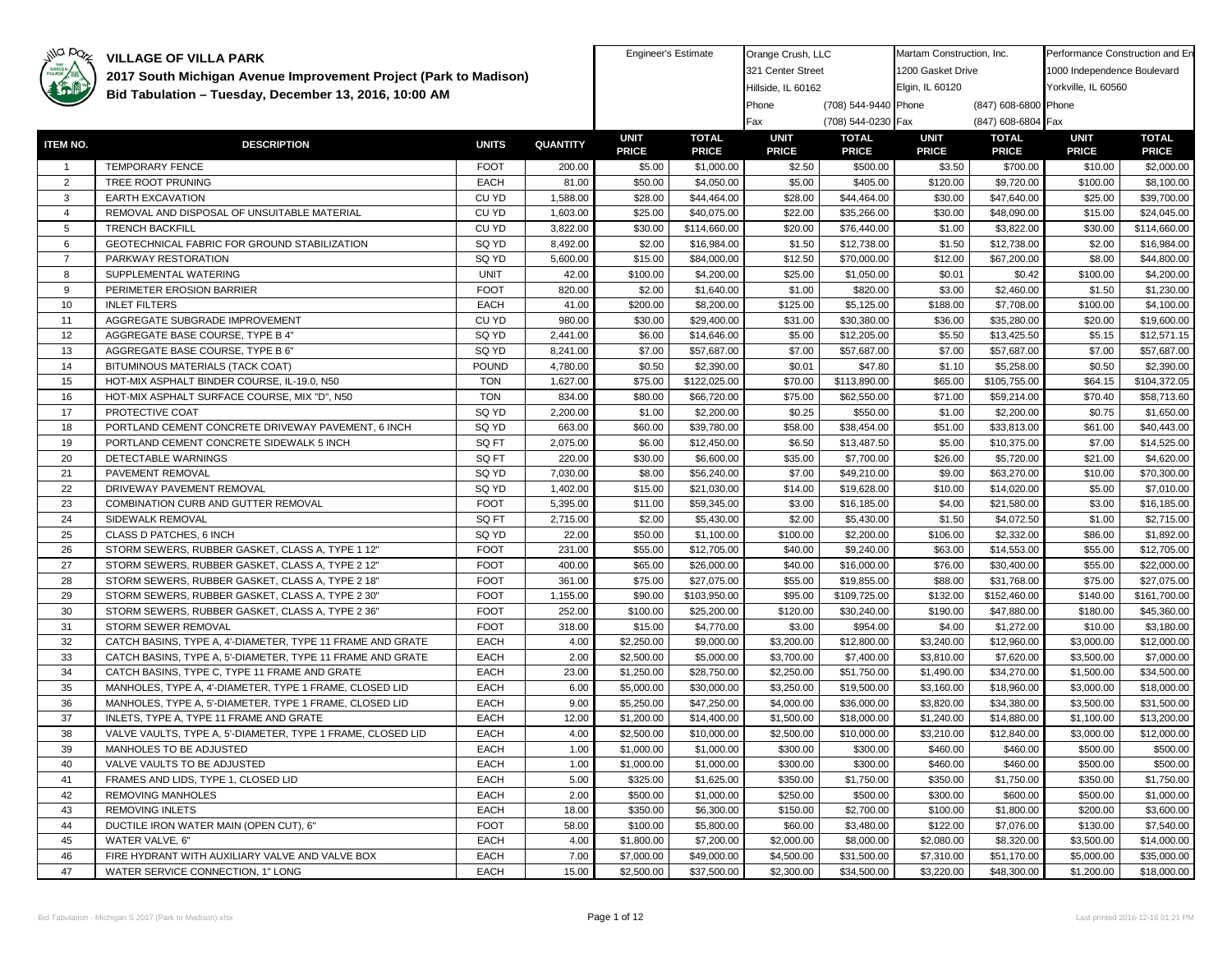| illa paz        | <b>VILLAGE OF VILLA PARK</b>                                                                                             |                            |                 | <b>Engineer's Estimate</b> |                          | Orange Crush, LLC        |                           | Martam Construction, Inc. |                           | Performance Construction and En |                           |
|-----------------|--------------------------------------------------------------------------------------------------------------------------|----------------------------|-----------------|----------------------------|--------------------------|--------------------------|---------------------------|---------------------------|---------------------------|---------------------------------|---------------------------|
|                 | 2017 South Michigan Avenue Improvement Project (Park to Madison)                                                         |                            |                 |                            |                          | 321 Center Street        |                           | 1200 Gasket Drive         |                           | 1000 Independence Boulevard     |                           |
|                 |                                                                                                                          |                            |                 |                            |                          | Hillside, IL 60162       |                           | Elgin, IL 60120           |                           | Yorkville, IL 60560             |                           |
|                 | Bid Tabulation - Tuesday, December 13, 2016, 10:00 AM                                                                    |                            |                 |                            |                          | Phone                    | (708) 544-9440 Phone      |                           | (847) 608-6800 Phone      |                                 |                           |
|                 |                                                                                                                          |                            |                 |                            |                          | Fax                      | (708) 544-0230 Fax        |                           | (847) 608-6804 Fax        |                                 |                           |
|                 |                                                                                                                          |                            |                 | <b>UNIT</b>                | <b>TOTAL</b>             | <b>UNIT</b>              | <b>TOTAL</b>              | <b>UNIT</b>               | <b>TOTAL</b>              | <b>UNIT</b>                     | <b>TOTAL</b>              |
| <b>ITEM NO.</b> | <b>DESCRIPTION</b>                                                                                                       | <b>UNITS</b>               | <b>QUANTITY</b> | <b>PRICE</b>               | <b>PRICE</b>             | <b>PRICE</b>             | <b>PRICE</b>              | <b>PRICE</b>              | <b>PRICE</b>              | <b>PRICE</b>                    | <b>PRICE</b>              |
| $\overline{1}$  | <b>TEMPORARY FENCE</b>                                                                                                   | <b>FOOT</b>                | 200.00          | \$5.00                     | \$1,000.00               | \$2.50                   | \$500.00                  | \$3.50                    | \$700.00                  | \$10.00                         | \$2,000.00                |
| $\overline{2}$  | TREE ROOT PRUNING                                                                                                        | <b>EACH</b>                | 81.00           | \$50.00                    | \$4,050.00               | \$5.00                   | \$405.00                  | \$120.00                  | \$9,720.00                | \$100.00                        | \$8,100.00                |
| 3               | <b>EARTH EXCAVATION</b>                                                                                                  | CU YD                      | 1,588.00        | \$28.00                    | \$44,464.00              | \$28.00                  | \$44,464.00               | \$30.00                   | \$47,640.00               | \$25.00                         | \$39,700.00               |
| $\overline{4}$  | REMOVAL AND DISPOSAL OF UNSUITABLE MATERIAL                                                                              | CU YD                      | 1,603.00        | \$25.00                    | \$40,075.00              | \$22.00                  | \$35,266.00               | \$30.00                   | \$48,090.00               | \$15.00                         | \$24,045.00               |
| 5               | <b>TRENCH BACKFILL</b>                                                                                                   | CU YD                      | 3,822.00        | \$30.00                    | \$114,660.00             | \$20.00                  | \$76,440.00               | \$1.00                    | \$3,822.00                | \$30.00                         | \$114,660.00              |
| 6               | GEOTECHNICAL FABRIC FOR GROUND STABILIZATION                                                                             | SQ YD                      | 8,492.00        | \$2.00                     | \$16,984.00              | \$1.50                   | \$12,738.00               | \$1.50                    | \$12,738.00               | \$2.00                          | \$16,984.00               |
| $\overline{7}$  | PARKWAY RESTORATION                                                                                                      | SQ YD                      | 5,600.00        | \$15.00                    | \$84,000.00              | \$12.50                  | \$70,000.00               | \$12.00                   | \$67,200.00               | \$8.00                          | \$44,800.00               |
| 8               | SUPPLEMENTAL WATERING                                                                                                    | <b>UNIT</b>                | 42.00           | \$100.00                   | \$4,200.00               | \$25.00                  | \$1,050.00                | \$0.01                    | \$0.42                    | \$100.00                        | \$4,200.00                |
| 9               | PERIMETER EROSION BARRIER                                                                                                | <b>FOOT</b>                | 820.00          | \$2.00                     | \$1,640.00               | \$1.00                   | \$820.00                  | \$3.00                    | \$2,460.00                | \$1.50                          | \$1,230.00                |
| 10              | <b>INLET FILTERS</b>                                                                                                     | <b>EACH</b>                | 41.00           | \$200.00                   | \$8,200.00               | \$125.00                 | \$5,125.00                | \$188.00                  | \$7,708.00                | \$100.00                        | \$4,100.00                |
| 11              | AGGREGATE SUBGRADE IMPROVEMENT                                                                                           | CU YD                      | 980.00          | \$30.00                    | \$29,400.00              | \$31.00                  | \$30,380.00               | \$36.00                   | \$35,280.00               | \$20.00                         | \$19,600.00               |
| 12              | AGGREGATE BASE COURSE, TYPE B 4"                                                                                         | SQ YD                      | 2,441.00        | \$6.00                     | \$14,646.00              | \$5.00                   | \$12,205.00               | \$5.50                    | \$13,425.50               | \$5.15                          | \$12,571.15               |
| 13              | AGGREGATE BASE COURSE, TYPE B 6"                                                                                         | SQ YD                      | 8,241.00        | \$7.00                     | \$57,687.00              | \$7.00                   | \$57,687.00               | \$7.00                    | \$57,687.00               | \$7.00                          | \$57,687.00               |
| 14              | BITUMINOUS MATERIALS (TACK COAT)                                                                                         | <b>POUND</b>               | 4,780.00        | \$0.50                     | \$2,390.00               | \$0.01                   | \$47.80                   | \$1.10                    | \$5,258.00                | \$0.50                          | \$2,390.00                |
| 15              | HOT-MIX ASPHALT BINDER COURSE, IL-19.0, N50                                                                              | <b>TON</b>                 | 1,627.00        | \$75.00                    | \$122,025.00             | \$70.00                  | \$113,890.00              | \$65.00                   | \$105,755.00              | \$64.15                         | \$104,372.05              |
| 16              | HOT-MIX ASPHALT SURFACE COURSE, MIX "D", N50                                                                             | <b>TON</b>                 | 834.00          | \$80.00                    | \$66,720.00              | \$75.00                  | \$62,550.00               | \$71.00                   | \$59,214.00               | \$70.40                         | \$58,713.60               |
| 17              | PROTECTIVE COAT                                                                                                          | SQ YD                      | 2,200.00        | \$1.00                     | \$2,200.00               | \$0.25                   | \$550.00                  | \$1.00                    | \$2,200.00                | \$0.75                          | \$1,650.00                |
| 18              | PORTLAND CEMENT CONCRETE DRIVEWAY PAVEMENT, 6 INCH                                                                       | SQ YD                      | 663.00          | \$60.00                    | \$39,780.00              | \$58.00                  | \$38,454.00               | \$51.00                   | \$33,813.00               | \$61.00                         | \$40,443.00               |
| 19              | PORTLAND CEMENT CONCRETE SIDEWALK 5 INCH                                                                                 | SQ FT                      | 2,075.00        | \$6.00                     | \$12,450.00              | \$6.50                   | \$13,487.50               | \$5.00                    | \$10,375.00               | \$7.00                          | \$14,525.00               |
| 20              | DETECTABLE WARNINGS                                                                                                      | SQ FT                      | 220.00          | \$30.00                    | \$6,600.00               | \$35.00                  | \$7,700.00                | \$26.00                   | \$5,720.00                | \$21.00                         | \$4,620.00                |
| 21              | PAVEMENT REMOVAL                                                                                                         | SQ YD                      | 7,030.00        | \$8.00                     | \$56,240.00              | \$7.00                   | \$49,210.00               | \$9.00                    | \$63,270.00               | \$10.00                         | \$70,300.00               |
| 22              | DRIVEWAY PAVEMENT REMOVAL                                                                                                | SQ YD                      | 1,402.00        | \$15.00                    | \$21,030.00              | \$14.00                  | \$19,628.00               | \$10.00                   | \$14,020.00               | \$5.00                          | \$7,010.00                |
| 23              | COMBINATION CURB AND GUTTER REMOVAL                                                                                      | <b>FOOT</b>                | 5,395.00        | \$11.00                    | \$59,345.00              | \$3.00                   | \$16,185.00               | \$4.00                    | \$21,580.00               | \$3.00                          | \$16,185.00               |
| 24              | SIDEWALK REMOVAL                                                                                                         | SQ FT                      | 2,715.00        | \$2.00                     | \$5,430.00               | \$2.00                   | \$5,430.00                | \$1.50                    | \$4,072.50                | \$1.00                          | \$2,715.00                |
| 25              | CLASS D PATCHES, 6 INCH                                                                                                  | SQ YD                      | 22.00           | \$50.00                    | \$1,100.00               | \$100.00                 | \$2,200.00                | \$106.00                  | \$2,332.00                | \$86.00                         | \$1,892.00                |
| 26              | STORM SEWERS, RUBBER GASKET, CLASS A, TYPE 1 12"                                                                         | <b>FOOT</b>                | 231.00          | \$55.00                    | \$12,705.00              | \$40.00                  | \$9,240.00                | \$63.00                   | \$14,553.00               | \$55.00                         | \$12,705.00               |
| 27              | STORM SEWERS, RUBBER GASKET, CLASS A, TYPE 2 12"                                                                         | <b>FOOT</b>                | 400.00          | \$65.00                    | \$26,000.00              | \$40.00                  | \$16,000.00               | \$76.00                   | \$30,400.00               | \$55.00                         | \$22,000.00               |
| 28              | STORM SEWERS, RUBBER GASKET, CLASS A, TYPE 2 18"                                                                         | <b>FOOT</b>                | 361.00          | \$75.00                    | \$27,075.00              | \$55.00                  | \$19,855.00               | \$88.00                   | \$31,768.00               | \$75.00                         | \$27,075.00               |
| 29              | STORM SEWERS, RUBBER GASKET, CLASS A, TYPE 2 30"                                                                         | <b>FOOT</b>                | 1,155.00        | \$90.00                    | \$103,950.00             | \$95.00                  | \$109,725.00              | \$132.00                  | \$152,460.00              | \$140.00                        | \$161,700.00              |
| 30              | STORM SEWERS, RUBBER GASKET, CLASS A, TYPE 2 36"                                                                         | <b>FOOT</b>                | 252.00          | \$100.00                   | \$25,200.00              | \$120.00                 | \$30,240.00               | \$190.00                  | \$47,880.00               | \$180.00                        | \$45,360.00               |
| 31              | STORM SEWER REMOVAL                                                                                                      | <b>FOOT</b>                | 318.00          | \$15.00                    | \$4,770.00               | \$3.00                   | \$954.00                  | \$4.00                    | \$1,272.00                | \$10.00                         | \$3,180.00                |
| 32<br>33        | CATCH BASINS, TYPE A, 4'-DIAMETER, TYPE 11 FRAME AND GRATE<br>CATCH BASINS, TYPE A, 5'-DIAMETER, TYPE 11 FRAME AND GRATE | <b>EACH</b><br><b>EACH</b> | 4.00<br>2.00    | \$2,250.00<br>\$2,500.00   | \$9,000.00<br>\$5,000.00 | \$3,200.00<br>\$3,700.00 | \$12,800.00<br>\$7,400.00 | \$3,240.00<br>\$3,810.00  | \$12,960.00<br>\$7,620.00 | \$3,000.00<br>\$3,500.00        | \$12,000.00<br>\$7,000.00 |
| 34              |                                                                                                                          | <b>EACH</b>                | 23.00           | \$1,250.00                 | \$28,750.00              | \$2,250.00               | \$51,750.00               |                           | \$34,270.00               | \$1,500.00                      | \$34,500.00               |
| 35              | CATCH BASINS, TYPE C, TYPE 11 FRAME AND GRATE<br>MANHOLES, TYPE A, 4'-DIAMETER, TYPE 1 FRAME, CLOSED LID                 | <b>EACH</b>                | 6.00            | \$5,000.00                 | \$30,000.00              | \$3,250.00               | \$19,500.00               | \$1,490.00<br>\$3,160.00  | \$18,960.00               | \$3,000.00                      | \$18,000.00               |
| 36              | MANHOLES, TYPE A, 5'-DIAMETER, TYPE 1 FRAME, CLOSED LID                                                                  | <b>EACH</b>                | 9.00            | \$5,250.00                 | \$47,250.00              | \$4,000.00               | \$36,000.00               | \$3,820.00                | \$34,380.00               | \$3,500.00                      | \$31,500.00               |
| 37              | INLETS, TYPE A, TYPE 11 FRAME AND GRATE                                                                                  | <b>EACH</b>                | 12.00           | \$1,200.00                 | \$14,400.00              | \$1,500.00               | \$18,000.00               | \$1,240.00                | \$14,880.00               | \$1,100.00                      | \$13,200.00               |
| 38              | VALVE VAULTS, TYPE A, 5'-DIAMETER, TYPE 1 FRAME, CLOSED LID                                                              | <b>EACH</b>                | 4.00            | \$2,500.00                 | \$10,000,00              | \$2,500.00               | \$10,000.00               | \$3,210.00                | \$12,840.00               | \$3,000.00                      | \$12,000.00               |
| 39              | MANHOLES TO BE ADJUSTED                                                                                                  | <b>EACH</b>                | 1.00            | \$1,000.00                 | \$1,000.00               | \$300.00                 | \$300.00                  | \$460.00                  | \$460.00                  | \$500.00                        | \$500.00                  |
| 40              | VALVE VAULTS TO BE ADJUSTED                                                                                              | <b>EACH</b>                | 1.00            | \$1,000.00                 | \$1,000.00               | \$300.00                 | \$300.00                  | \$460.00                  | \$460.00                  | \$500.00                        | \$500.00                  |
| 41              | FRAMES AND LIDS, TYPE 1, CLOSED LID                                                                                      | <b>EACH</b>                | 5.00            | \$325.00                   | \$1,625.00               | \$350.00                 | \$1,750.00                | \$350.00                  | \$1,750.00                | \$350.00                        | \$1,750.00                |
| 42              | <b>REMOVING MANHOLES</b>                                                                                                 | <b>EACH</b>                | 2.00            | \$500.00                   | \$1,000.00               | \$250.00                 | \$500.00                  | \$300.00                  | \$600.00                  | \$500.00                        | \$1,000.00                |
| 43              | <b>REMOVING INLETS</b>                                                                                                   | <b>EACH</b>                | 18.00           | \$350.00                   | \$6,300.00               | \$150.00                 | \$2,700.00                | \$100.00                  | \$1,800.00                | \$200.00                        | \$3,600.00                |
| 44              | DUCTILE IRON WATER MAIN (OPEN CUT), 6"                                                                                   | <b>FOOT</b>                | 58.00           | \$100.00                   | \$5,800.00               | \$60.00                  | \$3,480.00                | \$122.00                  | \$7,076.00                | \$130.00                        | \$7,540.00                |
| 45              | WATER VALVE, 6"                                                                                                          | <b>EACH</b>                | 4.00            | \$1,800.00                 | \$7,200.00               | \$2,000.00               | \$8,000.00                | \$2,080.00                | \$8,320.00                | \$3,500.00                      | \$14,000.00               |
| 46              | FIRE HYDRANT WITH AUXILIARY VALVE AND VALVE BOX                                                                          | <b>EACH</b>                | 7.00            | \$7,000.00                 | \$49,000.00              | \$4,500.00               | \$31,500.00               | \$7,310.00                | \$51,170.00               | \$5,000.00                      | \$35,000.00               |
| 47              | WATER SERVICE CONNECTION, 1" LONG                                                                                        | EACH                       | 15.00           | \$2,500.00                 | \$37,500.00              | \$2,300.00               | \$34,500.00               | \$3,220.00                | \$48,300.00               | \$1,200.00                      | \$18,000.00               |
|                 |                                                                                                                          |                            |                 |                            |                          |                          |                           |                           |                           |                                 |                           |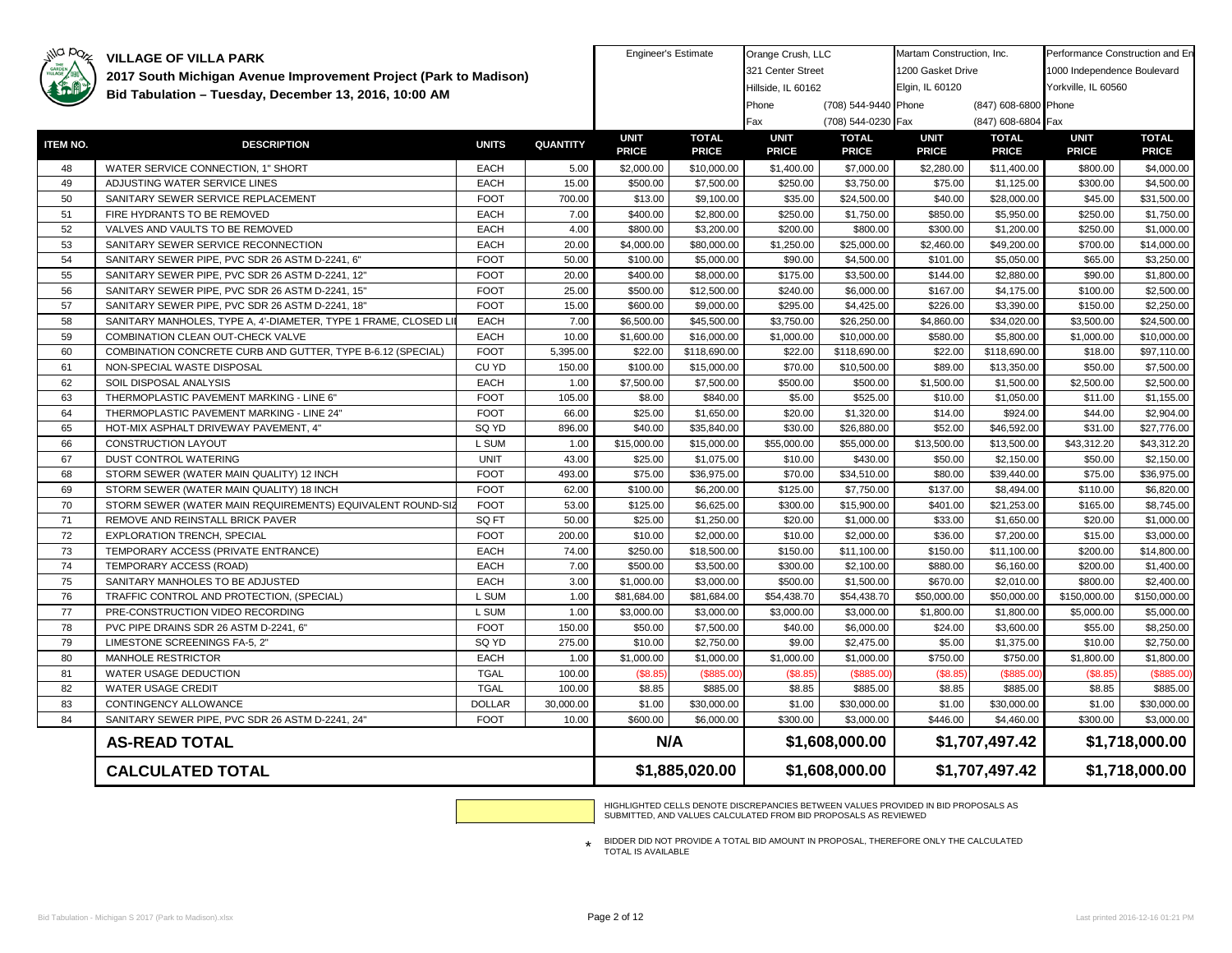| 1200 Gasket Drive<br>321 Center Street<br>1000 Independence Boulevard<br>2017 South Michigan Avenue Improvement Project (Park to Madison)<br>Hillside, IL 60162<br>Elgin, IL 60120<br>Yorkville, IL 60560<br>Bid Tabulation - Tuesday, December 13, 2016, 10:00 AM<br>(708) 544-9440 Phone<br>(847) 608-6800 Phone<br>Phone<br>(847) 608-6804 Fax<br>(708) 544-0230 Fax<br>Fax<br><b>UNIT</b><br><b>UNIT</b><br><b>TOTAL</b><br><b>UNIT</b><br><b>UNIT</b><br><b>TOTAL</b><br><b>TOTAL</b><br><b>ITEM NO.</b><br><b>QUANTITY</b><br><b>DESCRIPTION</b><br><b>UNITS</b><br><b>PRICE</b><br><b>PRICE</b><br><b>PRICE</b><br><b>PRICE</b><br><b>PRICE</b><br><b>PRICE</b><br><b>PRICE</b><br><b>EACH</b><br>\$2,000.00<br>\$10,000.00<br>\$2,280.00<br>\$800.00<br>48<br>WATER SERVICE CONNECTION, 1" SHORT<br>5.00<br>\$1,400.00<br>\$7,000.00<br>\$11,400.00<br>15.00<br>\$500.00<br>\$7,500.00<br>\$3,750.00<br>\$300.00<br>49<br>ADJUSTING WATER SERVICE LINES<br><b>EACH</b><br>\$250.00<br>\$75.00<br>\$1,125.00<br>SANITARY SEWER SERVICE REPLACEMENT<br><b>FOOT</b><br>50<br>700.00<br>\$13.00<br>\$9,100.00<br>\$35.00<br>\$24,500.00<br>\$40.00<br>\$28,000.00<br>\$45.00<br>51<br><b>EACH</b><br>FIRE HYDRANTS TO BE REMOVED<br>7.00<br>\$400.00<br>\$2,800.00<br>\$250.00<br>\$1,750.00<br>\$850.00<br>\$5,950.00<br>\$250.00<br>52<br>VALVES AND VAULTS TO BE REMOVED<br><b>EACH</b><br>4.00<br>\$800.00<br>\$3,200.00<br>\$200.00<br>\$800.00<br>\$300.00<br>\$1,200.00<br>\$250.00<br>53<br>SANITARY SEWER SERVICE RECONNECTION<br><b>EACH</b><br>20.00<br>\$4,000.00<br>\$80,000.00<br>\$1,250.00<br>\$25,000.00<br>\$2,460.00<br>\$49,200.00<br>\$700.00<br>54<br>SANITARY SEWER PIPE, PVC SDR 26 ASTM D-2241, 6"<br><b>FOOT</b><br>\$100.00<br>\$5,000.00<br>\$90.00<br>\$4,500.00<br>\$5,050.00<br>50.00<br>\$101.00<br>\$65.00<br>55<br><b>FOOT</b><br>\$90.00<br>SANITARY SEWER PIPE, PVC SDR 26 ASTM D-2241, 12'<br>20.00<br>\$400.00<br>\$8,000.00<br>\$175.00<br>\$3,500.00<br>\$144.00<br>\$2,880.00<br>56<br>SANITARY SEWER PIPE, PVC SDR 26 ASTM D-2241, 15"<br><b>FOOT</b><br>25.00<br>\$500.00<br>\$12,500.00<br>\$240.00<br>\$6,000.00<br>\$167.00<br>\$4,175.00<br>\$100.00<br>57<br>SANITARY SEWER PIPE, PVC SDR 26 ASTM D-2241, 18'<br><b>FOOT</b><br>\$600.00<br>\$9,000.00<br>\$295.00<br>\$4,425.00<br>\$226.00<br>\$3,390.00<br>\$150.00<br>15.00<br>58<br><b>EACH</b><br>7.00<br>\$6,500.00<br>\$3,750.00<br>\$34,020.00<br>SANITARY MANHOLES, TYPE A, 4'-DIAMETER, TYPE 1 FRAME, CLOSED LI<br>\$45,500.00<br>\$26,250.00<br>\$4,860.00<br>\$3,500.00<br><b>EACH</b><br>59<br>COMBINATION CLEAN OUT-CHECK VALVE<br>10.00<br>\$1,600.00<br>\$16,000.00<br>\$1,000.00<br>\$10,000.00<br>\$580.00<br>\$5,800.00<br>\$1,000.00<br>60<br><b>FOOT</b><br>\$22.00<br>COMBINATION CONCRETE CURB AND GUTTER, TYPE B-6.12 (SPECIAL)<br>5,395.00<br>\$118,690.00<br>\$22.00<br>\$118,690.00<br>\$22.00<br>\$118,690.00<br>\$18.00<br>CU YD<br>61<br>NON-SPECIAL WASTE DISPOSAL<br>150.00<br>\$100.00<br>\$15,000.00<br>\$70.00<br>\$10,500.00<br>\$89.00<br>\$13,350.00<br>\$50.00<br>62<br>SOIL DISPOSAL ANALYSIS<br><b>EACH</b><br>1.00<br>\$7,500.00<br>\$7,500.00<br>\$500.00<br>\$500.00<br>\$1,500.00<br>\$1,500.00<br>\$2,500.00<br>63<br>THERMOPLASTIC PAVEMENT MARKING - LINE 6"<br><b>FOOT</b><br>105.00<br>\$8.00<br>\$840.00<br>\$5.00<br>\$525.00<br>\$10.00<br>\$1,050.00<br>\$11.00<br>64<br>THERMOPLASTIC PAVEMENT MARKING - LINE 24"<br><b>FOOT</b><br>\$25.00<br>\$20.00<br>\$924.00<br>66.00<br>\$1,650.00<br>\$1,320.00<br>\$14.00<br>\$44.00<br>\$40.00<br>65<br>HOT-MIX ASPHALT DRIVEWAY PAVEMENT, 4"<br>SQ YD<br>896.00<br>\$35,840.00<br>\$30.00<br>\$26,880.00<br>\$52.00<br>\$46,592.00<br>\$31.00<br>\$43,312.20<br>66<br>L SUM<br>1.00<br>\$15,000.00<br>\$15,000.00<br>\$55,000.00<br>\$55,000.00<br>\$13,500.00<br>\$13,500.00<br><b>CONSTRUCTION LAYOUT</b><br>67<br>\$25.00<br>DUST CONTROL WATERING<br><b>UNIT</b><br>43.00<br>\$1,075.00<br>\$10.00<br>\$430.00<br>\$50.00<br>\$2,150.00<br>\$50.00<br>68<br><b>FOOT</b><br>\$70.00<br>STORM SEWER (WATER MAIN QUALITY) 12 INCH<br>493.00<br>\$75.00<br>\$36,975.00<br>\$34,510.00<br>\$80.00<br>\$39,440.00<br>\$75.00<br>69<br><b>FOOT</b><br>STORM SEWER (WATER MAIN QUALITY) 18 INCH<br>62.00<br>\$100.00<br>\$6,200.00<br>\$125.00<br>\$7,750.00<br>\$137.00<br>\$8,494.00<br>\$110.00<br>70<br>STORM SEWER (WATER MAIN REQUIREMENTS) EQUIVALENT ROUND-SIZ<br><b>FOOT</b><br>53.00<br>\$125.00<br>\$6,625.00<br>\$300.00<br>\$15,900.00<br>\$401.00<br>\$21,253.00<br>\$165.00<br>SQ FT<br>71<br>REMOVE AND REINSTALL BRICK PAVER<br>50.00<br>\$25.00<br>\$1,250.00<br>\$20.00<br>\$1,000.00<br>\$33.00<br>\$1,650.00<br>\$20.00<br>72<br><b>FOOT</b><br>200.00<br>\$10.00<br><b>EXPLORATION TRENCH, SPECIAL</b><br>\$2,000.00<br>\$10.00<br>\$2,000.00<br>\$36.00<br>\$7,200.00<br>\$15.00<br>73<br>TEMPORARY ACCESS (PRIVATE ENTRANCE)<br><b>EACH</b><br>\$250.00<br>74.00<br>\$18,500.00<br>\$150.00<br>\$11,100.00<br>\$150.00<br>\$11,100.00<br>\$200.00<br>74<br>TEMPORARY ACCESS (ROAD)<br><b>EACH</b><br>7.00<br>\$500.00<br>\$300.00<br>\$2,100.00<br>\$3,500.00<br>\$880.00<br>\$6,160.00<br>\$200.00<br>75<br>SANITARY MANHOLES TO BE ADJUSTED<br><b>EACH</b><br>3.00<br>\$500.00<br>\$1,500.00<br>\$670.00<br>\$2,010.00<br>\$800.00<br>\$1,000.00<br>\$3,000.00<br>\$150,000.00<br>76<br>TRAFFIC CONTROL AND PROTECTION, (SPECIAL)<br>L SUM<br>1.00<br>\$81,684.00<br>\$81,684.00<br>\$54,438.70<br>\$54,438.70<br>\$50,000.00<br>\$50,000.00<br>77<br>L SUM<br>1.00<br>PRE-CONSTRUCTION VIDEO RECORDING<br>\$3,000.00<br>\$3,000.00<br>\$3,000.00<br>\$3,000.00<br>\$1,800.00<br>\$1,800.00<br>\$5,000.00<br>78<br>PVC PIPE DRAINS SDR 26 ASTM D-2241, 6"<br><b>FOOT</b><br>150.00<br>\$50.00<br>\$7,500.00<br>\$40.00<br>\$6,000.00<br>\$24.00<br>\$3,600.00<br>\$55.00<br>79<br>LIMESTONE SCREENINGS FA-5, 2"<br>SQ YD<br>275.00<br>\$10.00<br>\$2,750.00<br>\$9.00<br>\$2,475.00<br>\$5.00<br>\$1,375.00<br>\$10.00<br>80<br>MANHOLE RESTRICTOR<br><b>EACH</b><br>\$1,000.00<br>\$1,000.00<br>\$750.00<br>1.00<br>\$1,000.00<br>\$1,000.00<br>\$750.00<br>\$1,800.00<br>WATER USAGE DEDUCTION<br><b>TGAL</b><br>(\$8.85<br>(\$885.00<br>(\$885.00<br>(\$885.0<br>81<br>100.00<br>(\$8.85<br>(\$8.85<br>(\$8.85<br>82<br><b>TGAL</b><br>\$8.85<br><b>WATER USAGE CREDIT</b><br>100.00<br>\$885.00<br>\$8.85<br>\$885.00<br>\$8.85<br>\$885.00<br>\$8.85<br>\$1.00<br>83<br><b>DOLLAR</b><br>\$30,000.00<br>\$1.00<br>\$30,000.00<br>\$1.00<br>\$30,000.00<br>\$1.00<br>CONTINGENCY ALLOWANCE<br>30,000.00<br>84<br>SANITARY SEWER PIPE, PVC SDR 26 ASTM D-2241, 24"<br><b>FOOT</b><br>\$600.00<br>\$300.00<br>\$446.00<br>\$300.00<br>10.00<br>\$6,000.00<br>\$3,000.00<br>\$4,460.00<br>N/A<br>\$1,608,000.00<br>\$1,707,497.42<br><b>AS-READ TOTAL</b><br>\$1,707,497.42<br>\$1,885,020.00<br>\$1,608,000.00<br><b>CALCULATED TOTAL</b> | <i>jilla</i> paz | <b>VILLAGE OF VILLA PARK</b> |  |  | <b>Engineer's Estimate</b> | Orange Crush, LLC |  | Martam Construction, Inc. |  | Performance Construction and En |                |
|--------------------------------------------------------------------------------------------------------------------------------------------------------------------------------------------------------------------------------------------------------------------------------------------------------------------------------------------------------------------------------------------------------------------------------------------------------------------------------------------------------------------------------------------------------------------------------------------------------------------------------------------------------------------------------------------------------------------------------------------------------------------------------------------------------------------------------------------------------------------------------------------------------------------------------------------------------------------------------------------------------------------------------------------------------------------------------------------------------------------------------------------------------------------------------------------------------------------------------------------------------------------------------------------------------------------------------------------------------------------------------------------------------------------------------------------------------------------------------------------------------------------------------------------------------------------------------------------------------------------------------------------------------------------------------------------------------------------------------------------------------------------------------------------------------------------------------------------------------------------------------------------------------------------------------------------------------------------------------------------------------------------------------------------------------------------------------------------------------------------------------------------------------------------------------------------------------------------------------------------------------------------------------------------------------------------------------------------------------------------------------------------------------------------------------------------------------------------------------------------------------------------------------------------------------------------------------------------------------------------------------------------------------------------------------------------------------------------------------------------------------------------------------------------------------------------------------------------------------------------------------------------------------------------------------------------------------------------------------------------------------------------------------------------------------------------------------------------------------------------------------------------------------------------------------------------------------------------------------------------------------------------------------------------------------------------------------------------------------------------------------------------------------------------------------------------------------------------------------------------------------------------------------------------------------------------------------------------------------------------------------------------------------------------------------------------------------------------------------------------------------------------------------------------------------------------------------------------------------------------------------------------------------------------------------------------------------------------------------------------------------------------------------------------------------------------------------------------------------------------------------------------------------------------------------------------------------------------------------------------------------------------------------------------------------------------------------------------------------------------------------------------------------------------------------------------------------------------------------------------------------------------------------------------------------------------------------------------------------------------------------------------------------------------------------------------------------------------------------------------------------------------------------------------------------------------------------------------------------------------------------------------------------------------------------------------------------------------------------------------------------------------------------------------------------------------------------------------------------------------------------------------------------------------------------------------------------------------------------------------------------------------------------------------------------------------------------------------------------------------------------------------------------------------------------------------------------------------------------------------------------------------------------------------------------------------------------------------------------------------------------------------------------------------------------------------------------------------------------------------------------------------------------------------------------------------------------------------------------------------------------------------------------------------------------------------------------------------------------------------------------------------------------------------------------------------------------------------------------------------------------------------------------------------------------------------------------------------------------------------------------------------------------------------------------------------------------------------------------------------------------------------------------------------------------------------------------------------------------------------------------------------------------------------------------------------------------------------------------------------------------------------------------------------------------------------------------------------------------------------------------------------------------------------------------------------------------------------------------------------------------------------------------------------------------------------------------------------------|------------------|------------------------------|--|--|----------------------------|-------------------|--|---------------------------|--|---------------------------------|----------------|
|                                                                                                                                                                                                                                                                                                                                                                                                                                                                                                                                                                                                                                                                                                                                                                                                                                                                                                                                                                                                                                                                                                                                                                                                                                                                                                                                                                                                                                                                                                                                                                                                                                                                                                                                                                                                                                                                                                                                                                                                                                                                                                                                                                                                                                                                                                                                                                                                                                                                                                                                                                                                                                                                                                                                                                                                                                                                                                                                                                                                                                                                                                                                                                                                                                                                                                                                                                                                                                                                                                                                                                                                                                                                                                                                                                                                                                                                                                                                                                                                                                                                                                                                                                                                                                                                                                                                                                                                                                                                                                                                                                                                                                                                                                                                                                                                                                                                                                                                                                                                                                                                                                                                                                                                                                                                                                                                                                                                                                                                                                                                                                                                                                                                                                                                                                                                                                                                                                                                                                                                                                                                                                                                                                                                                                                                                                                                                                                                                                                                                                                                                                                                                                                                                                                                                                                                                                                                                                                                                                          |                  |                              |  |  |                            |                   |  |                           |  |                                 |                |
|                                                                                                                                                                                                                                                                                                                                                                                                                                                                                                                                                                                                                                                                                                                                                                                                                                                                                                                                                                                                                                                                                                                                                                                                                                                                                                                                                                                                                                                                                                                                                                                                                                                                                                                                                                                                                                                                                                                                                                                                                                                                                                                                                                                                                                                                                                                                                                                                                                                                                                                                                                                                                                                                                                                                                                                                                                                                                                                                                                                                                                                                                                                                                                                                                                                                                                                                                                                                                                                                                                                                                                                                                                                                                                                                                                                                                                                                                                                                                                                                                                                                                                                                                                                                                                                                                                                                                                                                                                                                                                                                                                                                                                                                                                                                                                                                                                                                                                                                                                                                                                                                                                                                                                                                                                                                                                                                                                                                                                                                                                                                                                                                                                                                                                                                                                                                                                                                                                                                                                                                                                                                                                                                                                                                                                                                                                                                                                                                                                                                                                                                                                                                                                                                                                                                                                                                                                                                                                                                                                          |                  |                              |  |  |                            |                   |  |                           |  |                                 |                |
|                                                                                                                                                                                                                                                                                                                                                                                                                                                                                                                                                                                                                                                                                                                                                                                                                                                                                                                                                                                                                                                                                                                                                                                                                                                                                                                                                                                                                                                                                                                                                                                                                                                                                                                                                                                                                                                                                                                                                                                                                                                                                                                                                                                                                                                                                                                                                                                                                                                                                                                                                                                                                                                                                                                                                                                                                                                                                                                                                                                                                                                                                                                                                                                                                                                                                                                                                                                                                                                                                                                                                                                                                                                                                                                                                                                                                                                                                                                                                                                                                                                                                                                                                                                                                                                                                                                                                                                                                                                                                                                                                                                                                                                                                                                                                                                                                                                                                                                                                                                                                                                                                                                                                                                                                                                                                                                                                                                                                                                                                                                                                                                                                                                                                                                                                                                                                                                                                                                                                                                                                                                                                                                                                                                                                                                                                                                                                                                                                                                                                                                                                                                                                                                                                                                                                                                                                                                                                                                                                                          |                  |                              |  |  |                            |                   |  |                           |  |                                 |                |
|                                                                                                                                                                                                                                                                                                                                                                                                                                                                                                                                                                                                                                                                                                                                                                                                                                                                                                                                                                                                                                                                                                                                                                                                                                                                                                                                                                                                                                                                                                                                                                                                                                                                                                                                                                                                                                                                                                                                                                                                                                                                                                                                                                                                                                                                                                                                                                                                                                                                                                                                                                                                                                                                                                                                                                                                                                                                                                                                                                                                                                                                                                                                                                                                                                                                                                                                                                                                                                                                                                                                                                                                                                                                                                                                                                                                                                                                                                                                                                                                                                                                                                                                                                                                                                                                                                                                                                                                                                                                                                                                                                                                                                                                                                                                                                                                                                                                                                                                                                                                                                                                                                                                                                                                                                                                                                                                                                                                                                                                                                                                                                                                                                                                                                                                                                                                                                                                                                                                                                                                                                                                                                                                                                                                                                                                                                                                                                                                                                                                                                                                                                                                                                                                                                                                                                                                                                                                                                                                                                          |                  |                              |  |  |                            |                   |  |                           |  |                                 |                |
|                                                                                                                                                                                                                                                                                                                                                                                                                                                                                                                                                                                                                                                                                                                                                                                                                                                                                                                                                                                                                                                                                                                                                                                                                                                                                                                                                                                                                                                                                                                                                                                                                                                                                                                                                                                                                                                                                                                                                                                                                                                                                                                                                                                                                                                                                                                                                                                                                                                                                                                                                                                                                                                                                                                                                                                                                                                                                                                                                                                                                                                                                                                                                                                                                                                                                                                                                                                                                                                                                                                                                                                                                                                                                                                                                                                                                                                                                                                                                                                                                                                                                                                                                                                                                                                                                                                                                                                                                                                                                                                                                                                                                                                                                                                                                                                                                                                                                                                                                                                                                                                                                                                                                                                                                                                                                                                                                                                                                                                                                                                                                                                                                                                                                                                                                                                                                                                                                                                                                                                                                                                                                                                                                                                                                                                                                                                                                                                                                                                                                                                                                                                                                                                                                                                                                                                                                                                                                                                                                                          |                  |                              |  |  |                            |                   |  |                           |  |                                 | <b>TOTAL</b>   |
|                                                                                                                                                                                                                                                                                                                                                                                                                                                                                                                                                                                                                                                                                                                                                                                                                                                                                                                                                                                                                                                                                                                                                                                                                                                                                                                                                                                                                                                                                                                                                                                                                                                                                                                                                                                                                                                                                                                                                                                                                                                                                                                                                                                                                                                                                                                                                                                                                                                                                                                                                                                                                                                                                                                                                                                                                                                                                                                                                                                                                                                                                                                                                                                                                                                                                                                                                                                                                                                                                                                                                                                                                                                                                                                                                                                                                                                                                                                                                                                                                                                                                                                                                                                                                                                                                                                                                                                                                                                                                                                                                                                                                                                                                                                                                                                                                                                                                                                                                                                                                                                                                                                                                                                                                                                                                                                                                                                                                                                                                                                                                                                                                                                                                                                                                                                                                                                                                                                                                                                                                                                                                                                                                                                                                                                                                                                                                                                                                                                                                                                                                                                                                                                                                                                                                                                                                                                                                                                                                                          |                  |                              |  |  |                            |                   |  |                           |  |                                 | <b>PRICE</b>   |
|                                                                                                                                                                                                                                                                                                                                                                                                                                                                                                                                                                                                                                                                                                                                                                                                                                                                                                                                                                                                                                                                                                                                                                                                                                                                                                                                                                                                                                                                                                                                                                                                                                                                                                                                                                                                                                                                                                                                                                                                                                                                                                                                                                                                                                                                                                                                                                                                                                                                                                                                                                                                                                                                                                                                                                                                                                                                                                                                                                                                                                                                                                                                                                                                                                                                                                                                                                                                                                                                                                                                                                                                                                                                                                                                                                                                                                                                                                                                                                                                                                                                                                                                                                                                                                                                                                                                                                                                                                                                                                                                                                                                                                                                                                                                                                                                                                                                                                                                                                                                                                                                                                                                                                                                                                                                                                                                                                                                                                                                                                                                                                                                                                                                                                                                                                                                                                                                                                                                                                                                                                                                                                                                                                                                                                                                                                                                                                                                                                                                                                                                                                                                                                                                                                                                                                                                                                                                                                                                                                          |                  |                              |  |  |                            |                   |  |                           |  |                                 | \$4,000.00     |
|                                                                                                                                                                                                                                                                                                                                                                                                                                                                                                                                                                                                                                                                                                                                                                                                                                                                                                                                                                                                                                                                                                                                                                                                                                                                                                                                                                                                                                                                                                                                                                                                                                                                                                                                                                                                                                                                                                                                                                                                                                                                                                                                                                                                                                                                                                                                                                                                                                                                                                                                                                                                                                                                                                                                                                                                                                                                                                                                                                                                                                                                                                                                                                                                                                                                                                                                                                                                                                                                                                                                                                                                                                                                                                                                                                                                                                                                                                                                                                                                                                                                                                                                                                                                                                                                                                                                                                                                                                                                                                                                                                                                                                                                                                                                                                                                                                                                                                                                                                                                                                                                                                                                                                                                                                                                                                                                                                                                                                                                                                                                                                                                                                                                                                                                                                                                                                                                                                                                                                                                                                                                                                                                                                                                                                                                                                                                                                                                                                                                                                                                                                                                                                                                                                                                                                                                                                                                                                                                                                          |                  |                              |  |  |                            |                   |  |                           |  |                                 | \$4,500.00     |
|                                                                                                                                                                                                                                                                                                                                                                                                                                                                                                                                                                                                                                                                                                                                                                                                                                                                                                                                                                                                                                                                                                                                                                                                                                                                                                                                                                                                                                                                                                                                                                                                                                                                                                                                                                                                                                                                                                                                                                                                                                                                                                                                                                                                                                                                                                                                                                                                                                                                                                                                                                                                                                                                                                                                                                                                                                                                                                                                                                                                                                                                                                                                                                                                                                                                                                                                                                                                                                                                                                                                                                                                                                                                                                                                                                                                                                                                                                                                                                                                                                                                                                                                                                                                                                                                                                                                                                                                                                                                                                                                                                                                                                                                                                                                                                                                                                                                                                                                                                                                                                                                                                                                                                                                                                                                                                                                                                                                                                                                                                                                                                                                                                                                                                                                                                                                                                                                                                                                                                                                                                                                                                                                                                                                                                                                                                                                                                                                                                                                                                                                                                                                                                                                                                                                                                                                                                                                                                                                                                          |                  |                              |  |  |                            |                   |  |                           |  |                                 | \$31,500.00    |
|                                                                                                                                                                                                                                                                                                                                                                                                                                                                                                                                                                                                                                                                                                                                                                                                                                                                                                                                                                                                                                                                                                                                                                                                                                                                                                                                                                                                                                                                                                                                                                                                                                                                                                                                                                                                                                                                                                                                                                                                                                                                                                                                                                                                                                                                                                                                                                                                                                                                                                                                                                                                                                                                                                                                                                                                                                                                                                                                                                                                                                                                                                                                                                                                                                                                                                                                                                                                                                                                                                                                                                                                                                                                                                                                                                                                                                                                                                                                                                                                                                                                                                                                                                                                                                                                                                                                                                                                                                                                                                                                                                                                                                                                                                                                                                                                                                                                                                                                                                                                                                                                                                                                                                                                                                                                                                                                                                                                                                                                                                                                                                                                                                                                                                                                                                                                                                                                                                                                                                                                                                                                                                                                                                                                                                                                                                                                                                                                                                                                                                                                                                                                                                                                                                                                                                                                                                                                                                                                                                          |                  |                              |  |  |                            |                   |  |                           |  |                                 | \$1,750.00     |
|                                                                                                                                                                                                                                                                                                                                                                                                                                                                                                                                                                                                                                                                                                                                                                                                                                                                                                                                                                                                                                                                                                                                                                                                                                                                                                                                                                                                                                                                                                                                                                                                                                                                                                                                                                                                                                                                                                                                                                                                                                                                                                                                                                                                                                                                                                                                                                                                                                                                                                                                                                                                                                                                                                                                                                                                                                                                                                                                                                                                                                                                                                                                                                                                                                                                                                                                                                                                                                                                                                                                                                                                                                                                                                                                                                                                                                                                                                                                                                                                                                                                                                                                                                                                                                                                                                                                                                                                                                                                                                                                                                                                                                                                                                                                                                                                                                                                                                                                                                                                                                                                                                                                                                                                                                                                                                                                                                                                                                                                                                                                                                                                                                                                                                                                                                                                                                                                                                                                                                                                                                                                                                                                                                                                                                                                                                                                                                                                                                                                                                                                                                                                                                                                                                                                                                                                                                                                                                                                                                          |                  |                              |  |  |                            |                   |  |                           |  |                                 | \$1,000.00     |
|                                                                                                                                                                                                                                                                                                                                                                                                                                                                                                                                                                                                                                                                                                                                                                                                                                                                                                                                                                                                                                                                                                                                                                                                                                                                                                                                                                                                                                                                                                                                                                                                                                                                                                                                                                                                                                                                                                                                                                                                                                                                                                                                                                                                                                                                                                                                                                                                                                                                                                                                                                                                                                                                                                                                                                                                                                                                                                                                                                                                                                                                                                                                                                                                                                                                                                                                                                                                                                                                                                                                                                                                                                                                                                                                                                                                                                                                                                                                                                                                                                                                                                                                                                                                                                                                                                                                                                                                                                                                                                                                                                                                                                                                                                                                                                                                                                                                                                                                                                                                                                                                                                                                                                                                                                                                                                                                                                                                                                                                                                                                                                                                                                                                                                                                                                                                                                                                                                                                                                                                                                                                                                                                                                                                                                                                                                                                                                                                                                                                                                                                                                                                                                                                                                                                                                                                                                                                                                                                                                          |                  |                              |  |  |                            |                   |  |                           |  |                                 | \$14,000.00    |
|                                                                                                                                                                                                                                                                                                                                                                                                                                                                                                                                                                                                                                                                                                                                                                                                                                                                                                                                                                                                                                                                                                                                                                                                                                                                                                                                                                                                                                                                                                                                                                                                                                                                                                                                                                                                                                                                                                                                                                                                                                                                                                                                                                                                                                                                                                                                                                                                                                                                                                                                                                                                                                                                                                                                                                                                                                                                                                                                                                                                                                                                                                                                                                                                                                                                                                                                                                                                                                                                                                                                                                                                                                                                                                                                                                                                                                                                                                                                                                                                                                                                                                                                                                                                                                                                                                                                                                                                                                                                                                                                                                                                                                                                                                                                                                                                                                                                                                                                                                                                                                                                                                                                                                                                                                                                                                                                                                                                                                                                                                                                                                                                                                                                                                                                                                                                                                                                                                                                                                                                                                                                                                                                                                                                                                                                                                                                                                                                                                                                                                                                                                                                                                                                                                                                                                                                                                                                                                                                                                          |                  |                              |  |  |                            |                   |  |                           |  |                                 | \$3,250.00     |
|                                                                                                                                                                                                                                                                                                                                                                                                                                                                                                                                                                                                                                                                                                                                                                                                                                                                                                                                                                                                                                                                                                                                                                                                                                                                                                                                                                                                                                                                                                                                                                                                                                                                                                                                                                                                                                                                                                                                                                                                                                                                                                                                                                                                                                                                                                                                                                                                                                                                                                                                                                                                                                                                                                                                                                                                                                                                                                                                                                                                                                                                                                                                                                                                                                                                                                                                                                                                                                                                                                                                                                                                                                                                                                                                                                                                                                                                                                                                                                                                                                                                                                                                                                                                                                                                                                                                                                                                                                                                                                                                                                                                                                                                                                                                                                                                                                                                                                                                                                                                                                                                                                                                                                                                                                                                                                                                                                                                                                                                                                                                                                                                                                                                                                                                                                                                                                                                                                                                                                                                                                                                                                                                                                                                                                                                                                                                                                                                                                                                                                                                                                                                                                                                                                                                                                                                                                                                                                                                                                          |                  |                              |  |  |                            |                   |  |                           |  |                                 | \$1,800.00     |
|                                                                                                                                                                                                                                                                                                                                                                                                                                                                                                                                                                                                                                                                                                                                                                                                                                                                                                                                                                                                                                                                                                                                                                                                                                                                                                                                                                                                                                                                                                                                                                                                                                                                                                                                                                                                                                                                                                                                                                                                                                                                                                                                                                                                                                                                                                                                                                                                                                                                                                                                                                                                                                                                                                                                                                                                                                                                                                                                                                                                                                                                                                                                                                                                                                                                                                                                                                                                                                                                                                                                                                                                                                                                                                                                                                                                                                                                                                                                                                                                                                                                                                                                                                                                                                                                                                                                                                                                                                                                                                                                                                                                                                                                                                                                                                                                                                                                                                                                                                                                                                                                                                                                                                                                                                                                                                                                                                                                                                                                                                                                                                                                                                                                                                                                                                                                                                                                                                                                                                                                                                                                                                                                                                                                                                                                                                                                                                                                                                                                                                                                                                                                                                                                                                                                                                                                                                                                                                                                                                          |                  |                              |  |  |                            |                   |  |                           |  |                                 | \$2,500.00     |
|                                                                                                                                                                                                                                                                                                                                                                                                                                                                                                                                                                                                                                                                                                                                                                                                                                                                                                                                                                                                                                                                                                                                                                                                                                                                                                                                                                                                                                                                                                                                                                                                                                                                                                                                                                                                                                                                                                                                                                                                                                                                                                                                                                                                                                                                                                                                                                                                                                                                                                                                                                                                                                                                                                                                                                                                                                                                                                                                                                                                                                                                                                                                                                                                                                                                                                                                                                                                                                                                                                                                                                                                                                                                                                                                                                                                                                                                                                                                                                                                                                                                                                                                                                                                                                                                                                                                                                                                                                                                                                                                                                                                                                                                                                                                                                                                                                                                                                                                                                                                                                                                                                                                                                                                                                                                                                                                                                                                                                                                                                                                                                                                                                                                                                                                                                                                                                                                                                                                                                                                                                                                                                                                                                                                                                                                                                                                                                                                                                                                                                                                                                                                                                                                                                                                                                                                                                                                                                                                                                          |                  |                              |  |  |                            |                   |  |                           |  |                                 | \$2,250.00     |
|                                                                                                                                                                                                                                                                                                                                                                                                                                                                                                                                                                                                                                                                                                                                                                                                                                                                                                                                                                                                                                                                                                                                                                                                                                                                                                                                                                                                                                                                                                                                                                                                                                                                                                                                                                                                                                                                                                                                                                                                                                                                                                                                                                                                                                                                                                                                                                                                                                                                                                                                                                                                                                                                                                                                                                                                                                                                                                                                                                                                                                                                                                                                                                                                                                                                                                                                                                                                                                                                                                                                                                                                                                                                                                                                                                                                                                                                                                                                                                                                                                                                                                                                                                                                                                                                                                                                                                                                                                                                                                                                                                                                                                                                                                                                                                                                                                                                                                                                                                                                                                                                                                                                                                                                                                                                                                                                                                                                                                                                                                                                                                                                                                                                                                                                                                                                                                                                                                                                                                                                                                                                                                                                                                                                                                                                                                                                                                                                                                                                                                                                                                                                                                                                                                                                                                                                                                                                                                                                                                          |                  |                              |  |  |                            |                   |  |                           |  |                                 | \$24,500.00    |
|                                                                                                                                                                                                                                                                                                                                                                                                                                                                                                                                                                                                                                                                                                                                                                                                                                                                                                                                                                                                                                                                                                                                                                                                                                                                                                                                                                                                                                                                                                                                                                                                                                                                                                                                                                                                                                                                                                                                                                                                                                                                                                                                                                                                                                                                                                                                                                                                                                                                                                                                                                                                                                                                                                                                                                                                                                                                                                                                                                                                                                                                                                                                                                                                                                                                                                                                                                                                                                                                                                                                                                                                                                                                                                                                                                                                                                                                                                                                                                                                                                                                                                                                                                                                                                                                                                                                                                                                                                                                                                                                                                                                                                                                                                                                                                                                                                                                                                                                                                                                                                                                                                                                                                                                                                                                                                                                                                                                                                                                                                                                                                                                                                                                                                                                                                                                                                                                                                                                                                                                                                                                                                                                                                                                                                                                                                                                                                                                                                                                                                                                                                                                                                                                                                                                                                                                                                                                                                                                                                          |                  |                              |  |  |                            |                   |  |                           |  |                                 | \$10,000.00    |
|                                                                                                                                                                                                                                                                                                                                                                                                                                                                                                                                                                                                                                                                                                                                                                                                                                                                                                                                                                                                                                                                                                                                                                                                                                                                                                                                                                                                                                                                                                                                                                                                                                                                                                                                                                                                                                                                                                                                                                                                                                                                                                                                                                                                                                                                                                                                                                                                                                                                                                                                                                                                                                                                                                                                                                                                                                                                                                                                                                                                                                                                                                                                                                                                                                                                                                                                                                                                                                                                                                                                                                                                                                                                                                                                                                                                                                                                                                                                                                                                                                                                                                                                                                                                                                                                                                                                                                                                                                                                                                                                                                                                                                                                                                                                                                                                                                                                                                                                                                                                                                                                                                                                                                                                                                                                                                                                                                                                                                                                                                                                                                                                                                                                                                                                                                                                                                                                                                                                                                                                                                                                                                                                                                                                                                                                                                                                                                                                                                                                                                                                                                                                                                                                                                                                                                                                                                                                                                                                                                          |                  |                              |  |  |                            |                   |  |                           |  |                                 | \$97,110.00    |
|                                                                                                                                                                                                                                                                                                                                                                                                                                                                                                                                                                                                                                                                                                                                                                                                                                                                                                                                                                                                                                                                                                                                                                                                                                                                                                                                                                                                                                                                                                                                                                                                                                                                                                                                                                                                                                                                                                                                                                                                                                                                                                                                                                                                                                                                                                                                                                                                                                                                                                                                                                                                                                                                                                                                                                                                                                                                                                                                                                                                                                                                                                                                                                                                                                                                                                                                                                                                                                                                                                                                                                                                                                                                                                                                                                                                                                                                                                                                                                                                                                                                                                                                                                                                                                                                                                                                                                                                                                                                                                                                                                                                                                                                                                                                                                                                                                                                                                                                                                                                                                                                                                                                                                                                                                                                                                                                                                                                                                                                                                                                                                                                                                                                                                                                                                                                                                                                                                                                                                                                                                                                                                                                                                                                                                                                                                                                                                                                                                                                                                                                                                                                                                                                                                                                                                                                                                                                                                                                                                          |                  |                              |  |  |                            |                   |  |                           |  |                                 | \$7,500.00     |
|                                                                                                                                                                                                                                                                                                                                                                                                                                                                                                                                                                                                                                                                                                                                                                                                                                                                                                                                                                                                                                                                                                                                                                                                                                                                                                                                                                                                                                                                                                                                                                                                                                                                                                                                                                                                                                                                                                                                                                                                                                                                                                                                                                                                                                                                                                                                                                                                                                                                                                                                                                                                                                                                                                                                                                                                                                                                                                                                                                                                                                                                                                                                                                                                                                                                                                                                                                                                                                                                                                                                                                                                                                                                                                                                                                                                                                                                                                                                                                                                                                                                                                                                                                                                                                                                                                                                                                                                                                                                                                                                                                                                                                                                                                                                                                                                                                                                                                                                                                                                                                                                                                                                                                                                                                                                                                                                                                                                                                                                                                                                                                                                                                                                                                                                                                                                                                                                                                                                                                                                                                                                                                                                                                                                                                                                                                                                                                                                                                                                                                                                                                                                                                                                                                                                                                                                                                                                                                                                                                          |                  |                              |  |  |                            |                   |  |                           |  |                                 | \$2,500.00     |
|                                                                                                                                                                                                                                                                                                                                                                                                                                                                                                                                                                                                                                                                                                                                                                                                                                                                                                                                                                                                                                                                                                                                                                                                                                                                                                                                                                                                                                                                                                                                                                                                                                                                                                                                                                                                                                                                                                                                                                                                                                                                                                                                                                                                                                                                                                                                                                                                                                                                                                                                                                                                                                                                                                                                                                                                                                                                                                                                                                                                                                                                                                                                                                                                                                                                                                                                                                                                                                                                                                                                                                                                                                                                                                                                                                                                                                                                                                                                                                                                                                                                                                                                                                                                                                                                                                                                                                                                                                                                                                                                                                                                                                                                                                                                                                                                                                                                                                                                                                                                                                                                                                                                                                                                                                                                                                                                                                                                                                                                                                                                                                                                                                                                                                                                                                                                                                                                                                                                                                                                                                                                                                                                                                                                                                                                                                                                                                                                                                                                                                                                                                                                                                                                                                                                                                                                                                                                                                                                                                          |                  |                              |  |  |                            |                   |  |                           |  |                                 | \$1,155.00     |
|                                                                                                                                                                                                                                                                                                                                                                                                                                                                                                                                                                                                                                                                                                                                                                                                                                                                                                                                                                                                                                                                                                                                                                                                                                                                                                                                                                                                                                                                                                                                                                                                                                                                                                                                                                                                                                                                                                                                                                                                                                                                                                                                                                                                                                                                                                                                                                                                                                                                                                                                                                                                                                                                                                                                                                                                                                                                                                                                                                                                                                                                                                                                                                                                                                                                                                                                                                                                                                                                                                                                                                                                                                                                                                                                                                                                                                                                                                                                                                                                                                                                                                                                                                                                                                                                                                                                                                                                                                                                                                                                                                                                                                                                                                                                                                                                                                                                                                                                                                                                                                                                                                                                                                                                                                                                                                                                                                                                                                                                                                                                                                                                                                                                                                                                                                                                                                                                                                                                                                                                                                                                                                                                                                                                                                                                                                                                                                                                                                                                                                                                                                                                                                                                                                                                                                                                                                                                                                                                                                          |                  |                              |  |  |                            |                   |  |                           |  |                                 | \$2,904.00     |
|                                                                                                                                                                                                                                                                                                                                                                                                                                                                                                                                                                                                                                                                                                                                                                                                                                                                                                                                                                                                                                                                                                                                                                                                                                                                                                                                                                                                                                                                                                                                                                                                                                                                                                                                                                                                                                                                                                                                                                                                                                                                                                                                                                                                                                                                                                                                                                                                                                                                                                                                                                                                                                                                                                                                                                                                                                                                                                                                                                                                                                                                                                                                                                                                                                                                                                                                                                                                                                                                                                                                                                                                                                                                                                                                                                                                                                                                                                                                                                                                                                                                                                                                                                                                                                                                                                                                                                                                                                                                                                                                                                                                                                                                                                                                                                                                                                                                                                                                                                                                                                                                                                                                                                                                                                                                                                                                                                                                                                                                                                                                                                                                                                                                                                                                                                                                                                                                                                                                                                                                                                                                                                                                                                                                                                                                                                                                                                                                                                                                                                                                                                                                                                                                                                                                                                                                                                                                                                                                                                          |                  |                              |  |  |                            |                   |  |                           |  |                                 | \$27,776.00    |
|                                                                                                                                                                                                                                                                                                                                                                                                                                                                                                                                                                                                                                                                                                                                                                                                                                                                                                                                                                                                                                                                                                                                                                                                                                                                                                                                                                                                                                                                                                                                                                                                                                                                                                                                                                                                                                                                                                                                                                                                                                                                                                                                                                                                                                                                                                                                                                                                                                                                                                                                                                                                                                                                                                                                                                                                                                                                                                                                                                                                                                                                                                                                                                                                                                                                                                                                                                                                                                                                                                                                                                                                                                                                                                                                                                                                                                                                                                                                                                                                                                                                                                                                                                                                                                                                                                                                                                                                                                                                                                                                                                                                                                                                                                                                                                                                                                                                                                                                                                                                                                                                                                                                                                                                                                                                                                                                                                                                                                                                                                                                                                                                                                                                                                                                                                                                                                                                                                                                                                                                                                                                                                                                                                                                                                                                                                                                                                                                                                                                                                                                                                                                                                                                                                                                                                                                                                                                                                                                                                          |                  |                              |  |  |                            |                   |  |                           |  |                                 | \$43,312.20    |
|                                                                                                                                                                                                                                                                                                                                                                                                                                                                                                                                                                                                                                                                                                                                                                                                                                                                                                                                                                                                                                                                                                                                                                                                                                                                                                                                                                                                                                                                                                                                                                                                                                                                                                                                                                                                                                                                                                                                                                                                                                                                                                                                                                                                                                                                                                                                                                                                                                                                                                                                                                                                                                                                                                                                                                                                                                                                                                                                                                                                                                                                                                                                                                                                                                                                                                                                                                                                                                                                                                                                                                                                                                                                                                                                                                                                                                                                                                                                                                                                                                                                                                                                                                                                                                                                                                                                                                                                                                                                                                                                                                                                                                                                                                                                                                                                                                                                                                                                                                                                                                                                                                                                                                                                                                                                                                                                                                                                                                                                                                                                                                                                                                                                                                                                                                                                                                                                                                                                                                                                                                                                                                                                                                                                                                                                                                                                                                                                                                                                                                                                                                                                                                                                                                                                                                                                                                                                                                                                                                          |                  |                              |  |  |                            |                   |  |                           |  |                                 | \$2,150.00     |
|                                                                                                                                                                                                                                                                                                                                                                                                                                                                                                                                                                                                                                                                                                                                                                                                                                                                                                                                                                                                                                                                                                                                                                                                                                                                                                                                                                                                                                                                                                                                                                                                                                                                                                                                                                                                                                                                                                                                                                                                                                                                                                                                                                                                                                                                                                                                                                                                                                                                                                                                                                                                                                                                                                                                                                                                                                                                                                                                                                                                                                                                                                                                                                                                                                                                                                                                                                                                                                                                                                                                                                                                                                                                                                                                                                                                                                                                                                                                                                                                                                                                                                                                                                                                                                                                                                                                                                                                                                                                                                                                                                                                                                                                                                                                                                                                                                                                                                                                                                                                                                                                                                                                                                                                                                                                                                                                                                                                                                                                                                                                                                                                                                                                                                                                                                                                                                                                                                                                                                                                                                                                                                                                                                                                                                                                                                                                                                                                                                                                                                                                                                                                                                                                                                                                                                                                                                                                                                                                                                          |                  |                              |  |  |                            |                   |  |                           |  |                                 | \$36,975.00    |
|                                                                                                                                                                                                                                                                                                                                                                                                                                                                                                                                                                                                                                                                                                                                                                                                                                                                                                                                                                                                                                                                                                                                                                                                                                                                                                                                                                                                                                                                                                                                                                                                                                                                                                                                                                                                                                                                                                                                                                                                                                                                                                                                                                                                                                                                                                                                                                                                                                                                                                                                                                                                                                                                                                                                                                                                                                                                                                                                                                                                                                                                                                                                                                                                                                                                                                                                                                                                                                                                                                                                                                                                                                                                                                                                                                                                                                                                                                                                                                                                                                                                                                                                                                                                                                                                                                                                                                                                                                                                                                                                                                                                                                                                                                                                                                                                                                                                                                                                                                                                                                                                                                                                                                                                                                                                                                                                                                                                                                                                                                                                                                                                                                                                                                                                                                                                                                                                                                                                                                                                                                                                                                                                                                                                                                                                                                                                                                                                                                                                                                                                                                                                                                                                                                                                                                                                                                                                                                                                                                          |                  |                              |  |  |                            |                   |  |                           |  |                                 | \$6,820.00     |
|                                                                                                                                                                                                                                                                                                                                                                                                                                                                                                                                                                                                                                                                                                                                                                                                                                                                                                                                                                                                                                                                                                                                                                                                                                                                                                                                                                                                                                                                                                                                                                                                                                                                                                                                                                                                                                                                                                                                                                                                                                                                                                                                                                                                                                                                                                                                                                                                                                                                                                                                                                                                                                                                                                                                                                                                                                                                                                                                                                                                                                                                                                                                                                                                                                                                                                                                                                                                                                                                                                                                                                                                                                                                                                                                                                                                                                                                                                                                                                                                                                                                                                                                                                                                                                                                                                                                                                                                                                                                                                                                                                                                                                                                                                                                                                                                                                                                                                                                                                                                                                                                                                                                                                                                                                                                                                                                                                                                                                                                                                                                                                                                                                                                                                                                                                                                                                                                                                                                                                                                                                                                                                                                                                                                                                                                                                                                                                                                                                                                                                                                                                                                                                                                                                                                                                                                                                                                                                                                                                          |                  |                              |  |  |                            |                   |  |                           |  |                                 | \$8,745.00     |
|                                                                                                                                                                                                                                                                                                                                                                                                                                                                                                                                                                                                                                                                                                                                                                                                                                                                                                                                                                                                                                                                                                                                                                                                                                                                                                                                                                                                                                                                                                                                                                                                                                                                                                                                                                                                                                                                                                                                                                                                                                                                                                                                                                                                                                                                                                                                                                                                                                                                                                                                                                                                                                                                                                                                                                                                                                                                                                                                                                                                                                                                                                                                                                                                                                                                                                                                                                                                                                                                                                                                                                                                                                                                                                                                                                                                                                                                                                                                                                                                                                                                                                                                                                                                                                                                                                                                                                                                                                                                                                                                                                                                                                                                                                                                                                                                                                                                                                                                                                                                                                                                                                                                                                                                                                                                                                                                                                                                                                                                                                                                                                                                                                                                                                                                                                                                                                                                                                                                                                                                                                                                                                                                                                                                                                                                                                                                                                                                                                                                                                                                                                                                                                                                                                                                                                                                                                                                                                                                                                          |                  |                              |  |  |                            |                   |  |                           |  |                                 | \$1,000.00     |
|                                                                                                                                                                                                                                                                                                                                                                                                                                                                                                                                                                                                                                                                                                                                                                                                                                                                                                                                                                                                                                                                                                                                                                                                                                                                                                                                                                                                                                                                                                                                                                                                                                                                                                                                                                                                                                                                                                                                                                                                                                                                                                                                                                                                                                                                                                                                                                                                                                                                                                                                                                                                                                                                                                                                                                                                                                                                                                                                                                                                                                                                                                                                                                                                                                                                                                                                                                                                                                                                                                                                                                                                                                                                                                                                                                                                                                                                                                                                                                                                                                                                                                                                                                                                                                                                                                                                                                                                                                                                                                                                                                                                                                                                                                                                                                                                                                                                                                                                                                                                                                                                                                                                                                                                                                                                                                                                                                                                                                                                                                                                                                                                                                                                                                                                                                                                                                                                                                                                                                                                                                                                                                                                                                                                                                                                                                                                                                                                                                                                                                                                                                                                                                                                                                                                                                                                                                                                                                                                                                          |                  |                              |  |  |                            |                   |  |                           |  |                                 | \$3,000.00     |
|                                                                                                                                                                                                                                                                                                                                                                                                                                                                                                                                                                                                                                                                                                                                                                                                                                                                                                                                                                                                                                                                                                                                                                                                                                                                                                                                                                                                                                                                                                                                                                                                                                                                                                                                                                                                                                                                                                                                                                                                                                                                                                                                                                                                                                                                                                                                                                                                                                                                                                                                                                                                                                                                                                                                                                                                                                                                                                                                                                                                                                                                                                                                                                                                                                                                                                                                                                                                                                                                                                                                                                                                                                                                                                                                                                                                                                                                                                                                                                                                                                                                                                                                                                                                                                                                                                                                                                                                                                                                                                                                                                                                                                                                                                                                                                                                                                                                                                                                                                                                                                                                                                                                                                                                                                                                                                                                                                                                                                                                                                                                                                                                                                                                                                                                                                                                                                                                                                                                                                                                                                                                                                                                                                                                                                                                                                                                                                                                                                                                                                                                                                                                                                                                                                                                                                                                                                                                                                                                                                          |                  |                              |  |  |                            |                   |  |                           |  |                                 | \$14,800.00    |
|                                                                                                                                                                                                                                                                                                                                                                                                                                                                                                                                                                                                                                                                                                                                                                                                                                                                                                                                                                                                                                                                                                                                                                                                                                                                                                                                                                                                                                                                                                                                                                                                                                                                                                                                                                                                                                                                                                                                                                                                                                                                                                                                                                                                                                                                                                                                                                                                                                                                                                                                                                                                                                                                                                                                                                                                                                                                                                                                                                                                                                                                                                                                                                                                                                                                                                                                                                                                                                                                                                                                                                                                                                                                                                                                                                                                                                                                                                                                                                                                                                                                                                                                                                                                                                                                                                                                                                                                                                                                                                                                                                                                                                                                                                                                                                                                                                                                                                                                                                                                                                                                                                                                                                                                                                                                                                                                                                                                                                                                                                                                                                                                                                                                                                                                                                                                                                                                                                                                                                                                                                                                                                                                                                                                                                                                                                                                                                                                                                                                                                                                                                                                                                                                                                                                                                                                                                                                                                                                                                          |                  |                              |  |  |                            |                   |  |                           |  |                                 | \$1,400.00     |
|                                                                                                                                                                                                                                                                                                                                                                                                                                                                                                                                                                                                                                                                                                                                                                                                                                                                                                                                                                                                                                                                                                                                                                                                                                                                                                                                                                                                                                                                                                                                                                                                                                                                                                                                                                                                                                                                                                                                                                                                                                                                                                                                                                                                                                                                                                                                                                                                                                                                                                                                                                                                                                                                                                                                                                                                                                                                                                                                                                                                                                                                                                                                                                                                                                                                                                                                                                                                                                                                                                                                                                                                                                                                                                                                                                                                                                                                                                                                                                                                                                                                                                                                                                                                                                                                                                                                                                                                                                                                                                                                                                                                                                                                                                                                                                                                                                                                                                                                                                                                                                                                                                                                                                                                                                                                                                                                                                                                                                                                                                                                                                                                                                                                                                                                                                                                                                                                                                                                                                                                                                                                                                                                                                                                                                                                                                                                                                                                                                                                                                                                                                                                                                                                                                                                                                                                                                                                                                                                                                          |                  |                              |  |  |                            |                   |  |                           |  |                                 | \$2,400.00     |
|                                                                                                                                                                                                                                                                                                                                                                                                                                                                                                                                                                                                                                                                                                                                                                                                                                                                                                                                                                                                                                                                                                                                                                                                                                                                                                                                                                                                                                                                                                                                                                                                                                                                                                                                                                                                                                                                                                                                                                                                                                                                                                                                                                                                                                                                                                                                                                                                                                                                                                                                                                                                                                                                                                                                                                                                                                                                                                                                                                                                                                                                                                                                                                                                                                                                                                                                                                                                                                                                                                                                                                                                                                                                                                                                                                                                                                                                                                                                                                                                                                                                                                                                                                                                                                                                                                                                                                                                                                                                                                                                                                                                                                                                                                                                                                                                                                                                                                                                                                                                                                                                                                                                                                                                                                                                                                                                                                                                                                                                                                                                                                                                                                                                                                                                                                                                                                                                                                                                                                                                                                                                                                                                                                                                                                                                                                                                                                                                                                                                                                                                                                                                                                                                                                                                                                                                                                                                                                                                                                          |                  |                              |  |  |                            |                   |  |                           |  |                                 | \$150,000.00   |
|                                                                                                                                                                                                                                                                                                                                                                                                                                                                                                                                                                                                                                                                                                                                                                                                                                                                                                                                                                                                                                                                                                                                                                                                                                                                                                                                                                                                                                                                                                                                                                                                                                                                                                                                                                                                                                                                                                                                                                                                                                                                                                                                                                                                                                                                                                                                                                                                                                                                                                                                                                                                                                                                                                                                                                                                                                                                                                                                                                                                                                                                                                                                                                                                                                                                                                                                                                                                                                                                                                                                                                                                                                                                                                                                                                                                                                                                                                                                                                                                                                                                                                                                                                                                                                                                                                                                                                                                                                                                                                                                                                                                                                                                                                                                                                                                                                                                                                                                                                                                                                                                                                                                                                                                                                                                                                                                                                                                                                                                                                                                                                                                                                                                                                                                                                                                                                                                                                                                                                                                                                                                                                                                                                                                                                                                                                                                                                                                                                                                                                                                                                                                                                                                                                                                                                                                                                                                                                                                                                          |                  |                              |  |  |                            |                   |  |                           |  |                                 | \$5,000.00     |
|                                                                                                                                                                                                                                                                                                                                                                                                                                                                                                                                                                                                                                                                                                                                                                                                                                                                                                                                                                                                                                                                                                                                                                                                                                                                                                                                                                                                                                                                                                                                                                                                                                                                                                                                                                                                                                                                                                                                                                                                                                                                                                                                                                                                                                                                                                                                                                                                                                                                                                                                                                                                                                                                                                                                                                                                                                                                                                                                                                                                                                                                                                                                                                                                                                                                                                                                                                                                                                                                                                                                                                                                                                                                                                                                                                                                                                                                                                                                                                                                                                                                                                                                                                                                                                                                                                                                                                                                                                                                                                                                                                                                                                                                                                                                                                                                                                                                                                                                                                                                                                                                                                                                                                                                                                                                                                                                                                                                                                                                                                                                                                                                                                                                                                                                                                                                                                                                                                                                                                                                                                                                                                                                                                                                                                                                                                                                                                                                                                                                                                                                                                                                                                                                                                                                                                                                                                                                                                                                                                          |                  |                              |  |  |                            |                   |  |                           |  |                                 | \$8,250.00     |
|                                                                                                                                                                                                                                                                                                                                                                                                                                                                                                                                                                                                                                                                                                                                                                                                                                                                                                                                                                                                                                                                                                                                                                                                                                                                                                                                                                                                                                                                                                                                                                                                                                                                                                                                                                                                                                                                                                                                                                                                                                                                                                                                                                                                                                                                                                                                                                                                                                                                                                                                                                                                                                                                                                                                                                                                                                                                                                                                                                                                                                                                                                                                                                                                                                                                                                                                                                                                                                                                                                                                                                                                                                                                                                                                                                                                                                                                                                                                                                                                                                                                                                                                                                                                                                                                                                                                                                                                                                                                                                                                                                                                                                                                                                                                                                                                                                                                                                                                                                                                                                                                                                                                                                                                                                                                                                                                                                                                                                                                                                                                                                                                                                                                                                                                                                                                                                                                                                                                                                                                                                                                                                                                                                                                                                                                                                                                                                                                                                                                                                                                                                                                                                                                                                                                                                                                                                                                                                                                                                          |                  |                              |  |  |                            |                   |  |                           |  |                                 | \$2,750.00     |
|                                                                                                                                                                                                                                                                                                                                                                                                                                                                                                                                                                                                                                                                                                                                                                                                                                                                                                                                                                                                                                                                                                                                                                                                                                                                                                                                                                                                                                                                                                                                                                                                                                                                                                                                                                                                                                                                                                                                                                                                                                                                                                                                                                                                                                                                                                                                                                                                                                                                                                                                                                                                                                                                                                                                                                                                                                                                                                                                                                                                                                                                                                                                                                                                                                                                                                                                                                                                                                                                                                                                                                                                                                                                                                                                                                                                                                                                                                                                                                                                                                                                                                                                                                                                                                                                                                                                                                                                                                                                                                                                                                                                                                                                                                                                                                                                                                                                                                                                                                                                                                                                                                                                                                                                                                                                                                                                                                                                                                                                                                                                                                                                                                                                                                                                                                                                                                                                                                                                                                                                                                                                                                                                                                                                                                                                                                                                                                                                                                                                                                                                                                                                                                                                                                                                                                                                                                                                                                                                                                          |                  |                              |  |  |                            |                   |  |                           |  |                                 | \$1,800.00     |
|                                                                                                                                                                                                                                                                                                                                                                                                                                                                                                                                                                                                                                                                                                                                                                                                                                                                                                                                                                                                                                                                                                                                                                                                                                                                                                                                                                                                                                                                                                                                                                                                                                                                                                                                                                                                                                                                                                                                                                                                                                                                                                                                                                                                                                                                                                                                                                                                                                                                                                                                                                                                                                                                                                                                                                                                                                                                                                                                                                                                                                                                                                                                                                                                                                                                                                                                                                                                                                                                                                                                                                                                                                                                                                                                                                                                                                                                                                                                                                                                                                                                                                                                                                                                                                                                                                                                                                                                                                                                                                                                                                                                                                                                                                                                                                                                                                                                                                                                                                                                                                                                                                                                                                                                                                                                                                                                                                                                                                                                                                                                                                                                                                                                                                                                                                                                                                                                                                                                                                                                                                                                                                                                                                                                                                                                                                                                                                                                                                                                                                                                                                                                                                                                                                                                                                                                                                                                                                                                                                          |                  |                              |  |  |                            |                   |  |                           |  |                                 | (\$885.00      |
|                                                                                                                                                                                                                                                                                                                                                                                                                                                                                                                                                                                                                                                                                                                                                                                                                                                                                                                                                                                                                                                                                                                                                                                                                                                                                                                                                                                                                                                                                                                                                                                                                                                                                                                                                                                                                                                                                                                                                                                                                                                                                                                                                                                                                                                                                                                                                                                                                                                                                                                                                                                                                                                                                                                                                                                                                                                                                                                                                                                                                                                                                                                                                                                                                                                                                                                                                                                                                                                                                                                                                                                                                                                                                                                                                                                                                                                                                                                                                                                                                                                                                                                                                                                                                                                                                                                                                                                                                                                                                                                                                                                                                                                                                                                                                                                                                                                                                                                                                                                                                                                                                                                                                                                                                                                                                                                                                                                                                                                                                                                                                                                                                                                                                                                                                                                                                                                                                                                                                                                                                                                                                                                                                                                                                                                                                                                                                                                                                                                                                                                                                                                                                                                                                                                                                                                                                                                                                                                                                                          |                  |                              |  |  |                            |                   |  |                           |  |                                 | \$885.00       |
|                                                                                                                                                                                                                                                                                                                                                                                                                                                                                                                                                                                                                                                                                                                                                                                                                                                                                                                                                                                                                                                                                                                                                                                                                                                                                                                                                                                                                                                                                                                                                                                                                                                                                                                                                                                                                                                                                                                                                                                                                                                                                                                                                                                                                                                                                                                                                                                                                                                                                                                                                                                                                                                                                                                                                                                                                                                                                                                                                                                                                                                                                                                                                                                                                                                                                                                                                                                                                                                                                                                                                                                                                                                                                                                                                                                                                                                                                                                                                                                                                                                                                                                                                                                                                                                                                                                                                                                                                                                                                                                                                                                                                                                                                                                                                                                                                                                                                                                                                                                                                                                                                                                                                                                                                                                                                                                                                                                                                                                                                                                                                                                                                                                                                                                                                                                                                                                                                                                                                                                                                                                                                                                                                                                                                                                                                                                                                                                                                                                                                                                                                                                                                                                                                                                                                                                                                                                                                                                                                                          |                  |                              |  |  |                            |                   |  |                           |  |                                 | \$30,000.00    |
|                                                                                                                                                                                                                                                                                                                                                                                                                                                                                                                                                                                                                                                                                                                                                                                                                                                                                                                                                                                                                                                                                                                                                                                                                                                                                                                                                                                                                                                                                                                                                                                                                                                                                                                                                                                                                                                                                                                                                                                                                                                                                                                                                                                                                                                                                                                                                                                                                                                                                                                                                                                                                                                                                                                                                                                                                                                                                                                                                                                                                                                                                                                                                                                                                                                                                                                                                                                                                                                                                                                                                                                                                                                                                                                                                                                                                                                                                                                                                                                                                                                                                                                                                                                                                                                                                                                                                                                                                                                                                                                                                                                                                                                                                                                                                                                                                                                                                                                                                                                                                                                                                                                                                                                                                                                                                                                                                                                                                                                                                                                                                                                                                                                                                                                                                                                                                                                                                                                                                                                                                                                                                                                                                                                                                                                                                                                                                                                                                                                                                                                                                                                                                                                                                                                                                                                                                                                                                                                                                                          |                  |                              |  |  |                            |                   |  |                           |  |                                 | \$3,000.00     |
|                                                                                                                                                                                                                                                                                                                                                                                                                                                                                                                                                                                                                                                                                                                                                                                                                                                                                                                                                                                                                                                                                                                                                                                                                                                                                                                                                                                                                                                                                                                                                                                                                                                                                                                                                                                                                                                                                                                                                                                                                                                                                                                                                                                                                                                                                                                                                                                                                                                                                                                                                                                                                                                                                                                                                                                                                                                                                                                                                                                                                                                                                                                                                                                                                                                                                                                                                                                                                                                                                                                                                                                                                                                                                                                                                                                                                                                                                                                                                                                                                                                                                                                                                                                                                                                                                                                                                                                                                                                                                                                                                                                                                                                                                                                                                                                                                                                                                                                                                                                                                                                                                                                                                                                                                                                                                                                                                                                                                                                                                                                                                                                                                                                                                                                                                                                                                                                                                                                                                                                                                                                                                                                                                                                                                                                                                                                                                                                                                                                                                                                                                                                                                                                                                                                                                                                                                                                                                                                                                                          |                  |                              |  |  |                            |                   |  |                           |  |                                 | \$1,718,000.00 |
|                                                                                                                                                                                                                                                                                                                                                                                                                                                                                                                                                                                                                                                                                                                                                                                                                                                                                                                                                                                                                                                                                                                                                                                                                                                                                                                                                                                                                                                                                                                                                                                                                                                                                                                                                                                                                                                                                                                                                                                                                                                                                                                                                                                                                                                                                                                                                                                                                                                                                                                                                                                                                                                                                                                                                                                                                                                                                                                                                                                                                                                                                                                                                                                                                                                                                                                                                                                                                                                                                                                                                                                                                                                                                                                                                                                                                                                                                                                                                                                                                                                                                                                                                                                                                                                                                                                                                                                                                                                                                                                                                                                                                                                                                                                                                                                                                                                                                                                                                                                                                                                                                                                                                                                                                                                                                                                                                                                                                                                                                                                                                                                                                                                                                                                                                                                                                                                                                                                                                                                                                                                                                                                                                                                                                                                                                                                                                                                                                                                                                                                                                                                                                                                                                                                                                                                                                                                                                                                                                                          |                  |                              |  |  |                            |                   |  |                           |  |                                 | \$1,718,000.00 |

HIGHLIGHTED CELLS DENOTE DISCREPANCIES BETWEEN VALUES PROVIDED IN BID PROPOSALS AS SUBMITTED, AND VALUES CALCULATED FROM BID PROPOSALS AS REVIEWED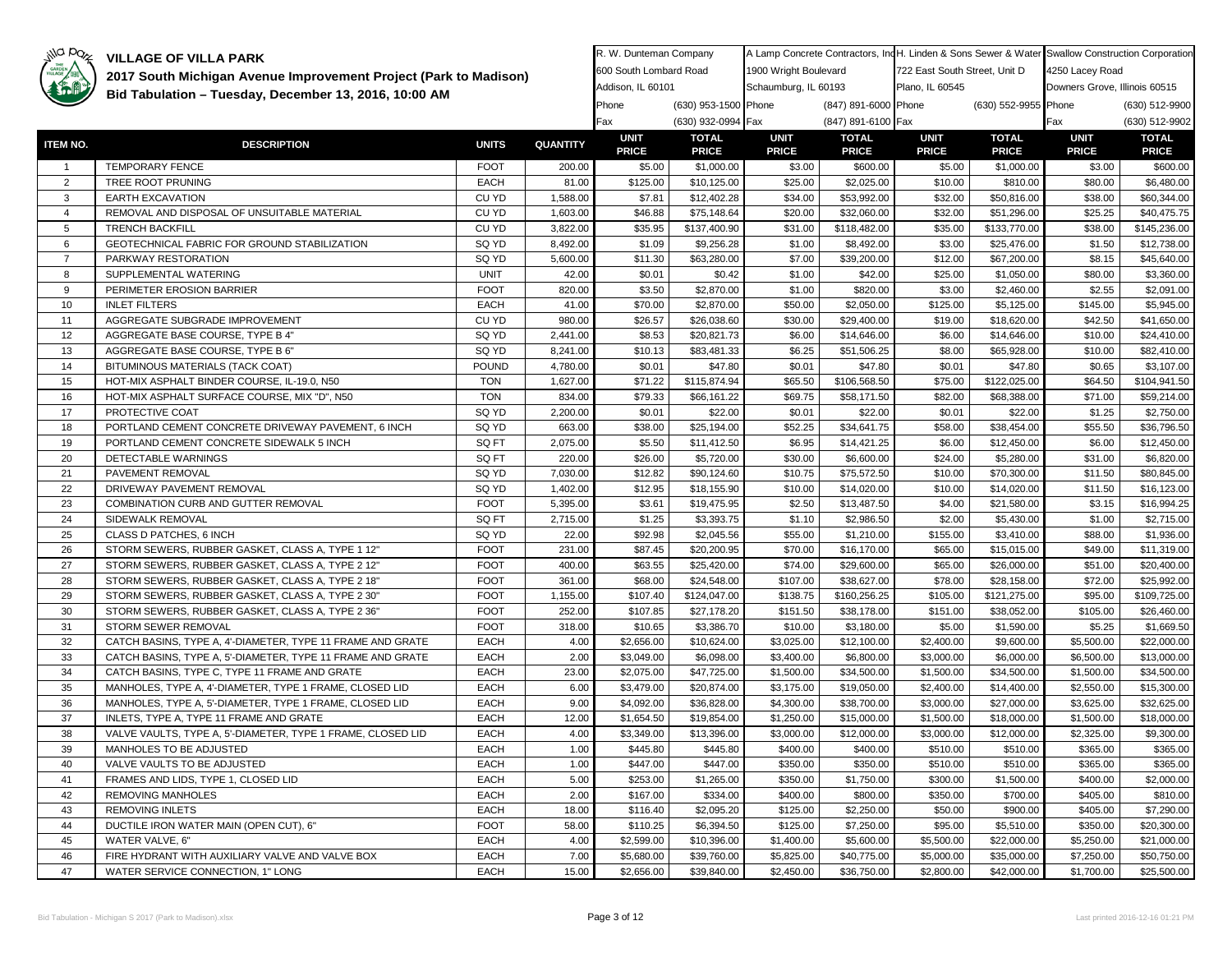

| GARDEN          | 2017 South Michigan Avenue Improvement Project (Park to Madison) |                            |                 | 600 South Lombard Road      |                              | 1900 Wright Boulevard       |                              | 722 East South Street, Unit D |                              | 4250 Lacey Road               |                              |
|-----------------|------------------------------------------------------------------|----------------------------|-----------------|-----------------------------|------------------------------|-----------------------------|------------------------------|-------------------------------|------------------------------|-------------------------------|------------------------------|
|                 |                                                                  |                            |                 | Addison, IL 60101           |                              | Schaumburg, IL 60193        |                              | Plano, IL 60545               |                              | Downers Grove, Illinois 60515 |                              |
|                 | Bid Tabulation - Tuesday, December 13, 2016, 10:00 AM            |                            |                 | Phone                       | (630) 953-1500 Phone         |                             | (847) 891-6000 Phone         |                               | (630) 552-9955 Phone         |                               | (630) 512-9900               |
|                 |                                                                  |                            |                 | Fax                         | (630) 932-0994 Fax           |                             | (847) 891-6100 Fax           |                               |                              | Fax                           | (630) 512-9902               |
| <b>ITEM NO.</b> | <b>DESCRIPTION</b>                                               | <b>UNITS</b>               | <b>QUANTITY</b> | <b>UNIT</b><br><b>PRICE</b> | <b>TOTAL</b><br><b>PRICE</b> | <b>UNIT</b><br><b>PRICE</b> | <b>TOTAL</b><br><b>PRICE</b> | <b>UNIT</b><br><b>PRICE</b>   | <b>TOTAL</b><br><b>PRICE</b> | <b>UNIT</b><br><b>PRICE</b>   | <b>TOTAL</b><br><b>PRICE</b> |
| $\overline{1}$  | <b>TEMPORARY FENCE</b>                                           | <b>FOOT</b>                | 200.00          | \$5.00                      | \$1,000.00                   | \$3.00                      | \$600.00                     | \$5.00                        | \$1,000.00                   | \$3.00                        | \$600.00                     |
| 2               | TREE ROOT PRUNING                                                | <b>EACH</b>                | 81.00           | \$125.00                    | \$10,125.00                  | \$25.00                     | \$2,025.00                   | \$10.00                       | \$810.00                     | \$80.00                       | \$6,480.00                   |
| 3               | <b>EARTH EXCAVATION</b>                                          | CU YD                      | 1,588.00        | \$7.81                      | \$12,402.28                  | \$34.00                     | \$53,992.00                  | \$32.00                       | \$50,816.00                  | \$38.00                       | \$60,344.00                  |
| $\overline{4}$  | REMOVAL AND DISPOSAL OF UNSUITABLE MATERIAL                      | CU YD                      | 1,603.00        | \$46.88                     | \$75,148.64                  | \$20.00                     | \$32,060.00                  | \$32.00                       | \$51,296.00                  | \$25.25                       | \$40,475.75                  |
| 5               | <b>TRENCH BACKFILL</b>                                           | CU YD                      | 3,822.00        | \$35.95                     | \$137,400.90                 | \$31.00                     | \$118,482.00                 | \$35.00                       | \$133,770.00                 | \$38.00                       | \$145,236.00                 |
| 6               | GEOTECHNICAL FABRIC FOR GROUND STABILIZATION                     | SQ YD                      | 8,492.00        | \$1.09                      | \$9,256.28                   | \$1.00                      | \$8,492.00                   | \$3.00                        | \$25,476.00                  | \$1.50                        | \$12,738.00                  |
| $\overline{7}$  | PARKWAY RESTORATION                                              | SQ YD                      | 5,600.00        | \$11.30                     | \$63,280.00                  | \$7.00                      | \$39,200.00                  | \$12.00                       | \$67,200.00                  | \$8.15                        | \$45,640.00                  |
| 8               | SUPPLEMENTAL WATERING                                            | <b>UNIT</b>                | 42.00           | \$0.01                      | \$0.42                       | \$1.00                      | \$42.00                      | \$25.00                       | \$1,050.00                   | \$80.00                       | \$3,360.00                   |
| 9               | PERIMETER EROSION BARRIER                                        | <b>FOOT</b>                | 820.00          | \$3.50                      | \$2,870.00                   | \$1.00                      | \$820.00                     | \$3.00                        | \$2,460.00                   | \$2.55                        | \$2,091.00                   |
| 10              | <b>INLET FILTERS</b>                                             | EACH                       | 41.00           | \$70.00                     | \$2,870.00                   | \$50.00                     | \$2,050.00                   | \$125.00                      | \$5,125.00                   | \$145.00                      | \$5,945.00                   |
| 11              | AGGREGATE SUBGRADE IMPROVEMENT                                   | CU YD                      | 980.00          | \$26.57                     | \$26,038.60                  | \$30.00                     | \$29,400.00                  | \$19.00                       | \$18,620.00                  | \$42.50                       | \$41,650.00                  |
| 12              | AGGREGATE BASE COURSE, TYPE B 4"                                 | SQ YD                      | 2,441.00        | \$8.53                      | \$20,821.73                  | \$6.00                      | \$14,646.00                  | \$6.00                        | \$14,646.00                  | \$10.00                       | \$24,410.00                  |
| 13              | AGGREGATE BASE COURSE, TYPE B 6"                                 | SQ YD                      | 8,241.00        | \$10.13                     | \$83,481.33                  | \$6.25                      | \$51,506.25                  | \$8.00                        | \$65,928.00                  | \$10.00                       | \$82,410.00                  |
| 14              | BITUMINOUS MATERIALS (TACK COAT)                                 | <b>POUND</b>               | 4,780.00        | \$0.01                      | \$47.80                      | \$0.01                      | \$47.80                      | \$0.01                        | \$47.80                      | \$0.65                        | \$3,107.00                   |
| 15              | HOT-MIX ASPHALT BINDER COURSE, IL-19.0, N50                      | <b>TON</b>                 | 1,627.00        | \$71.22                     | \$115,874.94                 | \$65.50                     | \$106,568.50                 | \$75.00                       | \$122,025.00                 | \$64.50                       | \$104,941.50                 |
| 16              | HOT-MIX ASPHALT SURFACE COURSE, MIX "D", N50                     | <b>TON</b>                 | 834.00          | \$79.33                     | \$66,161.22                  | \$69.75                     | \$58,171.50                  | \$82.00                       | \$68,388.00                  | \$71.00                       | \$59,214.00                  |
| 17              | PROTECTIVE COAT                                                  | SQ YD                      | 2,200.00        | \$0.01                      | \$22.00                      | \$0.01                      | \$22.00                      | \$0.01                        | \$22.00                      | \$1.25                        | \$2,750.00                   |
| 18              | PORTLAND CEMENT CONCRETE DRIVEWAY PAVEMENT, 6 INCH               | SQ YD                      | 663.00          | \$38.00                     | \$25,194.00                  | \$52.25                     | \$34,641.75                  | \$58.00                       | \$38,454.00                  | \$55.50                       | \$36,796.50                  |
| 19              | PORTLAND CEMENT CONCRETE SIDEWALK 5 INCH                         | SQ FT                      | 2,075.00        | \$5.50                      | \$11,412.50                  | \$6.95                      | \$14,421.25                  | \$6.00                        | \$12,450.00                  | \$6.00                        | \$12,450.00                  |
| 20              | DETECTABLE WARNINGS                                              | SQ FT                      | 220.00          | \$26.00                     | \$5,720.00                   | \$30.00                     | \$6,600.00                   | \$24.00                       | \$5,280.00                   | \$31.00                       | \$6,820.00                   |
| 21              | PAVEMENT REMOVAL                                                 | SQ YD                      | 7,030.00        | \$12.82                     | \$90,124.60                  | \$10.75                     | \$75,572.50                  | \$10.00                       | \$70,300.00                  | \$11.50                       | \$80,845.00                  |
| 22              | DRIVEWAY PAVEMENT REMOVAL                                        | SQ YD                      | 1,402.00        | \$12.95                     | \$18,155.90                  | \$10.00                     | \$14,020.00                  | \$10.00                       | \$14,020.00                  | \$11.50                       | \$16,123.00                  |
| 23              | COMBINATION CURB AND GUTTER REMOVAL                              | <b>FOOT</b>                | 5,395.00        | \$3.61                      | \$19,475.95                  | \$2.50                      | \$13,487.50                  | \$4.00                        | \$21,580.00                  | \$3.15                        | \$16,994.25                  |
| 24              | SIDEWALK REMOVAL                                                 | SQ FT                      | 2,715.00        | \$1.25                      | \$3,393.75                   | \$1.10                      | \$2,986.50                   | \$2.00                        | \$5,430.00                   | \$1.00                        | \$2,715.00                   |
| 25              | CLASS D PATCHES, 6 INCH                                          | SQ YD                      | 22.00           | \$92.98                     |                              | \$55.00                     |                              | \$155.00                      |                              | \$88.00                       |                              |
| 26              | STORM SEWERS, RUBBER GASKET, CLASS A, TYPE 1 12"                 | <b>FOOT</b>                | 231.00          | \$87.45                     | \$2,045.56<br>\$20,200.95    | \$70.00                     | \$1,210.00<br>\$16,170.00    | \$65.00                       | \$3,410.00                   | \$49.00                       | \$1,936.00                   |
| 27              | STORM SEWERS, RUBBER GASKET, CLASS A, TYPE 2 12"                 | <b>FOOT</b>                |                 | \$63.55                     |                              | \$74.00                     |                              |                               | \$15,015.00                  |                               | \$11,319.00<br>\$20,400.00   |
|                 |                                                                  | <b>FOOT</b>                | 400.00          |                             | \$25,420.00                  |                             | \$29,600.00                  | \$65.00                       | \$26,000.00                  | \$51.00                       |                              |
| 28              | STORM SEWERS, RUBBER GASKET, CLASS A, TYPE 2 18"                 |                            | 361.00          | \$68.00                     | \$24,548.00                  | \$107.00                    | \$38,627.00                  | \$78.00                       | \$28,158.00                  | \$72.00                       | \$25,992.00                  |
| 29              | STORM SEWERS, RUBBER GASKET, CLASS A, TYPE 2 30"                 | <b>FOOT</b><br><b>FOOT</b> | 1,155.00        | \$107.40                    | \$124,047.00                 | \$138.75                    | \$160,256.25                 | \$105.00                      | \$121,275.00                 | \$95.00                       | \$109,725.00                 |
| 30<br>31        | STORM SEWERS, RUBBER GASKET, CLASS A, TYPE 2 36"                 | <b>FOOT</b>                | 252.00          | \$107.85                    | \$27,178.20                  | \$151.50                    | \$38,178.00                  | \$151.00                      | \$38,052.00                  | \$105.00                      | \$26,460.00                  |
|                 | STORM SEWER REMOVAL                                              |                            | 318.00          | \$10.65                     | \$3,386.70                   | \$10.00                     | \$3,180.00                   | \$5.00                        | \$1,590.00                   | \$5.25                        | \$1,669.50                   |
| 32              | CATCH BASINS, TYPE A, 4'-DIAMETER, TYPE 11 FRAME AND GRATE       | <b>EACH</b>                | 4.00            | \$2,656.00                  | \$10,624.00                  | \$3,025.00                  | \$12,100.00                  | \$2,400.00                    | \$9,600.00                   | \$5,500.00                    | \$22,000.00                  |
| 33              | CATCH BASINS, TYPE A, 5'-DIAMETER, TYPE 11 FRAME AND GRATE       | <b>EACH</b>                | 2.00            | \$3,049.00                  | \$6,098.00                   | \$3,400.00                  | \$6,800.00                   | \$3,000.00                    | \$6,000.00                   | \$6,500.00                    | \$13,000.00                  |
| 34              | CATCH BASINS, TYPE C, TYPE 11 FRAME AND GRATE                    | <b>EACH</b>                | 23.00           | \$2,075.00                  | \$47,725.00                  | \$1,500.00                  | \$34,500.00                  | \$1,500.00                    | \$34,500.00                  | \$1,500.00                    | \$34,500.00                  |
| 35              | MANHOLES, TYPE A, 4'-DIAMETER, TYPE 1 FRAME, CLOSED LID          | <b>EACH</b>                | 6.00            | \$3,479.00                  | \$20,874.00                  | \$3,175.00                  | \$19,050.00                  | \$2,400.00                    | \$14,400.00                  | \$2,550.00                    | \$15,300.00                  |
| 36              | MANHOLES, TYPE A, 5'-DIAMETER, TYPE 1 FRAME, CLOSED LID          | <b>EACH</b>                | 9.00            | \$4,092.00                  | \$36,828.00                  | \$4,300.00                  | \$38,700.00                  | \$3,000.00                    | \$27,000.00                  | \$3,625.00                    | \$32,625.00                  |
| 37              | INLETS, TYPE A, TYPE 11 FRAME AND GRATE                          | <b>EACH</b>                | 12.00           | \$1,654.50                  | \$19,854.00                  | \$1,250.00                  | \$15,000.00                  | \$1,500.00                    | \$18,000.00                  | \$1,500.00                    | \$18,000.00                  |
| 38              | VALVE VAULTS, TYPE A, 5'-DIAMETER, TYPE 1 FRAME, CLOSED LID      | <b>EACH</b>                | 4.00            | \$3,349.00                  | \$13,396.00                  | \$3,000.00                  | \$12,000.00                  | \$3,000.00                    | \$12,000.00                  | \$2,325.00                    | \$9,300.00                   |
| 39              | MANHOLES TO BE ADJUSTED                                          | EACH                       | 1.00            | \$445.80                    | \$445.80                     | \$400.00                    | \$400.00                     | \$510.00                      | \$510.00                     | \$365.00                      | \$365.00                     |
| 40              | VALVE VAULTS TO BE ADJUSTED                                      | <b>EACH</b>                | 1.00            | \$447.00                    | \$447.00                     | \$350.00                    | \$350.00                     | \$510.00                      | \$510.00                     | \$365.00                      | \$365.00                     |
| 41              | FRAMES AND LIDS, TYPE 1, CLOSED LID                              | <b>EACH</b>                | 5.00            | \$253.00                    | \$1,265.00                   | \$350.00                    | \$1,750.00                   | \$300.00                      | \$1,500.00                   | \$400.00                      | \$2,000.00                   |
| 42              | <b>REMOVING MANHOLES</b>                                         | <b>EACH</b>                | 2.00            | \$167.00                    | \$334.00                     | \$400.00                    | \$800.00                     | \$350.00                      | \$700.00                     | \$405.00                      | \$810.00                     |
| 43              | <b>REMOVING INLETS</b>                                           | <b>EACH</b>                | 18.00           | \$116.40                    | \$2,095.20                   | \$125.00                    | \$2,250.00                   | \$50.00                       | \$900.00                     | \$405.00                      | \$7,290.00                   |
| 44              | DUCTILE IRON WATER MAIN (OPEN CUT), 6"                           | <b>FOOT</b>                | 58.00           | \$110.25                    | \$6,394.50                   | \$125.00                    | \$7,250.00                   | \$95.00                       | \$5,510.00                   | \$350.00                      | \$20,300.00                  |
| 45              | WATER VALVE, 6"                                                  | <b>EACH</b>                | 4.00            | \$2,599.00                  | \$10,396.00                  | \$1,400.00                  | \$5,600.00                   | \$5,500.00                    | \$22,000.00                  | \$5,250.00                    | \$21,000.00                  |
| 46              | FIRE HYDRANT WITH AUXILIARY VALVE AND VALVE BOX                  | <b>EACH</b>                | 7.00            | \$5,680.00                  | \$39,760.00                  | \$5,825.00                  | \$40,775.00                  | \$5,000.00                    | \$35,000.00                  | \$7,250.00                    | \$50,750.00                  |
| 47              | WATER SERVICE CONNECTION. 1" LONG                                | <b>EACH</b>                | 15.00           | \$2,656.00                  | \$39,840,00                  | \$2,450.00                  | \$36,750.00                  | \$2,800.00                    | \$42,000.00                  | \$1,700.00                    | \$25,500.00                  |

R. W. Dunteman Company

A Lamp Concrete Contractors, IndH. Linden & Sons Sewer & Water Swallow Construction Corporation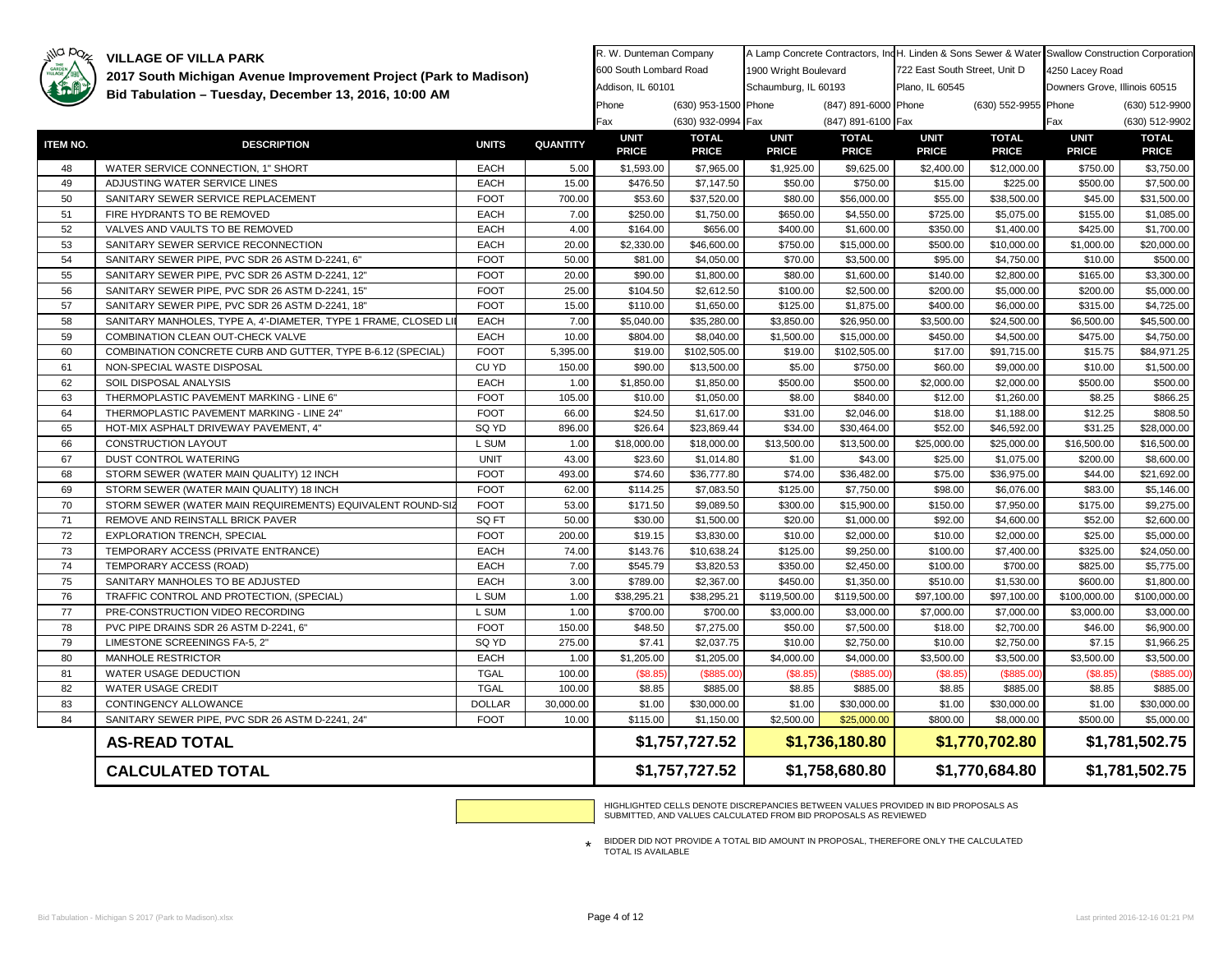# illa paz

**VILLAGE OF VILLA PARK** 

| THE GARDEN | 2017 South Michigan Avenue Improvement Project (Park to Madison) |               | 600 South Lombard Road |                            | 1900 Wright Boulevard      |                       | 722 East South Street, Unit D |                            | 4250 Lacey Road             |                               |                          |  |
|------------|------------------------------------------------------------------|---------------|------------------------|----------------------------|----------------------------|-----------------------|-------------------------------|----------------------------|-----------------------------|-------------------------------|--------------------------|--|
|            | Bid Tabulation - Tuesday, December 13, 2016, 10:00 AM            |               |                        | Addison, IL 60101          |                            | Schaumburg, IL 60193  |                               | Plano, IL 60545            |                             | Downers Grove, Illinois 60515 |                          |  |
|            |                                                                  |               |                        | Phone                      | (630) 953-1500 Phone       |                       | (847) 891-6000 Phone          |                            | (630) 552-9955 Phone        |                               | (630) 512-9900           |  |
|            |                                                                  |               |                        | Fax                        | (630) 932-0994 Fax         |                       | (847) 891-6100 Fax            |                            |                             | Fax                           | (630) 512-9902           |  |
| ITEM NO.   | <b>DESCRIPTION</b>                                               | <b>UNITS</b>  | <b>QUANTITY</b>        | <b>UNIT</b>                | <b>TOTAL</b>               | <b>UNIT</b>           | <b>TOTAL</b>                  | <b>UNIT</b>                | <b>TOTAL</b>                | <b>UNIT</b>                   | <b>TOTAL</b>             |  |
| 48         | WATER SERVICE CONNECTION, 1" SHORT                               | <b>EACH</b>   | 5.00                   | <b>PRICE</b><br>\$1,593.00 | <b>PRICE</b><br>\$7,965.00 | <b>PRICE</b>          | <b>PRICE</b>                  | <b>PRICE</b><br>\$2,400.00 | <b>PRICE</b><br>\$12,000.00 | <b>PRICE</b><br>\$750.00      | <b>PRICE</b>             |  |
| 49         | ADJUSTING WATER SERVICE LINES                                    | EACH          | 15.00                  | \$476.50                   | \$7,147.50                 | \$1,925.00<br>\$50.00 | \$9,625.00<br>\$750.00        | \$15.00                    | \$225.00                    | \$500.00                      | \$3,750.00<br>\$7,500.00 |  |
| 50         | SANITARY SEWER SERVICE REPLACEMENT                               | <b>FOOT</b>   | 700.00                 | \$53.60                    | \$37,520.00                | \$80.00               | \$56,000.00                   | \$55.00                    | \$38,500.00                 | \$45.00                       | \$31,500.00              |  |
| 51         | FIRE HYDRANTS TO BE REMOVED                                      | <b>EACH</b>   | 7.00                   | \$250.00                   | \$1,750.00                 | \$650.00              | \$4,550.00                    | \$725.00                   | \$5,075.00                  | \$155.00                      | \$1,085.00               |  |
| 52         | VALVES AND VAULTS TO BE REMOVED                                  | EACH          | 4.00                   | \$164.00                   | \$656.00                   | \$400.00              | \$1,600.00                    | \$350.00                   | \$1,400.00                  | \$425.00                      | \$1,700.00               |  |
| 53         | SANITARY SEWER SERVICE RECONNECTION                              | <b>EACH</b>   | 20.00                  | \$2,330.00                 | \$46,600.00                | \$750.00              | \$15,000.00                   | \$500.00                   | \$10,000.00                 | \$1,000.00                    | \$20,000.00              |  |
| 54         | SANITARY SEWER PIPE, PVC SDR 26 ASTM D-2241, 6"                  | <b>FOOT</b>   | 50.00                  | \$81.00                    | \$4,050.00                 | \$70.00               | \$3,500.00                    | \$95.00                    | \$4,750.00                  | \$10.00                       | \$500.00                 |  |
| 55         | SANITARY SEWER PIPE, PVC SDR 26 ASTM D-2241, 12"                 | <b>FOOT</b>   | 20.00                  | \$90.00                    | \$1,800.00                 | \$80.00               | \$1,600.00                    | \$140.00                   | \$2,800.00                  | \$165.00                      | \$3,300.00               |  |
| 56         | SANITARY SEWER PIPE, PVC SDR 26 ASTM D-2241, 15"                 | <b>FOOT</b>   | 25.00                  | \$104.50                   | \$2,612.50                 | \$100.00              | \$2,500.00                    | \$200.00                   | \$5,000.00                  | \$200.00                      | \$5,000.00               |  |
| 57         | SANITARY SEWER PIPE, PVC SDR 26 ASTM D-2241, 18"                 | <b>FOOT</b>   | 15.00                  | \$110.00                   | \$1,650.00                 | \$125.00              | \$1,875.00                    | \$400.00                   | \$6,000.00                  | \$315.00                      | \$4,725.00               |  |
| 58         | SANITARY MANHOLES, TYPE A, 4'-DIAMETER, TYPE 1 FRAME, CLOSED LI  | EACH          | 7.00                   | \$5,040.00                 | \$35,280.00                | \$3,850.00            | \$26,950.00                   | \$3,500.00                 | \$24,500.00                 | \$6,500.00                    | \$45,500.00              |  |
| 59         | COMBINATION CLEAN OUT-CHECK VALVE                                | EACH          | 10.00                  | \$804.00                   | \$8,040.00                 | \$1,500.00            | \$15,000.00                   | \$450.00                   | \$4,500.00                  | \$475.00                      | \$4,750.00               |  |
| 60         | COMBINATION CONCRETE CURB AND GUTTER, TYPE B-6.12 (SPECIAL)      | <b>FOOT</b>   | 5,395.00               | \$19.00                    | \$102,505.00               | \$19.00               | \$102,505.00                  | \$17.00                    | \$91,715.00                 | \$15.75                       | \$84,971.25              |  |
| 61         | NON-SPECIAL WASTE DISPOSAL                                       | CU YD         | 150.00                 | \$90.00                    | \$13,500.00                | \$5.00                | \$750.00                      | \$60.00                    | \$9,000.00                  | \$10.00                       | \$1,500.00               |  |
| 62         | SOIL DISPOSAL ANALYSIS                                           | <b>EACH</b>   | 1.00                   | \$1,850.00                 | \$1,850.00                 | \$500.00              | \$500.00                      | \$2,000.00                 | \$2,000.00                  | \$500.00                      | \$500.00                 |  |
| 63         | THERMOPLASTIC PAVEMENT MARKING - LINE 6"                         | <b>FOOT</b>   | 105.00                 | \$10.00                    | \$1,050.00                 | \$8.00                | \$840.00                      | \$12.00                    | \$1,260.00                  | \$8.25                        | \$866.25                 |  |
| 64         | THERMOPLASTIC PAVEMENT MARKING - LINE 24"                        | <b>FOOT</b>   | 66.00                  | \$24.50                    | \$1,617.00                 | \$31.00               | \$2,046.00                    | \$18.00                    | \$1,188.00                  | \$12.25                       | \$808.50                 |  |
| 65         | HOT-MIX ASPHALT DRIVEWAY PAVEMENT, 4"                            | SQ YD         | 896.00                 | \$26.64                    | \$23,869.44                | \$34.00               | \$30,464.00                   | \$52.00                    | \$46,592.00                 | \$31.25                       | \$28,000.00              |  |
| 66         | CONSTRUCTION LAYOUT                                              | L SUM         | 1.00                   | \$18,000.00                | \$18,000.00                | \$13,500.00           | \$13,500.00                   | \$25,000.00                | \$25,000.00                 | \$16,500.00                   | \$16,500.00              |  |
| 67         | DUST CONTROL WATERING                                            | <b>UNIT</b>   | 43.00                  | \$23.60                    | \$1,014.80                 | \$1.00                | \$43.00                       | \$25.00                    | \$1,075.00                  | \$200.00                      | \$8,600.00               |  |
| 68         | STORM SEWER (WATER MAIN QUALITY) 12 INCH                         | <b>FOOT</b>   | 493.00                 | \$74.60                    | \$36,777.80                | \$74.00               | \$36,482.00                   | \$75.00                    | \$36,975.00                 | \$44.00                       | \$21,692.00              |  |
| 69         | STORM SEWER (WATER MAIN QUALITY) 18 INCH                         | <b>FOOT</b>   | 62.00                  | \$114.25                   | \$7,083.50                 | \$125.00              | \$7,750.00                    | \$98.00                    | \$6,076.00                  | \$83.00                       | \$5,146.00               |  |
| 70         | STORM SEWER (WATER MAIN REQUIREMENTS) EQUIVALENT ROUND-SIZ       | <b>FOOT</b>   | 53.00                  | \$171.50                   | \$9,089.50                 | \$300.00              | \$15,900.00                   | \$150.00                   | \$7,950.00                  | \$175.00                      | \$9,275.00               |  |
| 71         | REMOVE AND REINSTALL BRICK PAVER                                 | SQ FT         | 50.00                  | \$30.00                    | \$1,500.00                 | \$20.00               | \$1,000.00                    | \$92.00                    | \$4,600.00                  | \$52.00                       | \$2,600.00               |  |
| 72         | EXPLORATION TRENCH, SPECIAL                                      | <b>FOOT</b>   | 200.00                 | \$19.15                    | \$3,830.00                 | \$10.00               | \$2,000.00                    | \$10.00                    | \$2,000.00                  | \$25.00                       | \$5,000.00               |  |
| 73         | TEMPORARY ACCESS (PRIVATE ENTRANCE)                              | EACH          | 74.00                  | \$143.76                   | \$10,638.24                | \$125.00              | \$9,250.00                    | \$100.00                   | \$7,400.00                  | \$325.00                      | \$24,050.00              |  |
| 74         | TEMPORARY ACCESS (ROAD)                                          | EACH          | 7.00                   | \$545.79                   | \$3,820.53                 | \$350.00              | \$2,450.00                    | \$100.00                   | \$700.00                    | \$825.00                      | \$5,775.00               |  |
| 75         | SANITARY MANHOLES TO BE ADJUSTED                                 | EACH          | 3.00                   | \$789.00                   | \$2,367.00                 | \$450.00              | \$1,350.00                    | \$510.00                   | \$1,530.00                  | \$600.00                      | \$1,800.00               |  |
| 76         | TRAFFIC CONTROL AND PROTECTION, (SPECIAL)                        | L SUM         | 1.00                   | \$38,295.21                | \$38,295.21                | \$119,500.00          | \$119,500.00                  | \$97,100.00                | \$97,100.00                 | \$100,000.00                  | \$100,000.00             |  |
| 77         | PRE-CONSTRUCTION VIDEO RECORDING                                 | L SUM         | 1.00                   | \$700.00                   | \$700.00                   | \$3,000.00            | \$3,000.00                    | \$7,000.00                 | \$7,000.00                  | \$3,000.00                    | \$3,000.00               |  |
| 78         | PVC PIPE DRAINS SDR 26 ASTM D-2241, 6"                           | <b>FOOT</b>   | 150.00                 | \$48.50                    | \$7,275.00                 | \$50.00               | \$7,500.00                    | \$18.00                    | \$2,700.00                  | \$46.00                       | \$6,900.00               |  |
| 79         | LIMESTONE SCREENINGS FA-5, 2"                                    | SQ YD         | 275.00                 | \$7.41                     | \$2,037.75                 | \$10.00               | \$2,750.00                    | \$10.00                    | \$2,750.00                  | \$7.15                        | \$1,966.25               |  |
| 80         | <b>MANHOLE RESTRICTOR</b>                                        | EACH          | 1.00                   | \$1,205.00                 | \$1,205.00                 | \$4,000.00            | \$4,000.00                    | \$3,500.00                 | \$3,500.00                  | \$3,500.00                    | \$3,500.00               |  |
| 81         | WATER USAGE DEDUCTION                                            | <b>TGAL</b>   | 100.00                 | (\$8.85                    | \$885.00                   | (\$8.85               | (\$885.00                     | (\$8.85                    | (\$885.00                   | (\$8.85                       | (\$885.00)               |  |
| 82         | WATER USAGE CREDIT                                               | <b>TGAL</b>   | 100.00                 | \$8.85                     | \$885.00                   | \$8.85                | \$885.00                      | \$8.85                     | \$885.00                    | \$8.85                        | \$885.00                 |  |
| 83         | CONTINGENCY ALLOWANCE                                            | <b>DOLLAR</b> | 30,000.00              | \$1.00                     | \$30,000.00                | \$1.00                | \$30,000.00                   | \$1.00                     | \$30,000.00                 | \$1.00                        | \$30,000.00              |  |
| 84         | SANITARY SEWER PIPE, PVC SDR 26 ASTM D-2241, 24"                 | <b>FOOT</b>   | 10.00                  | \$115.00                   | \$1,150.00                 | \$2,500.00            | \$25,000.00                   | \$800.00                   | \$8,000.00                  | \$500.00                      | \$5,000.00               |  |
|            | <b>AS-READ TOTAL</b>                                             |               |                        |                            | \$1,757,727.52             | \$1,736,180.80        |                               | \$1,770,702.80             |                             |                               | \$1,781,502.75           |  |
|            | <b>CALCULATED TOTAL</b>                                          |               |                        |                            | \$1,757,727.52             |                       | \$1,758,680.80                |                            | \$1,770,684.80              | \$1,781,502.75                |                          |  |

R. W. Dunteman Company

HIGHLIGHTED CELLS DENOTE DISCREPANCIES BETWEEN VALUES PROVIDED IN BID PROPOSALS AS SUBMITTED, AND VALUES CALCULATED FROM BID PROPOSALS AS REVIEWED

A Lamp Concrete Contractors, IndH. Linden & Sons Sewer & Water Swallow Construction Corporation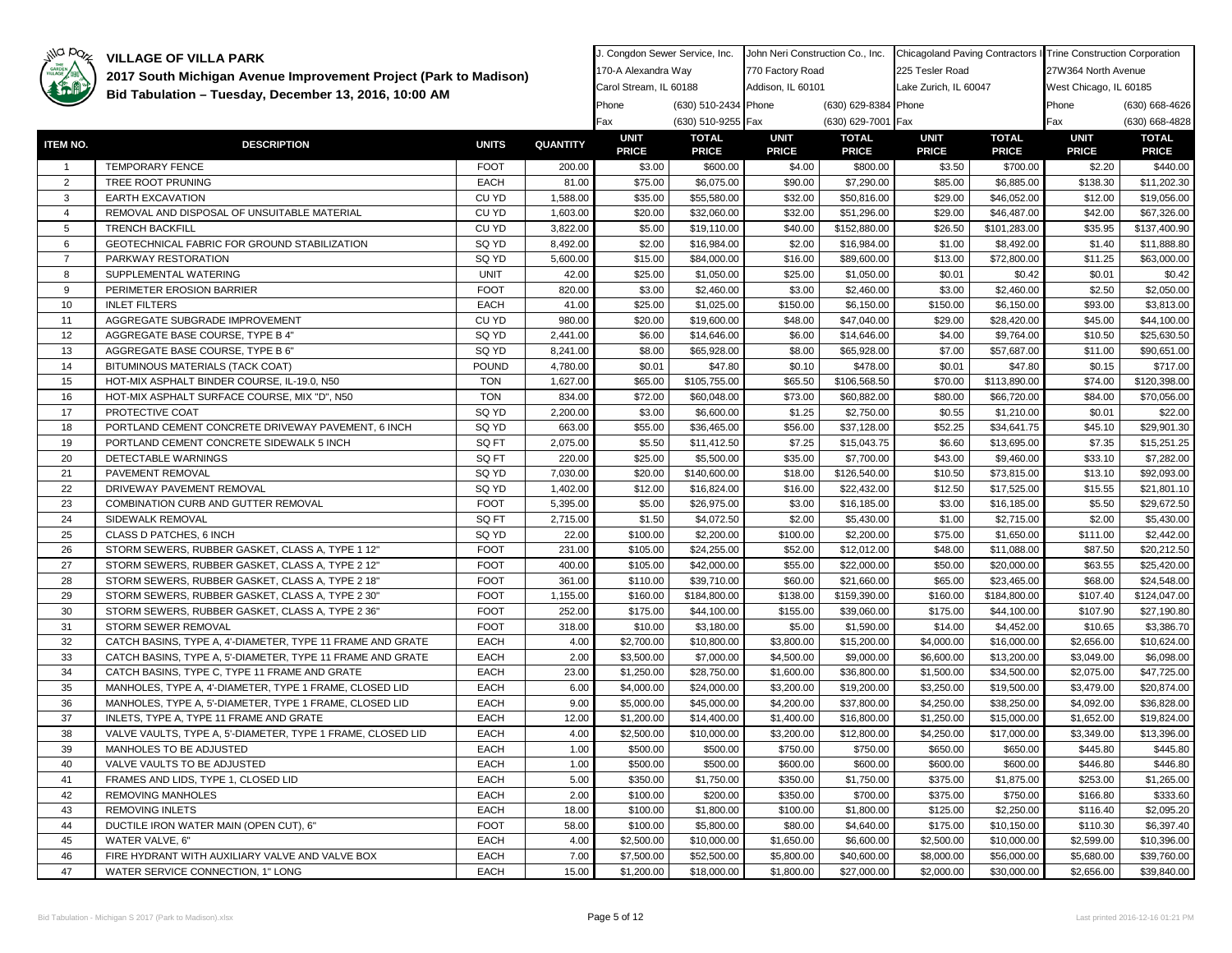

| GARDEN         | 2017 South Michigan Avenue Improvement Project (Park to Madison) |              |          | 170-A Alexandra Way         |                              | 770 Factory Road            |                              | 225 Tesler Road             |                              | 27W364 North Avenue         |                              |
|----------------|------------------------------------------------------------------|--------------|----------|-----------------------------|------------------------------|-----------------------------|------------------------------|-----------------------------|------------------------------|-----------------------------|------------------------------|
|                |                                                                  |              |          | Carol Stream, IL 60188      |                              | Addison, IL 60101           |                              | Lake Zurich, IL 60047       |                              | West Chicago, IL 60185      |                              |
|                | Bid Tabulation - Tuesday, December 13, 2016, 10:00 AM            |              |          | Phone                       | (630) 510-2434 Phone         |                             | (630) 629-8384 Phone         |                             |                              | Phone                       | (630) 668-4626               |
|                |                                                                  |              |          | Fax                         | (630) 510-9255 Fax           |                             | (630) 629-7001 Fax           |                             |                              | Fax                         | (630) 668-4828               |
| ITEM NO.       | <b>DESCRIPTION</b>                                               | <b>UNITS</b> | QUANTITY | <b>UNIT</b><br><b>PRICE</b> | <b>TOTAL</b><br><b>PRICE</b> | <b>UNIT</b><br><b>PRICE</b> | <b>TOTAL</b><br><b>PRICE</b> | <b>UNIT</b><br><b>PRICE</b> | <b>TOTAL</b><br><b>PRICE</b> | <b>UNIT</b><br><b>PRICE</b> | <b>TOTAL</b><br><b>PRICE</b> |
| -1             | TEMPORARY FENCE                                                  | <b>FOOT</b>  | 200.00   | \$3.00                      | \$600.00                     | \$4.00                      | \$800.00                     | \$3.50                      | \$700.00                     | \$2.20                      | \$440.00                     |
| 2              | TREE ROOT PRUNING                                                | <b>EACH</b>  | 81.00    | \$75.00                     | \$6,075.00                   | \$90.00                     | \$7,290.00                   | \$85.00                     | \$6,885.00                   | \$138.30                    | \$11,202.30                  |
| 3              | <b>EARTH EXCAVATION</b>                                          | CU YD        | 1,588.00 | \$35.00                     | \$55,580.00                  | \$32.00                     | \$50,816.00                  | \$29.00                     | \$46,052.00                  | \$12.00                     | \$19,056.00                  |
| $\overline{4}$ | REMOVAL AND DISPOSAL OF UNSUITABLE MATERIAL                      | CU YD        | 1,603.00 | \$20.00                     | \$32,060.00                  | \$32.00                     | \$51,296.00                  | \$29.00                     | \$46,487.00                  | \$42.00                     | \$67,326.00                  |
| 5              | <b>TRENCH BACKFILL</b>                                           | CU YD        | 3,822.00 | \$5.00                      | \$19,110.00                  | \$40.00                     | \$152,880.00                 | \$26.50                     | \$101,283.00                 | \$35.95                     | \$137,400.90                 |
| 6              | GEOTECHNICAL FABRIC FOR GROUND STABILIZATION                     | SQ YD        | 8,492.00 | \$2.00                      | \$16,984.00                  | \$2.00                      | \$16,984.00                  | \$1.00                      | \$8,492.00                   | \$1.40                      | \$11,888.80                  |
| $\overline{7}$ | PARKWAY RESTORATION                                              | SQ YD        | 5,600.00 | \$15.00                     | \$84,000.00                  | \$16.00                     | \$89,600.00                  | \$13.00                     | \$72,800.00                  | \$11.25                     | \$63,000.00                  |
| 8              | SUPPLEMENTAL WATERING                                            | <b>UNIT</b>  | 42.00    | \$25.00                     | \$1,050.00                   | \$25.00                     | \$1,050.00                   | \$0.01                      | \$0.42                       | \$0.01                      | \$0.42                       |
| 9              | PERIMETER EROSION BARRIER                                        | <b>FOOT</b>  | 820.00   | \$3.00                      | \$2,460.00                   | \$3.00                      | \$2,460.00                   | \$3.00                      | \$2,460.00                   | \$2.50                      | \$2,050.00                   |
| 10             | <b>INLET FILTERS</b>                                             | <b>EACH</b>  | 41.00    | \$25.00                     | \$1,025.00                   | \$150.00                    | \$6,150.00                   | \$150.00                    | \$6,150.00                   | \$93.00                     | \$3,813.00                   |
| 11             | AGGREGATE SUBGRADE IMPROVEMENT                                   | CU YD        | 980.00   | \$20.00                     | \$19,600.00                  | \$48.00                     | \$47,040.00                  | \$29.00                     | \$28,420.00                  | \$45.00                     | \$44,100.00                  |
| 12             | AGGREGATE BASE COURSE, TYPE B 4"                                 | SQ YD        | 2,441.00 | \$6.00                      | \$14,646.00                  | \$6.00                      | \$14,646.00                  | \$4.00                      | \$9,764.00                   | \$10.50                     | \$25,630.50                  |
| 13             | AGGREGATE BASE COURSE, TYPE B 6"                                 | SQ YD        | 8,241.00 | \$8.00                      | \$65,928.00                  | \$8.00                      | \$65,928.00                  | \$7.00                      | \$57,687.00                  | \$11.00                     | \$90,651.00                  |
| 14             | BITUMINOUS MATERIALS (TACK COAT)                                 | <b>POUND</b> | 4,780.00 | \$0.01                      | \$47.80                      | \$0.10                      | \$478.00                     | \$0.01                      | \$47.80                      | \$0.15                      | \$717.00                     |
| 15             | HOT-MIX ASPHALT BINDER COURSE, IL-19.0, N50                      | <b>TON</b>   | 1,627.00 | \$65.00                     | \$105,755.00                 | \$65.50                     | \$106,568.50                 | \$70.00                     | \$113,890.00                 | \$74.00                     | \$120,398.00                 |
| 16             | HOT-MIX ASPHALT SURFACE COURSE, MIX "D", N50                     | <b>TON</b>   | 834.00   | \$72.00                     | \$60,048.00                  | \$73.00                     | \$60,882.00                  | \$80.00                     | \$66,720.00                  | \$84.00                     | \$70,056.00                  |
| 17             | PROTECTIVE COAT                                                  | SQ YD        | 2,200.00 | \$3.00                      | \$6,600.00                   | \$1.25                      | \$2,750.00                   | \$0.55                      | \$1,210.00                   | \$0.01                      | \$22.00                      |
| 18             | PORTLAND CEMENT CONCRETE DRIVEWAY PAVEMENT, 6 INCH               | SQ YD        | 663.00   | \$55.00                     | \$36,465.00                  | \$56.00                     | \$37,128.00                  | \$52.25                     | \$34,641.75                  | \$45.10                     | \$29,901.30                  |
| 19             | PORTLAND CEMENT CONCRETE SIDEWALK 5 INCH                         | SQ FT        | 2,075.00 | \$5.50                      | \$11,412.50                  | \$7.25                      | \$15,043.75                  | \$6.60                      | \$13,695.00                  | \$7.35                      | \$15,251.25                  |
| 20             | DETECTABLE WARNINGS                                              | SQ FT        | 220.00   | \$25.00                     | \$5,500.00                   | \$35.00                     | \$7,700.00                   | \$43.00                     | \$9,460.00                   | \$33.10                     | \$7,282.00                   |
| 21             | PAVEMENT REMOVAL                                                 | SQ YD        | 7,030.00 | \$20.00                     | \$140,600.00                 | \$18.00                     | \$126,540.00                 | \$10.50                     | \$73,815.00                  | \$13.10                     | \$92,093.00                  |
| 22             | DRIVEWAY PAVEMENT REMOVAL                                        | SQ YD        | 1,402.00 | \$12.00                     | \$16,824.00                  | \$16.00                     | \$22,432.00                  | \$12.50                     | \$17,525.00                  | \$15.55                     | \$21,801.10                  |
| 23             | COMBINATION CURB AND GUTTER REMOVAL                              | <b>FOOT</b>  | 5,395.00 | \$5.00                      | \$26,975.00                  | \$3.00                      | \$16,185.00                  | \$3.00                      | \$16,185.00                  | \$5.50                      | \$29,672.50                  |
| 24             | SIDEWALK REMOVAL                                                 | SQ FT        | 2,715.00 | \$1.50                      | \$4,072.50                   | \$2.00                      | \$5,430.00                   | \$1.00                      | \$2,715.00                   | \$2.00                      | \$5,430.00                   |
| 25             | CLASS D PATCHES, 6 INCH                                          | SQ YD        | 22.00    | \$100.00                    | \$2,200.00                   | \$100.00                    | \$2,200.00                   | \$75.00                     | \$1,650.00                   | \$111.00                    | \$2,442.00                   |
| 26             | STORM SEWERS, RUBBER GASKET, CLASS A, TYPE 1 12"                 | <b>FOOT</b>  | 231.00   | \$105.00                    | \$24,255.00                  | \$52.00                     | \$12,012.00                  | \$48.00                     | \$11,088.00                  | \$87.50                     | \$20,212.50                  |
| 27             | STORM SEWERS, RUBBER GASKET, CLASS A, TYPE 2 12"                 | <b>FOOT</b>  | 400.00   | \$105.00                    | \$42,000.00                  | \$55.00                     | \$22,000.00                  | \$50.00                     | \$20,000.00                  | \$63.55                     | \$25,420.00                  |
| 28             | STORM SEWERS, RUBBER GASKET, CLASS A, TYPE 2 18"                 | <b>FOOT</b>  | 361.00   | \$110.00                    | \$39,710.00                  | \$60.00                     | \$21,660.00                  | \$65.00                     | \$23,465.00                  | \$68.00                     | \$24,548.00                  |
| 29             | STORM SEWERS, RUBBER GASKET, CLASS A, TYPE 2 30"                 | <b>FOOT</b>  | 1,155.00 | \$160.00                    | \$184,800.00                 | \$138.00                    | \$159,390.00                 | \$160.00                    | \$184,800.00                 | \$107.40                    | \$124,047.00                 |
| 30             | STORM SEWERS, RUBBER GASKET, CLASS A, TYPE 2 36'                 | <b>FOOT</b>  | 252.00   | \$175.00                    | \$44,100.00                  | \$155.00                    | \$39,060.00                  | \$175.00                    | \$44,100.00                  | \$107.90                    | \$27,190.80                  |
| 31             | STORM SEWER REMOVAL                                              | <b>FOOT</b>  | 318.00   | \$10.00                     | \$3,180.00                   | \$5.00                      | \$1,590.00                   | \$14.00                     | \$4,452.00                   | \$10.65                     | \$3,386.70                   |
| 32             | CATCH BASINS, TYPE A, 4'-DIAMETER, TYPE 11 FRAME AND GRATE       | <b>EACH</b>  | 4.00     | \$2,700.00                  | \$10,800.00                  | \$3,800.00                  | \$15,200.00                  | \$4,000.00                  | \$16,000.00                  | \$2,656.00                  | \$10,624.00                  |
| 33             | CATCH BASINS, TYPE A, 5'-DIAMETER, TYPE 11 FRAME AND GRATE       | <b>EACH</b>  | 2.00     | \$3,500.00                  | \$7,000.00                   | \$4,500.00                  | \$9,000.00                   | \$6,600.00                  | \$13,200.00                  | \$3,049.00                  | \$6,098.00                   |
| 34             | CATCH BASINS, TYPE C, TYPE 11 FRAME AND GRATE                    | <b>EACH</b>  | 23.00    | \$1,250.00                  | \$28,750.00                  | \$1,600.00                  | \$36,800.00                  | \$1,500.00                  | \$34,500.00                  | \$2,075.00                  | \$47,725.00                  |
| 35             | MANHOLES, TYPE A, 4'-DIAMETER, TYPE 1 FRAME, CLOSED LID          | EACH         | 6.00     | \$4,000.00                  | \$24,000.00                  | \$3,200.00                  | \$19,200.00                  | \$3,250.00                  | \$19,500.00                  | \$3,479.00                  | \$20,874.00                  |
| 36             | MANHOLES, TYPE A, 5'-DIAMETER, TYPE 1 FRAME, CLOSED LID          | <b>EACH</b>  | 9.00     | \$5,000.00                  | \$45,000.00                  | \$4,200.00                  | \$37,800.00                  | \$4,250.00                  | \$38,250.00                  | \$4,092.00                  | \$36,828.00                  |
| 37             | INLETS, TYPE A, TYPE 11 FRAME AND GRATE                          | <b>EACH</b>  | 12.00    | \$1,200.00                  | \$14,400.00                  | \$1,400.00                  | \$16,800.00                  | \$1,250.00                  | \$15,000.00                  | \$1,652.00                  | \$19,824.00                  |
| 38             | VALVE VAULTS, TYPE A, 5'-DIAMETER, TYPE 1 FRAME, CLOSED LID      | EACH         | 4.00     | \$2,500.00                  | \$10,000.00                  | \$3,200.00                  | \$12,800.00                  | \$4,250.00                  | \$17,000.00                  | \$3,349.00                  | \$13,396.00                  |
| 39             | MANHOLES TO BE ADJUSTED                                          | <b>EACH</b>  | 1.00     | \$500.00                    | \$500.00                     | \$750.00                    | \$750.00                     | \$650.00                    | \$650.00                     | \$445.80                    | \$445.80                     |
| 40             | VALVE VAULTS TO BE ADJUSTED                                      | <b>EACH</b>  | 1.00     | \$500.00                    | \$500.00                     | \$600.00                    | \$600.00                     | \$600.00                    | \$600.00                     | \$446.80                    | \$446.80                     |
| 41             | FRAMES AND LIDS, TYPE 1, CLOSED LID                              | <b>EACH</b>  | 5.00     | \$350.00                    | \$1,750.00                   | \$350.00                    | \$1,750.00                   | \$375.00                    | \$1,875.00                   | \$253.00                    | \$1,265.00                   |
| 42             | REMOVING MANHOLES                                                | EACH         | 2.00     | \$100.00                    | \$200.00                     | \$350.00                    | \$700.00                     | \$375.00                    | \$750.00                     | \$166.80                    | \$333.60                     |
| 43             | <b>REMOVING INLETS</b>                                           | <b>EACH</b>  | 18.00    | \$100.00                    | \$1,800.00                   | \$100.00                    | \$1,800.00                   | \$125.00                    | \$2,250.00                   | \$116.40                    | \$2,095.20                   |
| 44             | DUCTILE IRON WATER MAIN (OPEN CUT), 6"                           | <b>FOOT</b>  | 58.00    | \$100.00                    | \$5,800.00                   | \$80.00                     | \$4,640.00                   | \$175.00                    | \$10,150.00                  | \$110.30                    | \$6,397.40                   |
| 45             | WATER VALVE, 6"                                                  | EACH         | 4.00     | \$2,500.00                  | \$10,000.00                  | \$1,650.00                  | \$6,600.00                   | \$2,500.00                  | \$10,000.00                  | \$2,599.00                  | \$10,396.00                  |
| 46             | FIRE HYDRANT WITH AUXILIARY VALVE AND VALVE BOX                  | <b>EACH</b>  | 7.00     | \$7,500.00                  | \$52,500.00                  | \$5,800.00                  | \$40,600.00                  | \$8,000.00                  | \$56,000.00                  | \$5,680.00                  | \$39,760.00                  |
| 47             | WATER SERVICE CONNECTION, 1" LONG                                | <b>EACH</b>  | 15.00    | \$1,200.00                  | \$18,000.00                  | \$1,800.00                  | \$27,000.00                  | \$2,000.00                  | \$30,000.00                  | \$2,656.00                  | \$39,840.00                  |

J. Congdon Sewer Service, Inc. NJohn Neri Construction Co., Inc. NChicagoland Paving Contractors InTrine Construction Corporation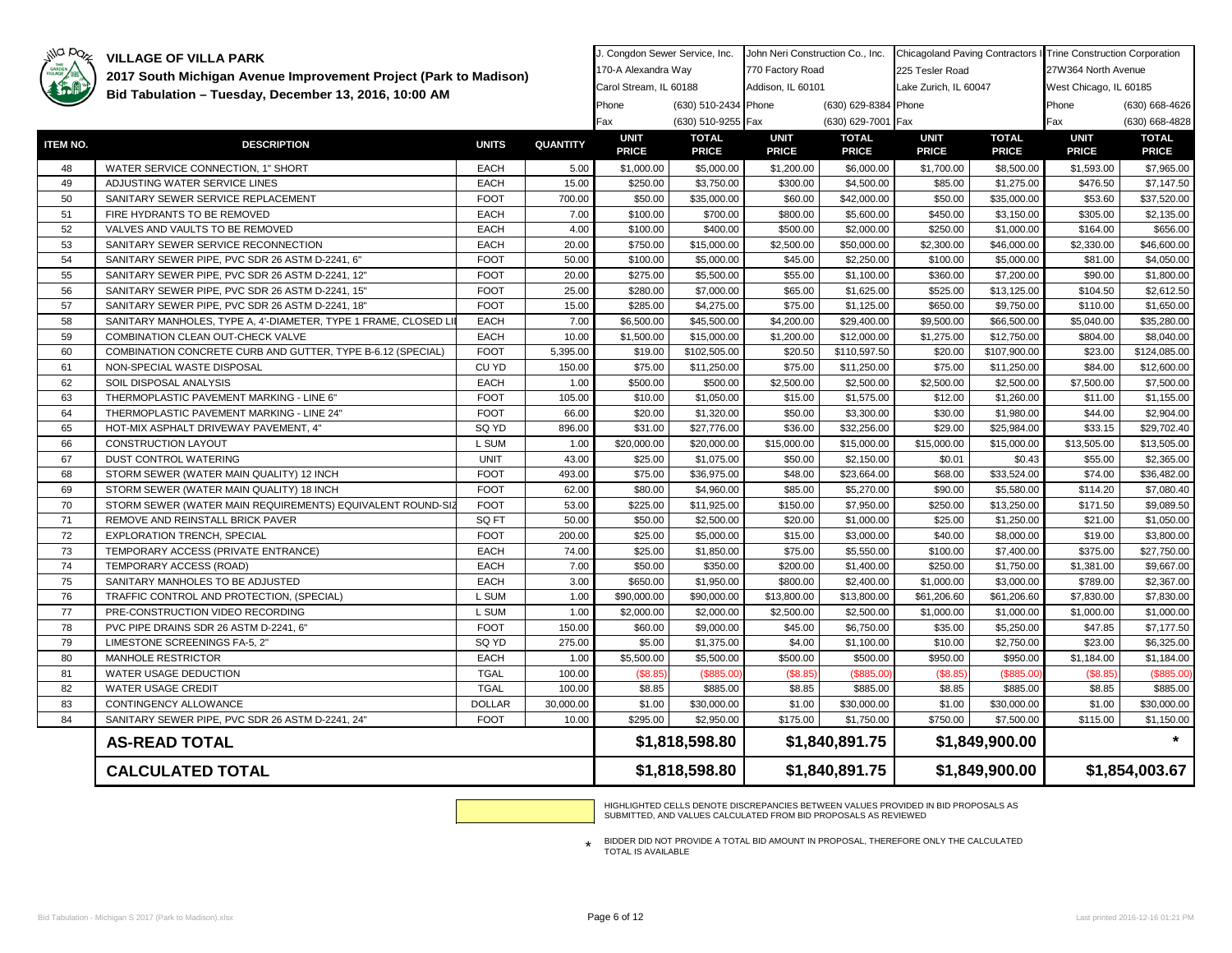### $p_{Q_{Z}}$

**VILLAGE OF VILLA PARK** 

| who have | <b>VILLAGE OF VILLA PARK</b>                                     |               |                 | J. Congdon Sewer Service, Inc. |                              | John Neri Construction Co., Inc. |                              | Chicagoland Paving Contractors I Trine Construction Corporation |                              |                             |                              |
|----------|------------------------------------------------------------------|---------------|-----------------|--------------------------------|------------------------------|----------------------------------|------------------------------|-----------------------------------------------------------------|------------------------------|-----------------------------|------------------------------|
| GARDEN   | 2017 South Michigan Avenue Improvement Project (Park to Madison) |               |                 | 170-A Alexandra Way            |                              | 770 Factory Road                 |                              | 225 Tesler Road                                                 |                              | 27W364 North Avenue         |                              |
|          | Bid Tabulation - Tuesday, December 13, 2016, 10:00 AM            |               |                 | Carol Stream, IL 60188         |                              | Addison, IL 60101                |                              | Lake Zurich, IL 60047                                           |                              | West Chicago, IL 60185      |                              |
|          |                                                                  |               |                 | Phone                          | (630) 510-2434 Phone         |                                  | (630) 629-8384 Phone         |                                                                 |                              | Phone                       | (630) 668-4626               |
|          |                                                                  |               |                 | Fax                            | (630) 510-9255 Fax           |                                  | (630) 629-7001 Fax           |                                                                 |                              | Fax                         | (630) 668-4828               |
| ITEM NO. | <b>DESCRIPTION</b>                                               | <b>UNITS</b>  | <b>QUANTITY</b> | <b>UNIT</b><br><b>PRICE</b>    | <b>TOTAL</b><br><b>PRICE</b> | <b>UNIT</b><br><b>PRICE</b>      | <b>TOTAL</b><br><b>PRICE</b> | <b>UNIT</b><br><b>PRICE</b>                                     | <b>TOTAL</b><br><b>PRICE</b> | <b>UNIT</b><br><b>PRICE</b> | <b>TOTAL</b><br><b>PRICE</b> |
| 48       | WATER SERVICE CONNECTION, 1" SHORT                               | <b>EACH</b>   | 5.00            | \$1,000.00                     | \$5,000.00                   | \$1,200.00                       | \$6,000.00                   | \$1,700.00                                                      | \$8,500.00                   | \$1,593.00                  | \$7,965.00                   |
| 49       | ADJUSTING WATER SERVICE LINES                                    | <b>EACH</b>   | 15.00           | \$250.00                       | \$3,750.00                   | \$300.00                         | \$4,500.00                   | \$85.00                                                         | \$1,275.00                   | \$476.50                    | \$7,147.50                   |
| 50       | SANITARY SEWER SERVICE REPLACEMENT                               | <b>FOOT</b>   | 700.00          | \$50.00                        | \$35,000.00                  | \$60.00                          | \$42,000.00                  | \$50.00                                                         | \$35,000.00                  | \$53.60                     | \$37,520.00                  |
| 51       | FIRE HYDRANTS TO BE REMOVED                                      | <b>EACH</b>   | 7.00            | \$100.00                       | \$700.00                     | \$800.00                         | \$5,600.00                   | \$450.00                                                        | \$3,150.00                   | \$305.00                    | \$2,135.00                   |
| 52       | VALVES AND VAULTS TO BE REMOVED                                  | <b>EACH</b>   | 4.00            | \$100.00                       | \$400.00                     | \$500.00                         | \$2,000.00                   | \$250.00                                                        | \$1,000.00                   | \$164.00                    | \$656.00                     |
| 53       | SANITARY SEWER SERVICE RECONNECTION                              | <b>EACH</b>   | 20.00           | \$750.00                       | \$15,000.00                  | \$2,500.00                       | \$50,000.00                  | \$2,300.00                                                      | \$46,000.00                  | \$2,330.00                  | \$46,600.00                  |
| 54       | SANITARY SEWER PIPE, PVC SDR 26 ASTM D-2241, 6"                  | <b>FOOT</b>   | 50.00           | \$100.00                       | \$5,000.00                   | \$45.00                          | \$2,250.00                   | \$100.00                                                        | \$5,000.00                   | \$81.00                     | \$4,050.00                   |
| 55       | SANITARY SEWER PIPE, PVC SDR 26 ASTM D-2241, 12"                 | <b>FOOT</b>   | 20.00           | \$275.00                       | \$5,500.00                   | \$55.00                          | \$1,100.00                   | \$360.00                                                        | \$7,200.00                   | \$90.00                     | \$1,800.00                   |
| 56       | SANITARY SEWER PIPE, PVC SDR 26 ASTM D-2241, 15"                 | <b>FOOT</b>   | 25.00           | \$280.00                       | \$7,000.00                   | \$65.00                          | \$1,625.00                   | \$525.00                                                        | \$13,125.00                  | \$104.50                    | \$2,612.50                   |
| 57       | SANITARY SEWER PIPE, PVC SDR 26 ASTM D-2241, 18"                 | <b>FOOT</b>   | 15.00           | \$285.00                       | \$4,275.00                   | \$75.00                          | \$1,125.00                   | \$650.00                                                        | \$9,750.00                   | \$110.00                    | \$1,650.00                   |
| 58       | SANITARY MANHOLES, TYPE A, 4'-DIAMETER, TYPE 1 FRAME, CLOSED LI  | <b>EACH</b>   | 7.00            | \$6,500.00                     | \$45,500.00                  | \$4,200.00                       | \$29,400.00                  | \$9,500.00                                                      | \$66,500.00                  | \$5,040.00                  | \$35,280.00                  |
| 59       | COMBINATION CLEAN OUT-CHECK VALVE                                | <b>EACH</b>   | 10.00           | \$1,500.00                     | \$15,000.00                  | \$1,200.00                       | \$12,000.00                  | \$1,275.00                                                      | \$12,750.00                  | \$804.00                    | \$8,040.00                   |
| 60       | COMBINATION CONCRETE CURB AND GUTTER, TYPE B-6.12 (SPECIAL)      | <b>FOOT</b>   | 5,395.00        | \$19.00                        | \$102,505.00                 | \$20.50                          | \$110,597.50                 | \$20.00                                                         | \$107,900.00                 | \$23.00                     | \$124,085.00                 |
| 61       | NON-SPECIAL WASTE DISPOSAL                                       | CU YD         | 150.00          | \$75.00                        | \$11,250.00                  | \$75.00                          | \$11,250.00                  | \$75.00                                                         | \$11,250.00                  | \$84.00                     | \$12,600.00                  |
| 62       | SOIL DISPOSAL ANALYSIS                                           | <b>EACH</b>   | 1.00            | \$500.00                       | \$500.00                     | \$2,500.00                       | \$2,500.00                   | \$2,500.00                                                      | \$2,500.00                   | \$7,500.00                  | \$7,500.00                   |
| 63       | THERMOPLASTIC PAVEMENT MARKING - LINE 6"                         | <b>FOOT</b>   | 105.00          | \$10.00                        | \$1,050.00                   | \$15.00                          | \$1,575.00                   | \$12.00                                                         | \$1,260.00                   | \$11.00                     | \$1,155.00                   |
| 64       | THERMOPLASTIC PAVEMENT MARKING - LINE 24"                        | <b>FOOT</b>   | 66.00           | \$20.00                        | \$1,320.00                   | \$50.00                          | \$3,300.00                   | \$30.00                                                         | \$1,980.00                   | \$44.00                     | \$2,904.00                   |
| 65       | HOT-MIX ASPHALT DRIVEWAY PAVEMENT, 4"                            | SQ YD         | 896.00          | \$31.00                        | \$27,776.00                  | \$36.00                          | \$32,256.00                  | \$29.00                                                         | \$25,984.00                  | \$33.15                     | \$29,702.40                  |
| 66       | CONSTRUCTION LAYOUT                                              | L SUM         | 1.00            | \$20,000.00                    | \$20,000.00                  | \$15,000.00                      | \$15,000.00                  | \$15,000.00                                                     | \$15,000.00                  | \$13,505.00                 | \$13,505.00                  |
| 67       | DUST CONTROL WATERING                                            | <b>UNIT</b>   | 43.00           | \$25.00                        | \$1,075.00                   | \$50.00                          | \$2,150.00                   | \$0.01                                                          | \$0.43                       | \$55.00                     | \$2,365.00                   |
| 68       | STORM SEWER (WATER MAIN QUALITY) 12 INCH                         | <b>FOOT</b>   | 493.00          | \$75.00                        | \$36,975.00                  | \$48.00                          | \$23,664.00                  | \$68.00                                                         | \$33,524.00                  | \$74.00                     | \$36,482.00                  |
| 69       | STORM SEWER (WATER MAIN QUALITY) 18 INCH                         | <b>FOOT</b>   | 62.00           | \$80.00                        | \$4,960.00                   | \$85.00                          | \$5,270.00                   | \$90.00                                                         | \$5,580.00                   | \$114.20                    | \$7,080.40                   |
| 70       | STORM SEWER (WATER MAIN REQUIREMENTS) EQUIVALENT ROUND-SIZ       | <b>FOOT</b>   | 53.00           | \$225.00                       | \$11,925.00                  | \$150.00                         | \$7,950.00                   | \$250.00                                                        | \$13,250.00                  | \$171.50                    | \$9,089.50                   |
| 71       | REMOVE AND REINSTALL BRICK PAVER                                 | SQ FT         | 50.00           | \$50.00                        | \$2,500.00                   | \$20.00                          | \$1,000.00                   | \$25.00                                                         | \$1,250.00                   | \$21.00                     | \$1,050.00                   |
| 72       | EXPLORATION TRENCH, SPECIAL                                      | <b>FOOT</b>   | 200.00          | \$25.00                        | \$5,000.00                   | \$15.00                          | \$3,000.00                   | \$40.00                                                         | \$8,000.00                   | \$19.00                     | \$3,800.00                   |
| 73       | TEMPORARY ACCESS (PRIVATE ENTRANCE)                              | <b>EACH</b>   | 74.00           | \$25.00                        | \$1,850.00                   | \$75.00                          | \$5,550.00                   | \$100.00                                                        | \$7,400.00                   | \$375.00                    | \$27,750.00                  |
| 74       | TEMPORARY ACCESS (ROAD)                                          | <b>EACH</b>   | 7.00            | \$50.00                        | \$350.00                     | \$200.00                         | \$1,400.00                   | \$250.00                                                        | \$1,750.00                   | \$1,381.00                  | \$9,667.00                   |
| 75       | SANITARY MANHOLES TO BE ADJUSTED                                 | <b>EACH</b>   | 3.00            | \$650.00                       | \$1,950.00                   | \$800.00                         | \$2,400.00                   | \$1,000.00                                                      | \$3,000.00                   | \$789.00                    | \$2,367.00                   |
| 76       | TRAFFIC CONTROL AND PROTECTION, (SPECIAL)                        | L SUM         | 1.00            | \$90,000.00                    | \$90,000.00                  | \$13,800.00                      | \$13,800.00                  | \$61,206.60                                                     | \$61,206.60                  | \$7,830.00                  | \$7,830.00                   |
| 77       | PRE-CONSTRUCTION VIDEO RECORDING                                 | L SUM         | 1.00            | \$2,000.00                     | \$2,000.00                   | \$2,500.00                       | \$2,500.00                   | \$1,000.00                                                      | \$1,000.00                   | \$1,000.00                  | \$1,000.00                   |
| 78       | PVC PIPE DRAINS SDR 26 ASTM D-2241, 6"                           | <b>FOOT</b>   | 150.00          | \$60.00                        | \$9,000.00                   | \$45.00                          | \$6,750.00                   | \$35.00                                                         | \$5,250.00                   | \$47.85                     | \$7,177.50                   |
| 79       | LIMESTONE SCREENINGS FA-5, 2"                                    | SQ YD         | 275.00          | \$5.00                         | \$1,375.00                   | \$4.00                           | \$1,100.00                   | \$10.00                                                         | \$2,750.00                   | \$23.00                     | \$6,325.00                   |
| 80       | MANHOLE RESTRICTOR                                               | <b>EACH</b>   | 1.00            | \$5,500.00                     | \$5,500.00                   | \$500.00                         | \$500.00                     | \$950.00                                                        | \$950.00                     | \$1,184.00                  | \$1,184.00                   |
| 81       | WATER USAGE DEDUCTION                                            | <b>TGAL</b>   | 100.00          | \$8.85                         | (\$885.00                    | (\$8.85                          | (\$885.00                    | (\$8.85                                                         | (\$885.00                    | (\$8.85                     | (\$885.00)                   |
| 82       | WATER USAGE CREDIT                                               | <b>TGAL</b>   | 100.00          | \$8.85                         | \$885.00                     | \$8.85                           | \$885.00                     | \$8.85                                                          | \$885.00                     | \$8.85                      | \$885.00                     |
| 83       | CONTINGENCY ALLOWANCE                                            | <b>DOLLAR</b> | 30,000.00       | \$1.00                         | \$30,000.00                  | \$1.00                           | \$30,000.00                  | \$1.00                                                          | \$30,000.00                  | \$1.00                      | \$30,000.00                  |
| 84       | SANITARY SEWER PIPE, PVC SDR 26 ASTM D-2241, 24"                 | <b>FOOT</b>   | 10.00           | \$295.00                       | \$2,950.00                   | \$175.00                         | \$1,750.00                   | \$750.00                                                        | \$7,500.00                   | \$115.00                    | \$1,150.00                   |
|          | <b>AS-READ TOTAL</b>                                             |               |                 |                                | \$1,818,598.80               | \$1,840,891.75                   |                              | \$1,849,900.00                                                  |                              |                             |                              |
|          | <b>CALCULATED TOTAL</b>                                          |               |                 |                                | \$1,818,598.80               |                                  | \$1,840,891.75               |                                                                 | \$1,849,900.00               | \$1,854,003.67              |                              |

HIGHLIGHTED CELLS DENOTE DISCREPANCIES BETWEEN VALUES PROVIDED IN BID PROPOSALS AS SUBMITTED, AND VALUES CALCULATED FROM BID PROPOSALS AS REVIEWED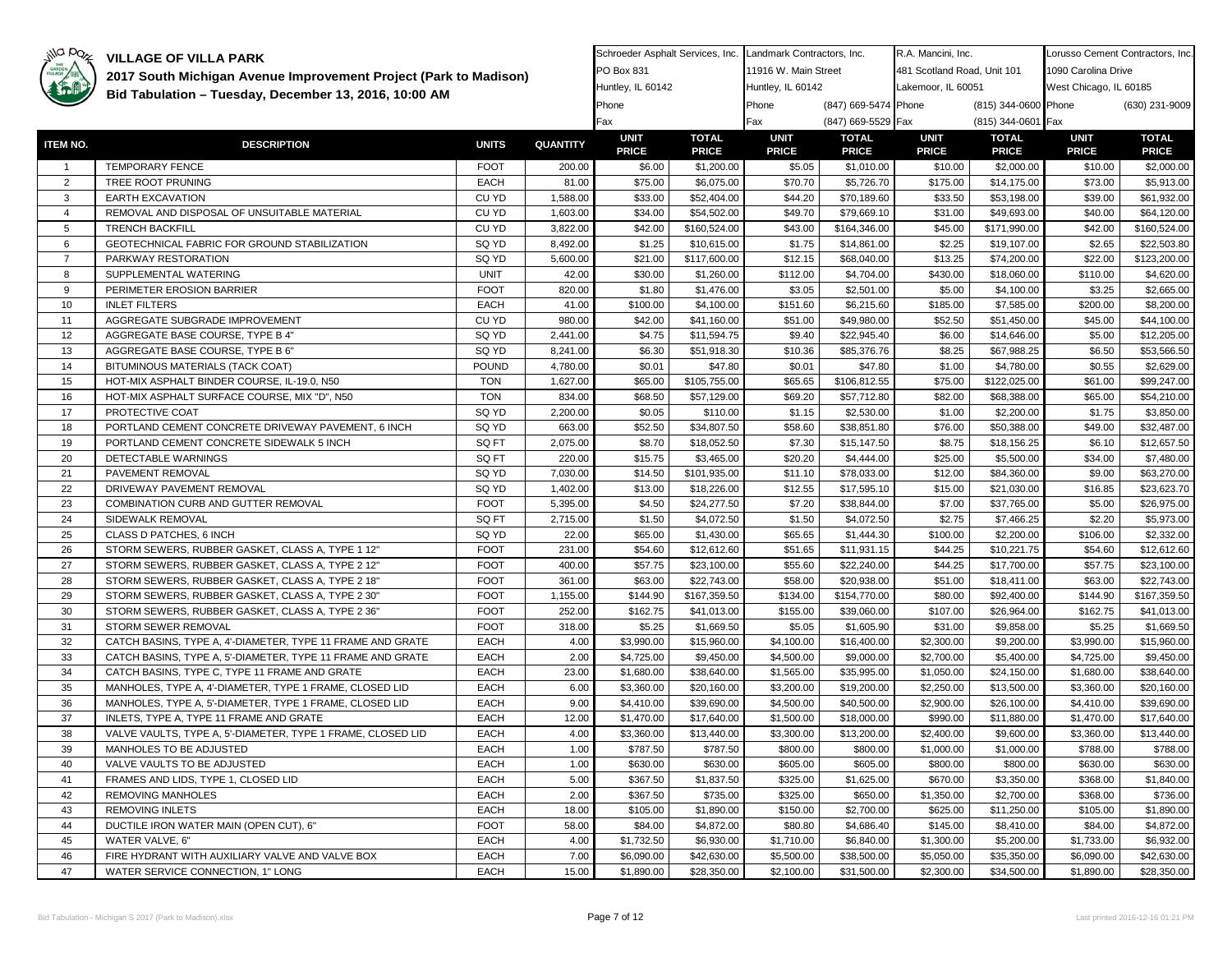

**2017 South Michigan Avenue Improvement Project (Park to Madison)** 

37 | INLETS, TYPE A, TYPE 11 FRAME AND GRATE | EACH | 12.00 38 | VALVE VAULTS, TYPE A, 5'-DIAMETER, TYPE 1 FRAME, CLOSED LID | EACH | 4.00 39 MANHOLES TO BE ADJUSTED And the set of the set of the set of the set of the set of the set of the set of th 40 VALVE VAULTS TO BE ADJUSTED EACH 1.0041 FRAMES AND LIDS, TYPE 1, CLOSED LID EACH 5.00 42 REMOVING MANHOLES EACH 2.00 43 REMOVING INLETS EACH 18.00 44 | DUCTILE IRON WATER MAIN (OPEN CUT), 6" | FOOT | 58.00 45 WATER VALVE, 6" And All Contracts and According to the Material According to the Material According to the Material According to the 4.00 46 FIRE HYDRANT WITH AUXILIARY VALVE AND VALVE BOX EACH 7.0047 WATER SERVICE CONNECTION. 1" LONG And The CONNECTION CONSUMER SERVICE CONNECTION. 1" LONG

**ITEM NO. DESCRIPTION UNITS QUANTITY**1 TEMPORARY FENCE FOOT 200.00 2 | TREE ROOT PRUNING **EACH 81.00** 3 EARTH EXCAVATION CU YD CU YD 1,588.00 4 REMOVAL AND DISPOSAL OF UNSUITABLE MATERIAL CU YD 1,603.00 5 TRENCH BACKFILL CU YD 3,822.00 6 GEOTECHNICAL FABRIC FOR GROUND STABILIZATION **SQ YD** 8,492.00 7 PARKWAY RESTORATION SQ YD 5,600.00 8 SUPPLEMENTAL WATERING UNIT 42.009 PERIMETER EROSION BARRIER FOOT 820.00 10 INLET FILTERS **EACH** 41.00 11 AGGREGATE SUBGRADE IMPROVEMENT CU YD 980.0012 AGGREGATE BASE COURSE, TYPE B 4" SQ YD 3,441.00 13 AGGREGATE BASE COURSE, TYPE B 6" SQ YD 8,241.00 14 BITUMINOUS MATERIALS (TACK COAT) POUND 4,780.00 15 | HOT-MIX ASPHALT BINDER COURSE, IL-19.0, N50 | TON | 1.627.00 16 | HOT-MIX ASPHALT SURFACE COURSE, MIX "D", N50 | TON | 834.00 17 PROTECTIVE COAT SQ YD 2,200.00 18 PORTLAND CEMENT CONCRETE DRIVEWAY PAVEMENT, 6 INCH SQ YD 663.00 19 PORTLAND CEMENT CONCRETE SIDEWALK 5 INCH SQ FT 3Q FT 2,075.00 20 DETECTABLE WARNINGS SALE AND THE SOFT 1 220.00 21 PAVEMENT REMOVAL SQ YD SQ YD 7,030.00 22 DRIVEWAY PAVEMENT REMOVAL SQ YD SQ YD 1.402.00 23 COMBINATION CURB AND GUTTER REMOVAL **FOOT** 5,395.00 24 SIDEWALK REMOVAL SQ FT 2.715.00 25 CLASS D PATCHES, 6 INCH SQ YD SQ YD 22.00 26 STORM SEWERS, RUBBER GASKET, CLASS A, TYPE 1 12" FOOT 331.00 27 STORM SEWERS, RUBBER GASKET, CLASS A, TYPE 2 12" FOOT | 400.00 28 STORM SEWERS, RUBBER GASKET, CLASS A, TYPE 2 18" FOOT 361.00 29 STORM SEWERS, RUBBER GASKET, CLASS A, TYPE 2 30" FOOT 1,155.00 30 STORM SEWERS, RUBBER GASKET, CLASS A, TYPE 2 36" FOOT 252.00 31 STORM SEWER REMOVAL FOOT 318.00 32 CATCH BASINS, TYPE A, 4'-DIAMETER, TYPE 11 FRAME AND GRATE FACH 4.00 33 | CATCH BASINS, TYPE A, 5'-DIAMETER, TYPE 11 FRAME AND GRATE | EACH | 2.00 34 CATCH BASINS, TYPE C, TYPE 11 FRAME AND GRATE EACH EACH 23.00 35 MANHOLES, TYPE A, 4'-DIAMETER, TYPE 1 FRAME, CLOSED LID EACH 6.00 36 MANHOLES, TYPE A, 5'-DIAMETER, TYPE 1 FRAME, CLOSED LID EACH 9.00 **Bid Tabulation – Tuesday, December 13, 2016, 10:00 AM Phone** Phone Phone (847) 669-5474 Phone (815) 344-0600 Phone (816) 344-0600 Phone (816) 344-0600 Phone (830) 231-9009 Fax Fax (847) 669-5529 Fax (815) 344-0601 Fax **UNITPRICETOTAL PRICEUNIT PRICETOTAL PRICEUNIT PRICETOTAL PRICEUNIT PRICE**\$6.00 \$1,200.00 \$5.05 \$1,010.00 \$10.00 \$2,000.00 \$10.00 \$2,000.00 \$75.00 \$6,075.00 \$70.70 \$5,726.70 \$175.00 \$14,175.00 \$73.00 \$5,913.00 \$33.00 \$52,404.00 \$44.20 \$70,189.60 \$33.50 \$53,198.00 \$39.00 \$61,932.00 \$34.00 \$54,502.00 \$49.70 \$79,669.10 \$31.00 \$49,693.00 \$40.00 \$64,120.00 \$42.00 \$160,524.00 \$43.00 \$164,346.00 \$45.00 \$171,990.00 \$42.00 \$160,524.00 \$1.25 \$10,615.00 \$1.75 \$14,861.00 \$2.25 \$19,107.00 \$2.65 \$22,503.80 \$21.00 \$117,600.00 \$12.15 \$68,040.00 \$13.25 \$74,200.00 \$22.00 \$123,200.00 \$30.00 \$1,260.00 \$112.00 \$4,704.00 \$430.00 \$18,060.00 \$110.00 \$4,620.00 \$1.80 \$1,476.00 \$3.05 \$2,501.00 \$5.00 \$4,100.00 \$3.25 \$2,665.00 \$100.00 \$4,100.00 \$151.60 \$6,215.60 \$185.00 \$7,585.00 \$200.00 \$8,200.00 \$42.00 | \$41,160.00 | \$51.00 | \$49,980.00 | \$52.50 | \$51,450.00 | \$45.00 | \$44,100.00 \$4.75 \$11,594.75 \$9.40 \$22,945.40 \$6.00 \$14,646.00 \$5.00 \$12,205.00 \$6.30 \$51,918.30 \$10.36 \$85,376.76 \$8.25 \$67,988.25 \$6.50 \$53,566.50 \$0.01 \$47.80 \$0.01 \$47.80 \$1.00 \$4,780.00 \$0.55 \$2,629.00 \$65.00 \$105,755.00 \$65.65 \$106,812.55 \$75.00 \$122,025.00 \$61.00 \$99,247.00 \$68.50 \$57,129.00 \$69.20 \$57,712.80 \$82.00 \$68,388.00 \$65.00 \$54,210.00 \$0.05 \$110.00 \$1.15 \$2,530.00 \$1.00 \$2,200.00 \$1.75 \$3,850.00 \$52.50 \$34,807.50 \$58.60 \$38,851.80 \$76.00 \$50,388.00 \$49.00 \$32,487.00 \$8.70 \$18,052.50 \$7.30 \$15,147.50 \$8.75 \$18,156.25 \$6.10 \$12,657.50 \$15.75 \$3,465.00 \$20.20 \$4,444.00 \$25.00 \$5,500.00 \$34.00 \$7,480.00 \$14.50 \$101,935.00 \$11.10 \$78,033.00 \$12.00 \$84,360.00 \$9.00 \$63,270.00 \$13.00 \$18,226.00 \$12.55 \$17,595.10 \$15.00 \$21,030.00 \$16.85 \$23,623.70 \$4.50 \$24,277.50 \$7.20 \$38,844.00 \$7.00 \$37,765.00 \$5.00 \$26,975.00 \$1.50 \$4,072.50 \$1.50 \$4,072.50 \$2.75 \$7,466.25 \$2.20 \$5,973.00 \$65.00 \$1,430.00 \$65.65 \$1,444.30 \$100.00 \$2,200.00 \$106.00 \$2,332.00 \$54.60 \$12,612.60 \$51.65 \$11,931.15 \$44.25 \$10,221.75 \$54.60 \$12,612.60 \$57.75 \$23,100.00 \$55.60 \$22,240.00 \$44.25 \$17,700.00 \$57.75 \$23,100.00 \$63.00 \$22,743.00 \$58.00 \$20,938.00 \$51.00 \$18,411.00 \$63.00 \$22,743.00 \$144.90 \$167,359.50 \$134.00 \$154,770.00 \$80.00 \$92,400.00 \$144.90 \$167,359.50 \$162.75 \$41,013.00 \$155.00 \$39,060.00 \$107.00 \$26,964.00 \$162.75 \$41,013.00 \$5.25 \$1,669.50 \$5.05 \$1,605.90 \$31.00 \$9,858.00 \$5.25 \$1,669.50 \$3,990.00 \$15,960.00 \$4,100.00 \$16,400.00 \$2,300.00 \$9,200.00 \$3,990.00 \$15,960.00 \$4,725.00 \$9,450.00 \$4,500.00 \$9,000.00 \$2,700.00 \$5,400.00 \$4,725.00 \$9,450.00 \$1,680.00 \$38,640.00 \$1,565.00 \$35,995.00 \$1,050.00 \$24,150.00 \$1,680.00 \$38,640.00 \$3,360.00 \$20,160.00 \$3,200.00 \$19,200.00 \$2,250.00 \$13,500.00 \$3,360.00 \$20,160.00 \$4,410.00 \$39,690.00 \$4,500.00 \$40,500.00 \$2,900.00 \$26,100.00 \$4,410.00 \$39,690.00 West Chicago, IL 60185 Huntley, IL 60142

\$1,470.00 \$17,640.00 \$1,500.00 \$18,000.00 \$990.00 \$11,880.00 \$1,470.00 \$17,640.00 \$3,360.00 \$13,440.00 \$3,300.00 \$13,200.00 \$2,400.00 \$9,600.00 \$3,360.00 \$13,440.00 \$787.50 \$787.50 \$800.00 \$800.00 \$1,000.00 \$1,000.00 \$788.00 \$788.00 \$630.00 \$630.00 \$605.00 \$605.00 \$800.00 \$800.00 \$630.00 \$630.00 \$367.50 | \$1,837.50 | \$325.00 | \$1,625.00 | \$670.00 | \$3,350.00 | \$368.00 | \$1,840.00 \$367.50 \$735.00 \$325.00 \$650.00 \$1,350.00 \$2,700.00 \$368.00 \$736.00 \$105.00 \$1,890.00 \$150.00 \$2,700.00 \$625.00 \$11,250.00 \$105.00 \$1,890.00 \$84.00 \$4,872.00 \$80.80 \$4,686.40 \$145.00 \$8,410.00 \$84.00 \$4,872.00 \$1,732.50 \$6,930.00 \$1,710.00 \$6,840.00 \$1,300.00 \$5,200.00 \$1,733.00 \$6,932.00 \$6,090.00 \$42,630.00 \$5,500.00 \$38,500.00 \$5,050.00 \$35,350.00 \$6,090.00 \$42,630.00 \$1,890.00 \$28,350.00 \$2,100.00 \$31,500.00 \$2,300.00 \$34,500.00 \$1,890.00 \$28,350.00

R.A. Mancini, Inc. 481 Scotland Road, Unit 101

Landmark Contractors, Inc. 11916 W. Main Street

Schroeder Asphalt Services, Inc.

PO Box 831

**TOTAL PRICE**

Lorusso Cement Contractors, Inc.

1090 Carolina Drive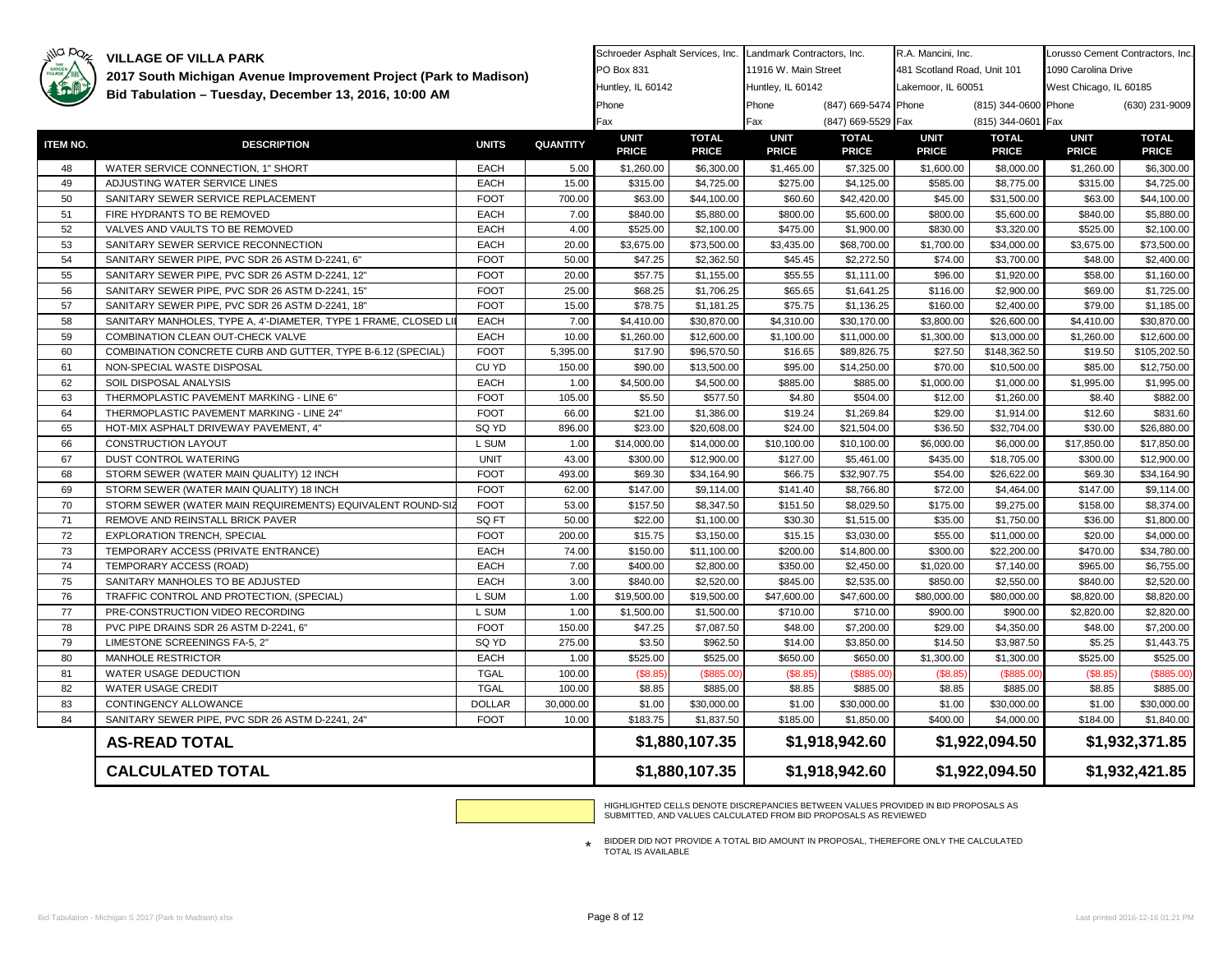# ila paz

**VILLAGE OF VILLA PARK** 

| GARDEN   |                                                                | 2017 South Michigan Avenue Improvement Project (Park to Madison) |                |                             |                              | 11916 W. Main Street        |                              | 481 Scotland Road, Unit 101 |                              | 1090 Carolina Drive         |                              |
|----------|----------------------------------------------------------------|------------------------------------------------------------------|----------------|-----------------------------|------------------------------|-----------------------------|------------------------------|-----------------------------|------------------------------|-----------------------------|------------------------------|
|          |                                                                |                                                                  |                | Huntley, IL 60142           |                              | Huntley, IL 60142           |                              | Lakemoor, IL 60051          |                              | West Chicago, IL 60185      |                              |
|          | Bid Tabulation - Tuesday, December 13, 2016, 10:00 AM          |                                                                  |                | Phone                       |                              | Phone                       | (847) 669-5474 Phone         |                             | (815) 344-0600 Phone         |                             | (630) 231-9009               |
|          |                                                                |                                                                  |                | Fax                         |                              | Fax                         | (847) 669-5529 Fax           |                             | (815) 344-0601 Fax           |                             |                              |
| ITEM NO. | <b>DESCRIPTION</b>                                             | <b>UNITS</b>                                                     | QUANTITY       | <b>UNIT</b><br><b>PRICE</b> | <b>TOTAL</b><br><b>PRICE</b> | <b>UNIT</b><br><b>PRICE</b> | <b>TOTAL</b><br><b>PRICE</b> | <b>UNIT</b><br><b>PRICE</b> | <b>TOTAL</b><br><b>PRICE</b> | <b>UNIT</b><br><b>PRICE</b> | <b>TOTAL</b><br><b>PRICE</b> |
| 48       | WATER SERVICE CONNECTION, 1" SHORT                             | <b>EACH</b>                                                      | 5.00           | \$1,260.00                  | \$6,300.00                   | \$1,465.00                  | \$7,325.00                   | \$1,600.00                  | \$8,000.00                   | \$1,260.00                  | \$6,300.00                   |
| 49       | ADJUSTING WATER SERVICE LINES                                  | <b>EACH</b>                                                      | 15.00          | \$315.00                    | \$4,725.00                   | \$275.00                    | \$4,125.00                   | \$585.00                    | \$8,775.00                   | \$315.00                    | \$4,725.00                   |
| 50       | SANITARY SEWER SERVICE REPLACEMENT                             | <b>FOOT</b>                                                      | 700.00         | \$63.00                     | \$44,100.00                  | \$60.60                     | \$42,420.00                  | \$45.00                     | \$31,500.00                  | \$63.00                     | \$44,100.00                  |
| 51       | FIRE HYDRANTS TO BE REMOVED                                    | <b>EACH</b>                                                      | 7.00           | \$840.00                    | \$5,880.00                   | \$800.00                    | \$5,600.00                   | \$800.00                    | \$5,600.00                   | \$840.00                    | \$5,880.00                   |
| 52       | VALVES AND VAULTS TO BE REMOVED                                | <b>EACH</b>                                                      | 4.00           | \$525.00                    | \$2,100.00                   | \$475.00                    | \$1,900.00                   | \$830.00                    | \$3,320.00                   | \$525.00                    | \$2,100.00                   |
| 53       | SANITARY SEWER SERVICE RECONNECTION                            | <b>EACH</b>                                                      | 20.00          | \$3,675.00                  | \$73,500.00                  | \$3,435.00                  | \$68,700.00                  | \$1,700.00                  | \$34,000.00                  | \$3,675.00                  | \$73,500.00                  |
| 54       | SANITARY SEWER PIPE, PVC SDR 26 ASTM D-2241, 6"                | <b>FOOT</b>                                                      | 50.00          | \$47.25                     | \$2,362.50                   | \$45.45                     | \$2,272.50                   | \$74.00                     | \$3,700.00                   | \$48.00                     | \$2,400.00                   |
| 55       | SANITARY SEWER PIPE, PVC SDR 26 ASTM D-2241, 12"               | <b>FOOT</b>                                                      | 20.00          | \$57.75                     | \$1,155.00                   | \$55.55                     | \$1,111.00                   | \$96.00                     | \$1,920.00                   | \$58.00                     | \$1,160.00                   |
| 56       | SANITARY SEWER PIPE, PVC SDR 26 ASTM D-2241, 15"               | <b>FOOT</b>                                                      | 25.00          | \$68.25                     | \$1,706.25                   | \$65.65                     | \$1,641.25                   | \$116.00                    | \$2,900.00                   | \$69.00                     | \$1,725.00                   |
| 57       | SANITARY SEWER PIPE, PVC SDR 26 ASTM D-2241, 18"               | <b>FOOT</b>                                                      | 15.00          | \$78.75                     | \$1,181.25                   | \$75.75                     | \$1,136.25                   | \$160.00                    | \$2,400.00                   | \$79.00                     | \$1,185.00                   |
| 58       | SANITARY MANHOLES, TYPE A, 4'-DIAMETER, TYPE 1 FRAME, CLOSED L | <b>EACH</b>                                                      | 7.00           | \$4,410.00                  | \$30,870.00                  | \$4,310.00                  | \$30,170.00                  | \$3,800.00                  | \$26,600.00                  | \$4,410.00                  | \$30,870.00                  |
| 59       | COMBINATION CLEAN OUT-CHECK VALVE                              | EACH                                                             | 10.00          | \$1,260.00                  | \$12,600.00                  | \$1,100.00                  | \$11,000.00                  | \$1,300.00                  | \$13,000.00                  | \$1,260.00                  | \$12,600.00                  |
| 60       | COMBINATION CONCRETE CURB AND GUTTER, TYPE B-6.12 (SPECIAL)    | <b>FOOT</b>                                                      | 5,395.00       | \$17.90                     | \$96,570.50                  | \$16.65                     | \$89,826.75                  | \$27.50                     | \$148,362.50                 | \$19.50                     | \$105,202.50                 |
| 61       | NON-SPECIAL WASTE DISPOSAL                                     | CU YD                                                            | 150.00         | \$90.00                     | \$13,500.00                  | \$95.00                     | \$14,250.00                  | \$70.00                     | \$10,500.00                  | \$85.00                     | \$12,750.00                  |
| 62       | SOIL DISPOSAL ANALYSIS                                         | EACH                                                             | 1.00           | \$4,500.00                  | \$4,500.00                   | \$885.00                    | \$885.00                     | \$1,000.00                  | \$1,000.00                   | \$1,995.00                  | \$1,995.00                   |
| 63       | THERMOPLASTIC PAVEMENT MARKING - LINE 6"                       | <b>FOOT</b>                                                      | 105.00         | \$5.50                      | \$577.50                     | \$4.80                      | \$504.00                     | \$12.00                     | \$1,260.00                   | \$8.40                      | \$882.00                     |
| 64       | THERMOPLASTIC PAVEMENT MARKING - LINE 24"                      | <b>FOOT</b>                                                      | 66.00          | \$21.00                     | \$1,386.00                   | \$19.24                     | \$1,269.84                   | \$29.00                     | \$1,914.00                   | \$12.60                     | \$831.60                     |
| 65       | HOT-MIX ASPHALT DRIVEWAY PAVEMENT, 4"                          | SQ YD                                                            | 896.00         | \$23.00                     | \$20,608.00                  | \$24.00                     | \$21,504.00                  | \$36.50                     | \$32,704.00                  | \$30.00                     | \$26,880.00                  |
| 66       | CONSTRUCTION LAYOUT                                            | L SUM                                                            | 1.00           | \$14,000.00                 | \$14,000.00                  | \$10,100.00                 | \$10,100.00                  | \$6,000.00                  | \$6,000.00                   | \$17,850.00                 | \$17,850.00                  |
| 67       | DUST CONTROL WATERING                                          | <b>UNIT</b>                                                      | 43.00          | \$300.00                    | \$12,900.00                  | \$127.00                    | \$5,461.00                   | \$435.00                    | \$18,705.00                  | \$300.00                    | \$12,900.00                  |
| 68       | STORM SEWER (WATER MAIN QUALITY) 12 INCH                       | <b>FOOT</b>                                                      | 493.00         | \$69.30                     | \$34,164.90                  | \$66.75                     | \$32,907.75                  | \$54.00                     | \$26,622.00                  | \$69.30                     | \$34,164.90                  |
| 69       | STORM SEWER (WATER MAIN QUALITY) 18 INCH                       | <b>FOOT</b>                                                      | 62.00          | \$147.00                    | \$9,114.00                   | \$141.40                    | \$8,766.80                   | \$72.00                     | \$4,464.00                   | \$147.00                    | \$9,114.00                   |
| 70       | STORM SEWER (WATER MAIN REQUIREMENTS) EQUIVALENT ROUND-SIZ     | <b>FOOT</b>                                                      | 53.00          | \$157.50                    | \$8,347.50                   | \$151.50                    | \$8,029.50                   | \$175.00                    | \$9,275.00                   | \$158.00                    | \$8,374.00                   |
| 71       | REMOVE AND REINSTALL BRICK PAVER                               | SQ FT                                                            | 50.00          | \$22.00                     | \$1,100.00                   | \$30.30                     | \$1,515.00                   | \$35.00                     | \$1,750.00                   | \$36.00                     | \$1,800.00                   |
| 72       | EXPLORATION TRENCH, SPECIAL                                    | <b>FOOT</b>                                                      | 200.00         | \$15.75                     | \$3,150.00                   | \$15.15                     | \$3,030.00                   | \$55.00                     | \$11,000.00                  | \$20.00                     | \$4,000.00                   |
| 73       | TEMPORARY ACCESS (PRIVATE ENTRANCE)                            | <b>EACH</b>                                                      | 74.00          | \$150.00                    | \$11,100.00                  | \$200.00                    | \$14,800.00                  | \$300.00                    | \$22,200.00                  | \$470.00                    | \$34,780.00                  |
| 74       | TEMPORARY ACCESS (ROAD)                                        | <b>EACH</b>                                                      | 7.00           | \$400.00                    | \$2,800.00                   | \$350.00                    | \$2,450.00                   | \$1,020.00                  | \$7,140.00                   | \$965.00                    | \$6,755.00                   |
| 75       | SANITARY MANHOLES TO BE ADJUSTED                               | <b>EACH</b>                                                      | 3.00           | \$840.00                    | \$2,520.00                   | \$845.00                    | \$2,535.00                   | \$850.00                    | \$2,550.00                   | \$840.00                    | \$2,520.00                   |
| 76       | TRAFFIC CONTROL AND PROTECTION, (SPECIAL)                      | L SUM                                                            | 1.00           | \$19,500.00                 | \$19,500.00                  | \$47,600.00                 | \$47,600.00                  | \$80,000.00                 | \$80,000.00                  | \$8,820.00                  | \$8,820.00                   |
| 77       | PRE-CONSTRUCTION VIDEO RECORDING                               | L SUM                                                            | 1.00           | \$1,500.00                  | \$1,500.00                   | \$710.00                    | \$710.00                     | \$900.00                    | \$900.00                     | \$2,820.00                  | \$2,820.00                   |
| 78       | PVC PIPE DRAINS SDR 26 ASTM D-2241, 6"                         | <b>FOOT</b>                                                      | 150.00         | \$47.25                     | \$7,087.50                   | \$48.00                     | \$7,200.00                   | \$29.00                     | \$4,350.00                   | \$48.00                     | \$7,200.00                   |
| 79<br>80 | LIMESTONE SCREENINGS FA-5, 2"                                  | SQ YD                                                            | 275.00         | \$3.50                      | \$962.50                     | \$14.00                     | \$3,850.00                   | \$14.50                     | \$3,987.50                   | \$5.25                      | \$1,443.75                   |
| 81       | MANHOLE RESTRICTOR<br>WATER USAGE DEDUCTION                    | <b>EACH</b><br><b>TGAL</b>                                       | 1.00<br>100.00 | \$525.00<br>(\$8.85         | \$525.00<br>(\$885.00        | \$650.00<br>(\$8.85         | \$650.00<br>(\$885.00        | \$1,300.00<br>\$8.85        | \$1,300.00<br>(\$885.00      | \$525.00<br>(\$8.85         | \$525.00<br>(\$885.00)       |
| 82       | WATER USAGE CREDIT                                             | <b>TGAL</b>                                                      | 100.00         | \$8.85                      | \$885.00                     | \$8.85                      | \$885.00                     | \$8.85                      | \$885.00                     | \$8.85                      | \$885.00                     |
| 83       | CONTINGENCY ALLOWANCE                                          | <b>DOLLAR</b>                                                    | 30,000.00      | \$1.00                      | \$30,000.00                  | \$1.00                      | \$30,000.00                  | \$1.00                      | \$30,000.00                  | \$1.00                      | \$30,000.00                  |
| 84       | SANITARY SEWER PIPE, PVC SDR 26 ASTM D-2241, 24"               | <b>FOOT</b>                                                      | 10.00          | \$183.75                    | \$1,837.50                   | \$185.00                    | \$1,850.00                   | \$400.00                    | \$4,000.00                   | \$184.00                    | \$1,840.00                   |
|          |                                                                |                                                                  |                |                             |                              |                             |                              |                             |                              |                             |                              |
|          | <b>AS-READ TOTAL</b>                                           |                                                                  |                |                             | \$1,880,107.35               |                             | \$1,918,942.60               |                             | \$1,922,094.50               |                             | \$1,932,371.85               |
|          | <b>CALCULATED TOTAL</b>                                        |                                                                  |                |                             | \$1,880,107.35               |                             | \$1,918,942.60               |                             | \$1,922,094.50               | \$1,932,421.85              |                              |

Schroeder Asphalt Services, Inc. Landmark Contractors, Inc.

HIGHLIGHTED CELLS DENOTE DISCREPANCIES BETWEEN VALUES PROVIDED IN BID PROPOSALS AS SUBMITTED, AND VALUES CALCULATED FROM BID PROPOSALS AS REVIEWED

R.A. Mancini, Inc.

Lorusso Cement Contractors, Inc.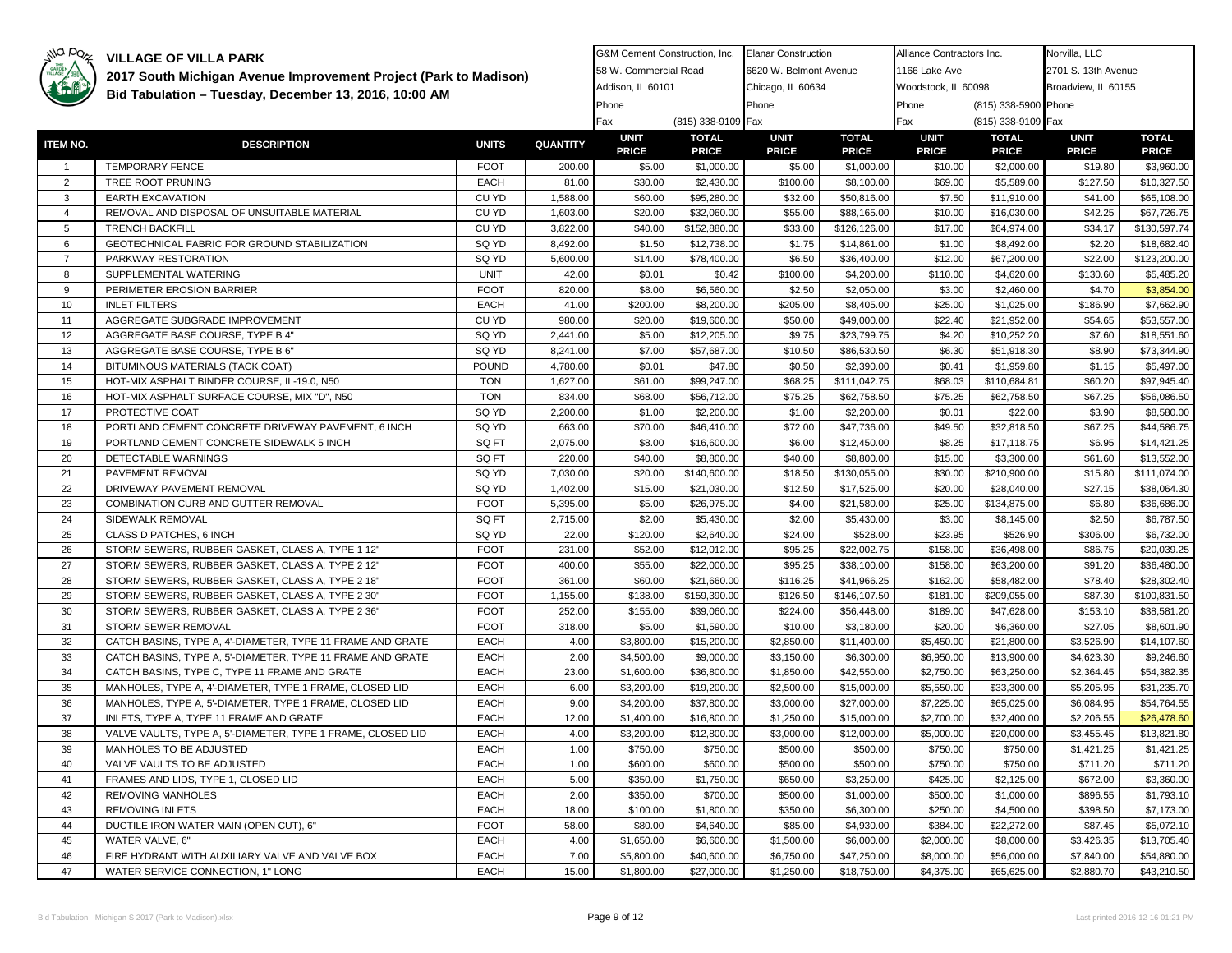

| THE GARDEN     | 2017 South Michigan Avenue Improvement Project (Park to Madison) |              |                 | 58 W. Commercial Road |                    | 6620 W. Belmont Avenue |              | 1166 Lake Ave       |                      | 2701 S. 13th Avenue |              |
|----------------|------------------------------------------------------------------|--------------|-----------------|-----------------------|--------------------|------------------------|--------------|---------------------|----------------------|---------------------|--------------|
|                |                                                                  |              |                 | Addison, IL 60101     |                    | Chicago, IL 60634      |              | Woodstock, IL 60098 |                      | Broadview, IL 60155 |              |
|                | Bid Tabulation - Tuesday, December 13, 2016, 10:00 AM            |              |                 | Phone                 |                    | Phone                  |              | Phone               | (815) 338-5900 Phone |                     |              |
|                |                                                                  |              |                 | Fax                   | (815) 338-9109 Fax |                        |              | Fax                 | (815) 338-9109 Fax   |                     |              |
|                |                                                                  |              |                 | <b>UNIT</b>           | <b>TOTAL</b>       | <b>UNIT</b>            | <b>TOTAL</b> | <b>UNIT</b>         | <b>TOTAL</b>         | <b>UNIT</b>         | <b>TOTAL</b> |
| ITEM NO.       | <b>DESCRIPTION</b>                                               | <b>UNITS</b> | <b>QUANTITY</b> | <b>PRICE</b>          | <b>PRICE</b>       | <b>PRICE</b>           | <b>PRICE</b> | <b>PRICE</b>        | <b>PRICE</b>         | <b>PRICE</b>        | <b>PRICE</b> |
| $\overline{1}$ | TEMPORARY FENCE                                                  | <b>FOOT</b>  | 200.00          | \$5.00                | \$1,000.00         | \$5.00                 | \$1,000.00   | \$10.00             | \$2,000.00           | \$19.80             | \$3,960.00   |
| 2              | TREE ROOT PRUNING                                                | <b>EACH</b>  | 81.00           | \$30.00               | \$2,430.00         | \$100.00               | \$8,100.00   | \$69.00             | \$5,589.00           | \$127.50            | \$10,327.50  |
| 3              | <b>EARTH EXCAVATION</b>                                          | CU YD        | 1,588.00        | \$60.00               | \$95,280.00        | \$32.00                | \$50,816.00  | \$7.50              | \$11,910.00          | \$41.00             | \$65,108.00  |
| $\overline{4}$ | REMOVAL AND DISPOSAL OF UNSUITABLE MATERIAL                      | CU YD        | 1,603.00        | \$20.00               | \$32,060.00        | \$55.00                | \$88,165.00  | \$10.00             | \$16,030.00          | \$42.25             | \$67,726.75  |
| 5              | <b>TRENCH BACKFILL</b>                                           | CU YD        | 3,822.00        | \$40.00               | \$152,880.00       | \$33.00                | \$126,126.00 | \$17.00             | \$64,974.00          | \$34.17             | \$130,597.74 |
| 6              | GEOTECHNICAL FABRIC FOR GROUND STABILIZATION                     | SQ YD        | 8,492.00        | \$1.50                | \$12,738.00        | \$1.75                 | \$14,861.00  | \$1.00              | \$8,492.00           | \$2.20              | \$18,682.40  |
| $\overline{7}$ | PARKWAY RESTORATION                                              | SQ YD        | 5,600.00        | \$14.00               | \$78,400.00        | \$6.50                 | \$36,400.00  | \$12.00             | \$67,200.00          | \$22.00             | \$123,200.00 |
| 8              | SUPPLEMENTAL WATERING                                            | <b>UNIT</b>  | 42.00           | \$0.01                | \$0.42             | \$100.00               | \$4,200.00   | \$110.00            | \$4,620.00           | \$130.60            | \$5,485.20   |
| 9              | PERIMETER EROSION BARRIER                                        | <b>FOOT</b>  | 820.00          | \$8.00                | \$6,560.00         | \$2.50                 | \$2,050.00   | \$3.00              | \$2,460.00           | \$4.70              | \$3,854.00   |
| 10             | <b>INLET FILTERS</b>                                             | EACH         | 41.00           | \$200.00              | \$8,200.00         | \$205.00               | \$8,405.00   | \$25.00             | \$1,025.00           | \$186.90            | \$7,662.90   |
| 11             | AGGREGATE SUBGRADE IMPROVEMENT                                   | CU YD        | 980.00          | \$20.00               | \$19,600.00        | \$50.00                | \$49,000.00  | \$22.40             | \$21,952.00          | \$54.65             | \$53,557.00  |
| 12             | AGGREGATE BASE COURSE, TYPE B 4"                                 | SQ YD        | 2,441.00        | \$5.00                | \$12,205.00        | \$9.75                 | \$23,799.75  | \$4.20              | \$10,252.20          | \$7.60              | \$18,551.60  |
| 13             | AGGREGATE BASE COURSE, TYPE B 6"                                 | SQ YD        | 8,241.00        | \$7.00                | \$57,687.00        | \$10.50                | \$86,530.50  | \$6.30              | \$51,918.30          | \$8.90              | \$73,344.90  |
| 14             | BITUMINOUS MATERIALS (TACK COAT)                                 | <b>POUND</b> | 4,780.00        | \$0.01                | \$47.80            | \$0.50                 | \$2,390.00   | \$0.41              | \$1,959.80           | \$1.15              | \$5,497.00   |
| 15             | HOT-MIX ASPHALT BINDER COURSE, IL-19.0, N50                      | <b>TON</b>   | 1,627.00        | \$61.00               | \$99,247.00        | \$68.25                | \$111,042.75 | \$68.03             | \$110,684.81         | \$60.20             | \$97,945.40  |
| 16             | HOT-MIX ASPHALT SURFACE COURSE, MIX "D", N50                     | <b>TON</b>   | 834.00          | \$68.00               | \$56,712.00        | \$75.25                | \$62,758.50  | \$75.25             | \$62,758.50          | \$67.25             | \$56,086.50  |
| 17             | PROTECTIVE COAT                                                  | SQ YD        | 2,200.00        | \$1.00                | \$2,200.00         | \$1.00                 | \$2,200.00   | \$0.01              | \$22.00              | \$3.90              | \$8,580.00   |
| 18             | PORTLAND CEMENT CONCRETE DRIVEWAY PAVEMENT, 6 INCH               | SQ YD        | 663.00          | \$70.00               | \$46,410.00        | \$72.00                | \$47,736.00  | \$49.50             | \$32,818.50          | \$67.25             | \$44,586.75  |
| 19             | PORTLAND CEMENT CONCRETE SIDEWALK 5 INCH                         | SQ FT        | 2,075.00        | \$8.00                | \$16,600.00        | \$6.00                 | \$12,450.00  | \$8.25              | \$17,118.75          | \$6.95              | \$14,421.25  |
| 20             | DETECTABLE WARNINGS                                              | SQ FT        | 220.00          | \$40.00               | \$8,800.00         | \$40.00                | \$8,800.00   | \$15.00             | \$3,300.00           | \$61.60             | \$13,552.00  |
| 21             | PAVEMENT REMOVAL                                                 | SQ YD        | 7,030.00        | \$20.00               | \$140,600.00       | \$18.50                | \$130,055.00 | \$30.00             | \$210,900.00         | \$15.80             | \$111,074.00 |
| 22             | DRIVEWAY PAVEMENT REMOVAL                                        | SQ YD        | 1,402.00        | \$15.00               | \$21,030.00        | \$12.50                | \$17,525.00  | \$20.00             | \$28,040.00          | \$27.15             | \$38,064.30  |
| 23             | COMBINATION CURB AND GUTTER REMOVAL                              | <b>FOOT</b>  | 5,395.00        | \$5.00                | \$26,975.00        | \$4.00                 | \$21,580.00  | \$25.00             | \$134,875.00         | \$6.80              | \$36,686.00  |
| 24             | SIDEWALK REMOVAL                                                 | SQ FT        | 2,715.00        | \$2.00                | \$5,430.00         | \$2.00                 | \$5,430.00   | \$3.00              | \$8,145.00           | \$2.50              | \$6,787.50   |
| 25             | CLASS D PATCHES, 6 INCH                                          | SQ YD        | 22.00           | \$120.00              | \$2,640.00         | \$24.00                | \$528.00     | \$23.95             | \$526.90             | \$306.00            | \$6,732.00   |
| 26             | STORM SEWERS, RUBBER GASKET, CLASS A, TYPE 1 12"                 | <b>FOOT</b>  | 231.00          | \$52.00               | \$12,012.00        | \$95.25                | \$22,002.75  | \$158.00            | \$36,498.00          | \$86.75             | \$20,039.25  |
| 27             | STORM SEWERS, RUBBER GASKET, CLASS A, TYPE 2 12"                 | <b>FOOT</b>  | 400.00          | \$55.00               | \$22,000.00        | \$95.25                | \$38,100.00  | \$158.00            | \$63,200.00          | \$91.20             | \$36,480.00  |
| 28             | STORM SEWERS, RUBBER GASKET, CLASS A, TYPE 2 18"                 | <b>FOOT</b>  | 361.00          | \$60.00               | \$21,660.00        | \$116.25               | \$41,966.25  | \$162.00            | \$58,482.00          | \$78.40             | \$28,302.40  |
| 29             | STORM SEWERS, RUBBER GASKET, CLASS A, TYPE 2 30"                 | <b>FOOT</b>  | 1,155.00        | \$138.00              | \$159,390.00       | \$126.50               | \$146,107.50 | \$181.00            | \$209,055.00         | \$87.30             | \$100,831.50 |
| 30             | STORM SEWERS, RUBBER GASKET, CLASS A, TYPE 2 36"                 | <b>FOOT</b>  | 252.00          | \$155.00              | \$39,060.00        | \$224.00               | \$56,448.00  | \$189.00            | \$47,628.00          | \$153.10            | \$38,581.20  |
| 31             | STORM SEWER REMOVAL                                              | <b>FOOT</b>  | 318.00          | \$5.00                | \$1,590.00         | \$10.00                | \$3,180.00   | \$20.00             | \$6,360.00           | \$27.05             | \$8,601.90   |
| 32             | CATCH BASINS, TYPE A, 4'-DIAMETER, TYPE 11 FRAME AND GRATE       | <b>EACH</b>  | 4.00            | \$3,800.00            | \$15,200.00        | \$2,850.00             | \$11,400.00  | \$5,450.00          | \$21,800.00          | \$3,526.90          | \$14,107.60  |
| 33             | CATCH BASINS, TYPE A, 5'-DIAMETER, TYPE 11 FRAME AND GRATE       | <b>EACH</b>  | 2.00            | \$4,500.00            | \$9,000.00         | \$3,150.00             | \$6,300.00   | \$6,950.00          | \$13,900.00          | \$4,623.30          | \$9,246.60   |
| 34             | CATCH BASINS, TYPE C, TYPE 11 FRAME AND GRATE                    | EACH         | 23.00           | \$1,600.00            | \$36,800.00        | \$1,850.00             | \$42,550.00  | \$2,750.00          | \$63,250.00          | \$2,364.45          | \$54,382.35  |
| 35             | MANHOLES, TYPE A, 4'-DIAMETER, TYPE 1 FRAME, CLOSED LID          | <b>EACH</b>  | 6.00            | \$3,200.00            | \$19,200.00        | \$2,500.00             | \$15,000.00  | \$5,550.00          | \$33,300.00          | \$5,205.95          | \$31,235.70  |
| 36             | MANHOLES, TYPE A, 5'-DIAMETER, TYPE 1 FRAME, CLOSED LID          | <b>EACH</b>  | 9.00            | \$4,200.00            | \$37,800.00        | \$3,000.00             | \$27,000.00  | \$7,225.00          | \$65,025.00          | \$6,084.95          | \$54,764.55  |
| 37             | INLETS, TYPE A, TYPE 11 FRAME AND GRATE                          | <b>EACH</b>  | 12.00           | \$1,400.00            | \$16,800.00        | \$1,250.00             | \$15,000.00  | \$2,700.00          | \$32,400.00          | \$2,206.55          | \$26,478.60  |
| 38             | VALVE VAULTS, TYPE A, 5'-DIAMETER, TYPE 1 FRAME, CLOSED LID      | <b>EACH</b>  | 4.00            | \$3,200.00            | \$12,800.00        | \$3,000.00             | \$12,000.00  | \$5,000.00          | \$20,000.00          | \$3,455.45          | \$13,821.80  |
| 39             | MANHOLES TO BE ADJUSTED                                          | <b>EACH</b>  | 1.00            | \$750.00              | \$750.00           | \$500.00               | \$500.00     | \$750.00            | \$750.00             | \$1,421.25          | \$1,421.25   |
| 40             | VALVE VAULTS TO BE ADJUSTED                                      | <b>EACH</b>  | 1.00            | \$600.00              | \$600.00           | \$500.00               | \$500.00     | \$750.00            | \$750.00             | \$711.20            | \$711.20     |
| 41             | FRAMES AND LIDS, TYPE 1, CLOSED LID                              | <b>EACH</b>  | 5.00            | \$350.00              | \$1,750.00         | \$650.00               | \$3,250.00   | \$425.00            | \$2,125.00           | \$672.00            | \$3,360.00   |
| 42             | <b>REMOVING MANHOLES</b>                                         | <b>EACH</b>  | 2.00            | \$350.00              | \$700.00           | \$500.00               | \$1,000.00   | \$500.00            | \$1,000.00           | \$896.55            | \$1,793.10   |
| 43             | <b>REMOVING INLETS</b>                                           | <b>EACH</b>  | 18.00           | \$100.00              | \$1,800.00         | \$350.00               | \$6,300.00   | \$250.00            | \$4,500.00           | \$398.50            | \$7,173.00   |
| 44             | DUCTILE IRON WATER MAIN (OPEN CUT), 6"                           | <b>FOOT</b>  | 58.00           | \$80.00               | \$4,640.00         | \$85.00                | \$4,930.00   | \$384.00            | \$22,272.00          | \$87.45             | \$5,072.10   |
| 45             | WATER VALVE, 6"                                                  | <b>EACH</b>  | 4.00            | \$1,650.00            | \$6,600.00         | \$1,500.00             | \$6,000.00   | \$2,000.00          | \$8,000.00           | \$3,426.35          | \$13,705.40  |
| 46             | FIRE HYDRANT WITH AUXILIARY VALVE AND VALVE BOX                  | <b>EACH</b>  | 7.00            | \$5,800.00            | \$40,600.00        | \$6,750.00             | \$47,250.00  | \$8,000.00          | \$56,000.00          | \$7,840.00          | \$54,880.00  |
| 47             | WATER SERVICE CONNECTION. 1" LONG                                | <b>EACH</b>  | 15.00           | \$1,800.00            | \$27,000.00        | \$1,250.00             | \$18,750.00  | \$4.375.00          | \$65,625,00          | \$2,880.70          | \$43,210.50  |

G&M Cement Construction, Inc. Elanar Construction

Alliance Contractors Inc.

Norvilla, LLC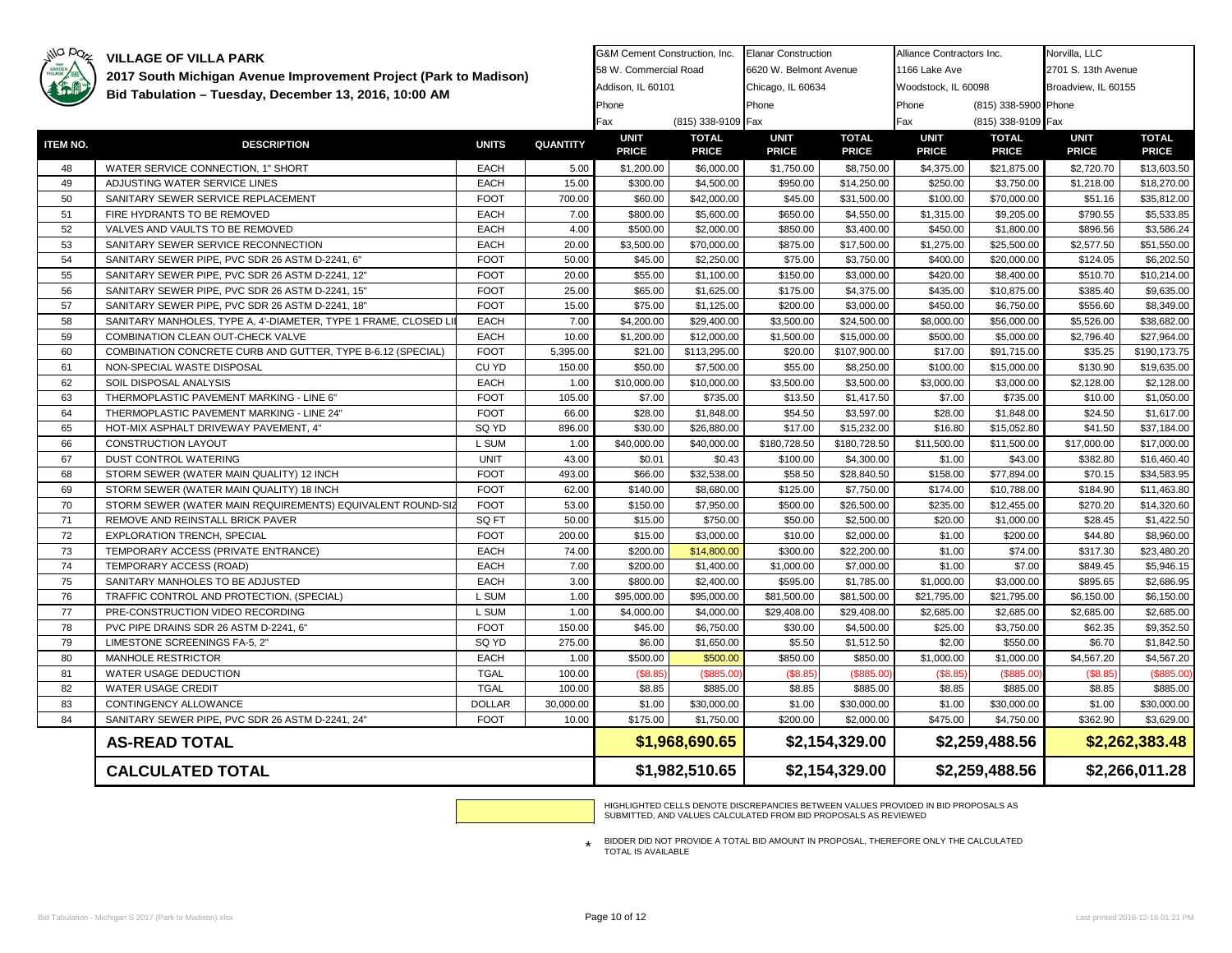| GARDEN   |                                                                 | 2017 South Michigan Avenue Improvement Project (Park to Madison) |                 |                   |                    | 6620 W. Belmont Avenue |                | 1166 Lake Ave       |                      | 2701 S. 13th Avenue |                |  |
|----------|-----------------------------------------------------------------|------------------------------------------------------------------|-----------------|-------------------|--------------------|------------------------|----------------|---------------------|----------------------|---------------------|----------------|--|
|          |                                                                 |                                                                  |                 | Addison, IL 60101 |                    | Chicago, IL 60634      |                | Woodstock, IL 60098 |                      | Broadview, IL 60155 |                |  |
|          | Bid Tabulation - Tuesday, December 13, 2016, 10:00 AM           |                                                                  |                 | Phone             |                    | Phone                  |                | Phone               | (815) 338-5900 Phone |                     |                |  |
|          |                                                                 |                                                                  |                 | Fax               | (815) 338-9109 Fax |                        |                | Fax                 | (815) 338-9109 Fax   |                     |                |  |
|          |                                                                 |                                                                  |                 | <b>UNIT</b>       | <b>TOTAL</b>       | <b>UNIT</b>            | <b>TOTAL</b>   | <b>UNIT</b>         | <b>TOTAL</b>         | <b>UNIT</b>         | <b>TOTAL</b>   |  |
| ITEM NO. | <b>DESCRIPTION</b>                                              | <b>UNITS</b>                                                     | <b>QUANTITY</b> | <b>PRICE</b>      | <b>PRICE</b>       | <b>PRICE</b>           | <b>PRICE</b>   | <b>PRICE</b>        | <b>PRICE</b>         | <b>PRICE</b>        | <b>PRICE</b>   |  |
| 48       | WATER SERVICE CONNECTION, 1" SHORT                              | <b>EACH</b>                                                      | 5.00            | \$1,200.00        | \$6,000.00         | \$1,750.00             | \$8,750.00     | \$4,375.00          | \$21,875.00          | \$2,720.70          | \$13,603.50    |  |
| 49       | ADJUSTING WATER SERVICE LINES                                   | <b>EACH</b>                                                      | 15.00           | \$300.00          | \$4,500.00         | \$950.00               | \$14,250.00    | \$250.00            | \$3,750.00           | \$1,218.00          | \$18,270.00    |  |
| 50       | SANITARY SEWER SERVICE REPLACEMENT                              | <b>FOOT</b>                                                      | 700.00          | \$60.00           | \$42,000.00        | \$45.00                | \$31,500.00    | \$100.00            | \$70,000.00          | \$51.16             | \$35,812.00    |  |
| 51       | FIRE HYDRANTS TO BE REMOVED                                     | <b>EACH</b>                                                      | 7.00            | \$800.00          | \$5,600.00         | \$650.00               | \$4,550.00     | \$1,315.00          | \$9,205.00           | \$790.55            | \$5,533.85     |  |
| 52       | VALVES AND VAULTS TO BE REMOVED                                 | <b>EACH</b>                                                      | 4.00            | \$500.00          | \$2,000.00         | \$850.00               | \$3,400.00     | \$450.00            | \$1,800.00           | \$896.56            | \$3,586.24     |  |
| 53       | SANITARY SEWER SERVICE RECONNECTION                             | <b>EACH</b>                                                      | 20.00           | \$3,500.00        | \$70,000.00        | \$875.00               | \$17,500.00    | \$1,275.00          | \$25,500.00          | \$2,577.50          | \$51,550.00    |  |
| 54       | SANITARY SEWER PIPE, PVC SDR 26 ASTM D-2241, 6"                 | <b>FOOT</b>                                                      | 50.00           | \$45.00           | \$2,250.00         | \$75.00                | \$3,750.00     | \$400.00            | \$20,000.00          | \$124.05            | \$6,202.50     |  |
| 55       | SANITARY SEWER PIPE, PVC SDR 26 ASTM D-2241, 12"                | <b>FOOT</b>                                                      | 20.00           | \$55.00           | \$1,100.00         | \$150.00               | \$3,000.00     | \$420.00            | \$8,400.00           | \$510.70            | \$10,214.00    |  |
| 56       | SANITARY SEWER PIPE, PVC SDR 26 ASTM D-2241, 15"                | <b>FOOT</b>                                                      | 25.00           | \$65.00           | \$1,625.00         | \$175.00               | \$4,375.00     | \$435.00            | \$10,875.00          | \$385.40            | \$9,635.00     |  |
| 57       | SANITARY SEWER PIPE, PVC SDR 26 ASTM D-2241, 18"                | <b>FOOT</b>                                                      | 15.00           | \$75.00           | \$1,125.00         | \$200.00               | \$3,000.00     | \$450.00            | \$6,750.00           | \$556.60            | \$8,349.00     |  |
| 58       | SANITARY MANHOLES, TYPE A, 4'-DIAMETER, TYPE 1 FRAME, CLOSED LI | <b>EACH</b>                                                      | 7.00            | \$4,200.00        | \$29,400.00        | \$3,500.00             | \$24,500.00    | \$8,000.00          | \$56,000.00          | \$5,526.00          | \$38,682.00    |  |
| 59       | COMBINATION CLEAN OUT-CHECK VALVE                               | <b>EACH</b>                                                      | 10.00           | \$1,200.00        | \$12,000.00        | \$1,500.00             | \$15,000.00    | \$500.00            | \$5,000.00           | \$2,796.40          | \$27,964.00    |  |
| 60       | COMBINATION CONCRETE CURB AND GUTTER, TYPE B-6.12 (SPECIAL)     | <b>FOOT</b>                                                      | 5,395.00        | \$21.00           | \$113,295.00       | \$20.00                | \$107,900.00   | \$17.00             | \$91,715.00          | \$35.25             | \$190,173.75   |  |
| 61       | NON-SPECIAL WASTE DISPOSAL                                      | CU YD                                                            | 150.00          | \$50.00           | \$7,500.00         | \$55.00                | \$8,250.00     | \$100.00            | \$15,000.00          | \$130.90            | \$19,635.00    |  |
| 62       | SOIL DISPOSAL ANALYSIS                                          | <b>EACH</b>                                                      | 1.00            | \$10,000.00       | \$10,000.00        | \$3,500.00             | \$3,500.00     | \$3,000.00          | \$3,000.00           | \$2,128.00          | \$2,128.00     |  |
| 63       | THERMOPLASTIC PAVEMENT MARKING - LINE 6"                        | <b>FOOT</b>                                                      | 105.00          | \$7.00            | \$735.00           | \$13.50                | \$1,417.50     | \$7.00              | \$735.00             | \$10.00             | \$1,050.00     |  |
| 64       | THERMOPLASTIC PAVEMENT MARKING - LINE 24"                       | <b>FOOT</b>                                                      | 66.00           | \$28.00           | \$1,848.00         | \$54.50                | \$3,597.00     | \$28.00             | \$1,848.00           | \$24.50             | \$1,617.00     |  |
| 65       | HOT-MIX ASPHALT DRIVEWAY PAVEMENT, 4"                           | SQ YD                                                            | 896.00          | \$30.00           | \$26,880.00        | \$17.00                | \$15,232.00    | \$16.80             | \$15,052.80          | \$41.50             | \$37,184.00    |  |
| 66       | <b>CONSTRUCTION LAYOUT</b>                                      | L SUM                                                            | 1.00            | \$40,000.00       | \$40,000.00        | \$180,728.50           | \$180,728.50   | \$11,500.00         | \$11,500.00          | \$17,000.00         | \$17,000.00    |  |
| 67       | DUST CONTROL WATERING                                           | <b>UNIT</b>                                                      | 43.00           | \$0.01            | \$0.43             | \$100.00               | \$4,300.00     | \$1.00              | \$43.00              | \$382.80            | \$16,460.40    |  |
| 68       | STORM SEWER (WATER MAIN QUALITY) 12 INCH                        | <b>FOOT</b>                                                      | 493.00          | \$66.00           | \$32,538.00        | \$58.50                | \$28,840.50    | \$158.00            | \$77,894.00          | \$70.15             | \$34,583.95    |  |
| 69       | STORM SEWER (WATER MAIN QUALITY) 18 INCH                        | <b>FOOT</b>                                                      | 62.00           | \$140.00          | \$8,680.00         | \$125.00               | \$7,750.00     | \$174.00            | \$10,788.00          | \$184.90            | \$11,463.80    |  |
| 70       | STORM SEWER (WATER MAIN REQUIREMENTS) EQUIVALENT ROUND-SIZ      | <b>FOOT</b>                                                      | 53.00           | \$150.00          | \$7,950.00         | \$500.00               | \$26,500.00    | \$235.00            | \$12,455.00          | \$270.20            | \$14,320.60    |  |
| 71       | REMOVE AND REINSTALL BRICK PAVER                                | SQ FT                                                            | 50.00           | \$15.00           | \$750.00           | \$50.00                | \$2,500.00     | \$20.00             | \$1,000.00           | \$28.45             | \$1,422.50     |  |
| 72       | <b>EXPLORATION TRENCH, SPECIAL</b>                              | <b>FOOT</b>                                                      | 200.00          | \$15.00           | \$3,000.00         | \$10.00                | \$2,000.00     | \$1.00              | \$200.00             | \$44.80             | \$8,960.00     |  |
| 73       | TEMPORARY ACCESS (PRIVATE ENTRANCE)                             | <b>EACH</b>                                                      | 74.00           | \$200.00          | \$14,800.00        | \$300.00               | \$22,200.00    | \$1.00              | \$74.00              | \$317.30            | \$23,480.20    |  |
| 74       | TEMPORARY ACCESS (ROAD)                                         | <b>EACH</b>                                                      | 7.00            | \$200.00          | \$1,400.00         | \$1,000.00             | \$7,000.00     | \$1.00              | \$7.00               | \$849.45            | \$5,946.15     |  |
| 75       | SANITARY MANHOLES TO BE ADJUSTED                                | <b>EACH</b>                                                      | 3.00            | \$800.00          | \$2,400.00         | \$595.00               | \$1,785.00     | \$1,000.00          | \$3,000.00           | \$895.65            | \$2,686.95     |  |
| 76       | TRAFFIC CONTROL AND PROTECTION, (SPECIAL)                       | L SUM                                                            | 1.00            | \$95,000.00       | \$95,000.00        | \$81,500.00            | \$81,500.00    | \$21,795.00         | \$21,795.00          | \$6,150.00          | \$6,150.00     |  |
| 77       | PRE-CONSTRUCTION VIDEO RECORDING                                | L SUM                                                            | 1.00            | \$4,000.00        | \$4,000.00         | \$29,408.00            | \$29,408.00    | \$2,685.00          | \$2,685.00           | \$2,685.00          | \$2,685.00     |  |
| 78       | PVC PIPE DRAINS SDR 26 ASTM D-2241, 6"                          | <b>FOOT</b>                                                      | 150.00          | \$45.00           | \$6,750.00         | \$30.00                | \$4,500.00     | \$25.00             | \$3,750.00           | \$62.35             | \$9.352.50     |  |
| 79       | LIMESTONE SCREENINGS FA-5, 2"                                   | SQ YD                                                            | 275.00          | \$6.00            | \$1,650.00         | \$5.50                 | \$1,512.50     | \$2.00              | \$550.00             | \$6.70              | \$1,842.50     |  |
| 80       | MANHOLE RESTRICTOR                                              | <b>EACH</b>                                                      | 1.00            | \$500.00          | \$500.00           | \$850.00               | \$850.00       | \$1,000.00          | \$1,000.00           | \$4,567.20          | \$4,567.20     |  |
| 81       | WATER USAGE DEDUCTION                                           | <b>TGAL</b>                                                      | 100.00          | (\$8.85           | (\$885.00          | (\$8.85                | (\$885.0       | (\$8.85             | (\$885.0             | (\$8.85             | (\$885.00)     |  |
| 82       | WATER USAGE CREDIT                                              | <b>TGAL</b>                                                      | 100.00          | \$8.85            | \$885.00           | \$8.85                 | \$885.00       | \$8.85              | \$885.00             | \$8.85              | \$885.00       |  |
| 83       | CONTINGENCY ALLOWANCE                                           | <b>DOLLAR</b>                                                    | 30,000.00       | \$1.00            | \$30,000.00        | \$1.00                 | \$30,000.00    | \$1.00              | \$30,000.00          | \$1.00              | \$30,000.00    |  |
| 84       | SANITARY SEWER PIPE, PVC SDR 26 ASTM D-2241, 24"                | <b>FOOT</b>                                                      | 10.00           | \$175.00          | \$1,750.00         | \$200.00               | \$2,000.00     | \$475.00            | \$4,750.00           | \$362.90            | \$3,629.00     |  |
|          | <b>AS-READ TOTAL</b>                                            |                                                                  |                 |                   | \$1,968,690.65     |                        | \$2,154,329.00 |                     | \$2,259,488.56       |                     | \$2,262,383.48 |  |
|          | <b>CALCULATED TOTAL</b>                                         |                                                                  |                 |                   | \$1,982,510.65     | \$2,154,329.00         |                |                     | \$2,259,488.56       | \$2,266,011.28      |                |  |

G&M Cement Construction, Inc. Elanar Construction

Alliance Contractors Inc.

Norvilla, LLC

HIGHLIGHTED CELLS DENOTE DISCREPANCIES BETWEEN VALUES PROVIDED IN BID PROPOSALS AS SUBMITTED, AND VALUES CALCULATED FROM BID PROPOSALS AS REVIEWED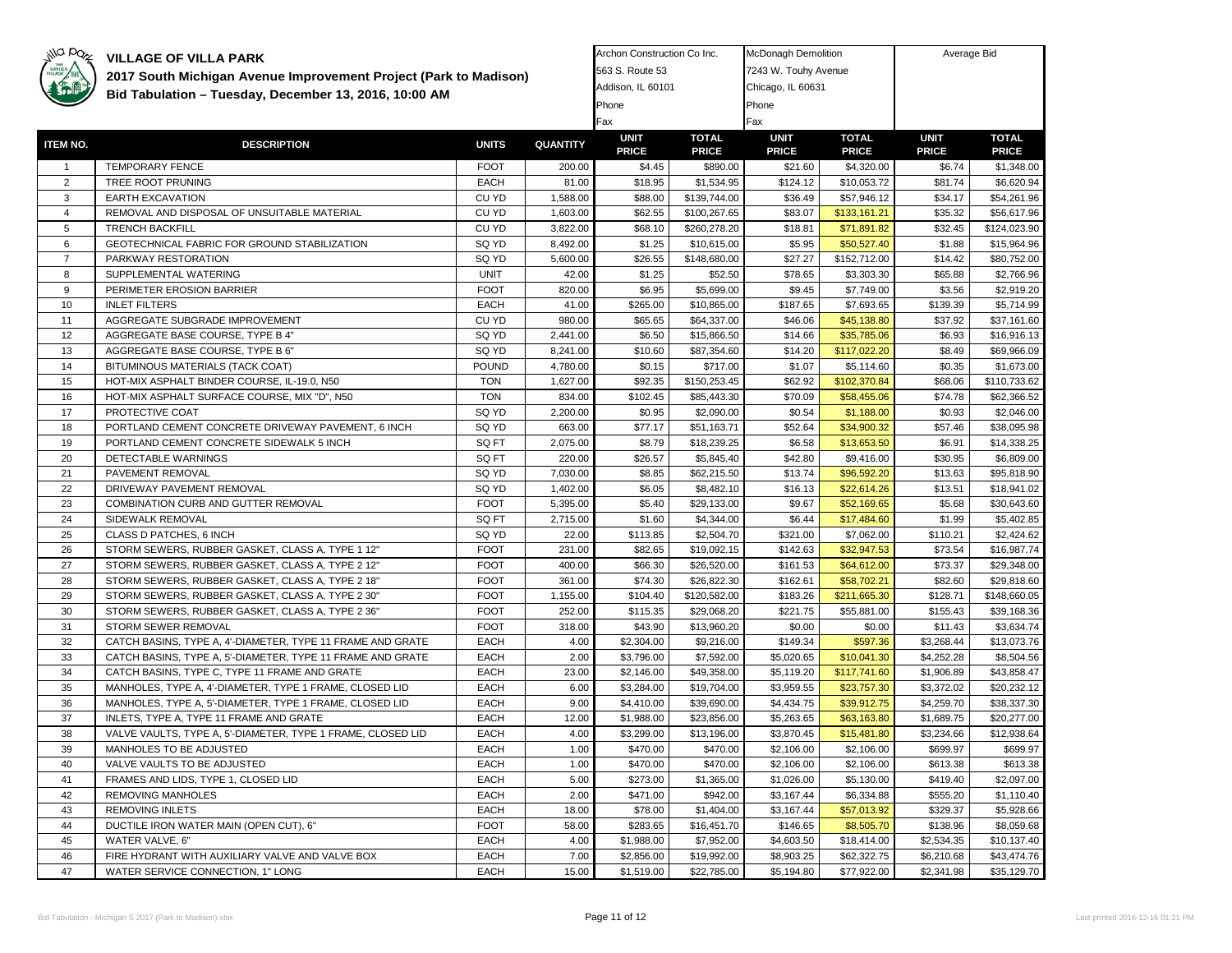| GARDEN          | 2017 South Michigan Avenue Improvement Project (Park to Madison) |              |                 | 563 S. Route 53             |                              | 7243 W. Touhy Avenue        |                              |                             |                              |
|-----------------|------------------------------------------------------------------|--------------|-----------------|-----------------------------|------------------------------|-----------------------------|------------------------------|-----------------------------|------------------------------|
|                 | Bid Tabulation - Tuesday, December 13, 2016, 10:00 AM            |              |                 | Addison, IL 60101           |                              | Chicago, IL 60631           |                              |                             |                              |
|                 |                                                                  |              |                 | Phone                       |                              | Phone                       |                              |                             |                              |
|                 |                                                                  |              |                 | Fax                         |                              | Fax                         |                              |                             |                              |
| <b>ITEM NO.</b> | <b>DESCRIPTION</b>                                               | <b>UNITS</b> | <b>QUANTITY</b> | <b>UNIT</b><br><b>PRICE</b> | <b>TOTAL</b><br><b>PRICE</b> | <b>UNIT</b><br><b>PRICE</b> | <b>TOTAL</b><br><b>PRICE</b> | <b>UNIT</b><br><b>PRICE</b> | <b>TOTAL</b><br><b>PRICE</b> |
| $\mathbf{1}$    | TEMPORARY FENCE                                                  | <b>FOOT</b>  | 200.00          | \$4.45                      | \$890.00                     | \$21.60                     | \$4,320.00                   | \$6.74                      | \$1,348.00                   |
| $\overline{2}$  | TREE ROOT PRUNING                                                | EACH         | 81.00           | \$18.95                     | \$1,534.95                   | \$124.12                    | \$10,053.72                  | \$81.74                     | \$6,620.94                   |
| 3               | <b>EARTH EXCAVATION</b>                                          | CU YD        | 1,588.00        | \$88.00                     | \$139,744.00                 | \$36.49                     | \$57,946.12                  | \$34.17                     | \$54,261.96                  |
| $\overline{4}$  | REMOVAL AND DISPOSAL OF UNSUITABLE MATERIAL                      | CU YD        | 1,603.00        | \$62.55                     | \$100,267.65                 | \$83.07                     | \$133,161.21                 | \$35.32                     | \$56,617.96                  |
| 5               | <b>TRENCH BACKFILL</b>                                           | CU YD        | 3,822.00        | \$68.10                     | \$260,278.20                 | \$18.81                     | \$71,891.82                  | \$32.45                     | \$124,023.90                 |
| 6               | GEOTECHNICAL FABRIC FOR GROUND STABILIZATION                     | SQ YD        | 8,492.00        | \$1.25                      | \$10,615.00                  | \$5.95                      | \$50,527.40                  | \$1.88                      | \$15,964.96                  |
| $\overline{7}$  | PARKWAY RESTORATION                                              | SQ YD        | 5,600.00        | \$26.55                     | \$148,680.00                 | \$27.27                     | \$152,712.00                 | \$14.42                     | \$80,752.00                  |
| 8               | SUPPLEMENTAL WATERING                                            | <b>UNIT</b>  | 42.00           | \$1.25                      | \$52.50                      | \$78.65                     | \$3,303.30                   | \$65.88                     | \$2,766.96                   |
| 9               | PERIMETER EROSION BARRIER                                        | <b>FOOT</b>  | 820.00          | \$6.95                      | \$5,699.00                   | \$9.45                      | \$7,749.00                   | \$3.56                      | \$2,919.20                   |
| 10              | <b>INLET FILTERS</b>                                             | EACH         | 41.00           | \$265.00                    | \$10,865.00                  | \$187.65                    | \$7,693.65                   | \$139.39                    | \$5,714.99                   |
| 11              | AGGREGATE SUBGRADE IMPROVEMENT                                   | CU YD        | 980.00          | \$65.65                     | \$64,337.00                  | \$46.06                     | \$45,138.80                  | \$37.92                     | \$37,161.60                  |
| 12              | AGGREGATE BASE COURSE, TYPE B 4"                                 | SQ YD        | 2,441.00        | \$6.50                      | \$15,866.50                  | \$14.66                     | \$35,785.06                  | \$6.93                      | \$16,916.13                  |
| 13              | AGGREGATE BASE COURSE, TYPE B 6"                                 | SQ YD        | 8,241.00        | \$10.60                     | \$87,354.60                  | \$14.20                     | \$117,022.20                 | \$8.49                      | \$69,966.09                  |
| 14              | BITUMINOUS MATERIALS (TACK COAT)                                 | <b>POUND</b> | 4,780.00        | \$0.15                      | \$717.00                     | \$1.07                      | \$5,114.60                   | \$0.35                      | \$1,673.00                   |
| 15              | HOT-MIX ASPHALT BINDER COURSE, IL-19.0, N50                      | <b>TON</b>   | 1,627.00        | \$92.35                     | \$150,253.45                 | \$62.92                     | \$102,370.84                 | \$68.06                     | \$110,733.62                 |
| 16              | HOT-MIX ASPHALT SURFACE COURSE, MIX "D", N50                     | <b>TON</b>   | 834.00          | \$102.45                    | \$85,443.30                  | \$70.09                     | \$58,455.06                  | \$74.78                     | \$62,366.52                  |
| 17              | PROTECTIVE COAT                                                  | SQ YD        | 2,200.00        | \$0.95                      | \$2,090.00                   | \$0.54                      | \$1,188.00                   | \$0.93                      | \$2,046.00                   |
| 18              | PORTLAND CEMENT CONCRETE DRIVEWAY PAVEMENT, 6 INCH               | SQ YD        | 663.00          | \$77.17                     | \$51,163.71                  | \$52.64                     | \$34,900.32                  | \$57.46                     | \$38,095.98                  |
| 19              | PORTLAND CEMENT CONCRETE SIDEWALK 5 INCH                         | SQ FT        | 2,075.00        | \$8.79                      | \$18,239.25                  | \$6.58                      | \$13,653.50                  | \$6.91                      | \$14,338.25                  |
| 20              | DETECTABLE WARNINGS                                              | SQ FT        | 220.00          | \$26.57                     | \$5,845.40                   | \$42.80                     | \$9,416.00                   | \$30.95                     | \$6,809.00                   |
| 21              | PAVEMENT REMOVAL                                                 | SQ YD        | 7,030.00        | \$8.85                      | \$62,215.50                  | \$13.74                     | \$96,592.20                  | \$13.63                     | \$95,818.90                  |
| 22              | DRIVEWAY PAVEMENT REMOVAL                                        | SQ YD        | 1,402.00        | \$6.05                      | \$8,482.10                   | \$16.13                     | \$22,614.26                  | \$13.51                     | \$18,941.02                  |
| 23              | COMBINATION CURB AND GUTTER REMOVAL                              | <b>FOOT</b>  | 5,395.00        | \$5.40                      | \$29,133.00                  | \$9.67                      | \$52,169.65                  | \$5.68                      | \$30,643.60                  |
| 24              | SIDEWALK REMOVAL                                                 | SQ FT        | 2,715.00        | \$1.60                      | \$4,344.00                   | \$6.44                      | \$17,484.60                  | \$1.99                      | \$5,402.85                   |
| 25              | CLASS D PATCHES, 6 INCH                                          | SQ YD        | 22.00           | \$113.85                    | \$2,504.70                   | \$321.00                    | \$7,062.00                   | \$110.21                    | \$2,424.62                   |
| 26              | STORM SEWERS, RUBBER GASKET, CLASS A, TYPE 1 12"                 | <b>FOOT</b>  | 231.00          | \$82.65                     | \$19,092.15                  | \$142.63                    | \$32,947.53                  | \$73.54                     | \$16,987.74                  |
| 27              | STORM SEWERS, RUBBER GASKET, CLASS A, TYPE 2 12"                 | <b>FOOT</b>  | 400.00          | \$66.30                     | \$26,520.00                  | \$161.53                    | \$64,612.00                  | \$73.37                     | \$29,348.00                  |
| 28              | STORM SEWERS, RUBBER GASKET, CLASS A, TYPE 2 18"                 | <b>FOOT</b>  | 361.00          | \$74.30                     | \$26,822.30                  | \$162.61                    | \$58,702.21                  | \$82.60                     | \$29,818.60                  |
| 29              | STORM SEWERS, RUBBER GASKET, CLASS A, TYPE 2 30"                 | <b>FOOT</b>  | 1,155.00        | \$104.40                    | \$120,582.00                 | \$183.26                    | \$211,665.30                 | \$128.71                    | \$148,660.05                 |
| 30              | STORM SEWERS, RUBBER GASKET, CLASS A, TYPE 2 36"                 | <b>FOOT</b>  | 252.00          | \$115.35                    | \$29,068.20                  | \$221.75                    | \$55,881.00                  | \$155.43                    | \$39,168.36                  |
| 31              | STORM SEWER REMOVAL                                              | <b>FOOT</b>  | 318.00          | \$43.90                     | \$13,960.20                  | \$0.00                      | \$0.00                       | \$11.43                     | \$3,634.74                   |
| 32              | CATCH BASINS, TYPE A, 4'-DIAMETER, TYPE 11 FRAME AND GRATE       | <b>EACH</b>  | 4.00            | \$2,304.00                  | \$9,216.00                   | \$149.34                    | \$597.36                     | \$3,268.44                  | \$13,073.76                  |
| 33              | CATCH BASINS, TYPE A, 5'-DIAMETER, TYPE 11 FRAME AND GRATE       | EACH         | 2.00            | \$3,796.00                  | \$7,592.00                   | \$5,020.65                  | \$10,041.30                  | \$4,252.28                  | \$8,504.56                   |
| 34              | CATCH BASINS, TYPE C, TYPE 11 FRAME AND GRATE                    | EACH         | 23.00           | \$2,146.00                  | \$49,358.00                  | \$5,119.20                  | \$117,741.60                 | \$1,906.89                  | \$43,858.47                  |
| 35              | MANHOLES, TYPE A, 4'-DIAMETER, TYPE 1 FRAME, CLOSED LID          | EACH         | 6.00            | \$3,284.00                  | \$19,704.00                  | \$3,959.55                  | \$23,757.30                  | \$3,372.02                  | \$20,232.12                  |
| 36              | MANHOLES, TYPE A, 5'-DIAMETER, TYPE 1 FRAME, CLOSED LID          | EACH         | 9.00            | \$4,410.00                  | \$39,690.00                  | \$4,434.75                  | \$39,912.75                  | \$4,259.70                  | \$38,337.30                  |
| 37              | INLETS, TYPE A, TYPE 11 FRAME AND GRATE                          | <b>EACH</b>  | 12.00           | \$1,988.00                  | \$23,856.00                  | \$5,263.65                  | \$63,163.80                  | \$1,689.75                  | \$20,277.00                  |
| 38              | VALVE VAULTS, TYPE A, 5'-DIAMETER, TYPE 1 FRAME, CLOSED LID      | EACH         | 4.00            | \$3,299.00                  | \$13,196.00                  | \$3,870.45                  | \$15,481.80                  | \$3,234.66                  | \$12,938.64                  |
| 39              | MANHOLES TO BE ADJUSTED                                          | EACH         | 1.00            | \$470.00                    | \$470.00                     | \$2,106.00                  | \$2,106.00                   | \$699.97                    | \$699.97                     |
| 40              | VALVE VAULTS TO BE ADJUSTED                                      | EACH         | 1.00            | \$470.00                    | \$470.00                     | \$2,106.00                  | \$2,106.00                   | \$613.38                    | \$613.38                     |
| 41              | FRAMES AND LIDS, TYPE 1, CLOSED LID                              | <b>EACH</b>  | 5.00            | \$273.00                    | \$1,365.00                   | \$1,026.00                  | \$5,130.00                   | \$419.40                    | \$2,097.00                   |
| 42              | <b>REMOVING MANHOLES</b>                                         | EACH         | 2.00            | \$471.00                    | \$942.00                     | \$3,167.44                  | \$6,334.88                   | \$555.20                    | \$1,110.40                   |
| 43              | <b>REMOVING INLETS</b>                                           | <b>EACH</b>  | 18.00           | \$78.00                     | \$1,404.00                   | \$3,167.44                  | \$57,013.92                  | \$329.37                    | \$5,928.66                   |
| 44              | DUCTILE IRON WATER MAIN (OPEN CUT), 6"                           | <b>FOOT</b>  | 58.00           | \$283.65                    | \$16,451.70                  | \$146.65                    | \$8,505.70                   | \$138.96                    | \$8,059.68                   |
| 45              | WATER VALVE, 6"                                                  | EACH         | 4.00            | \$1,988.00                  | \$7,952.00                   | \$4,603.50                  | \$18,414.00                  | \$2,534.35                  | \$10,137.40                  |
| 46              | FIRE HYDRANT WITH AUXILIARY VALVE AND VALVE BOX                  | EACH         | 7.00            | \$2,856.00                  | \$19,992.00                  | \$8,903.25                  | \$62,322.75                  | \$6,210.68                  | \$43,474.76                  |
| 47              | WATER SERVICE CONNECTION. 1" LONG                                | <b>EACH</b>  | 15.00           | \$1.519.00                  | \$22,785.00                  | \$5.194.80                  | \$77,922.00                  | \$2.341.98                  | \$35,129.70                  |
|                 |                                                                  |              |                 |                             |                              |                             |                              |                             |                              |

Archon Construction Co Inc.

McDonagh Demolition **Average Bid**